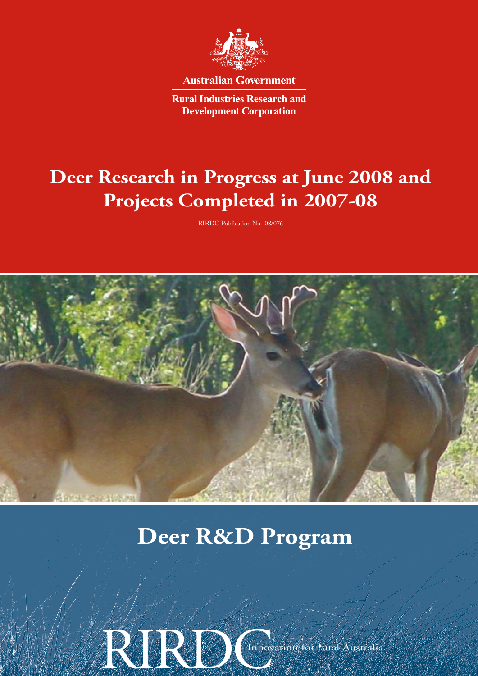

**Australian Government** 

**Rural Industries Research and Development Corporation** 

# **Deer Research in Progress at June 2008 and Projects Completed in 2007-08**

RIRDC Publication No. 08/076



# **Deer R&D Program**

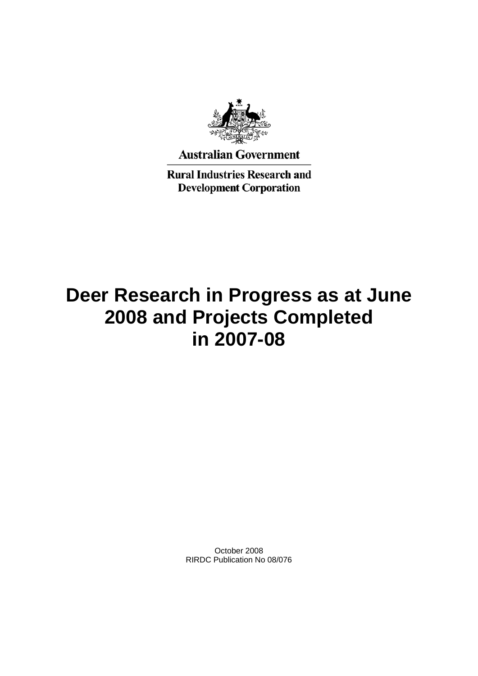

**Australian Government** 

**Rural Industries Research and Development Corporation** 

# **Deer Research in Progress as at June 2008 and Projects Completed in 2007-08**

October 2008 RIRDC Publication No 08/076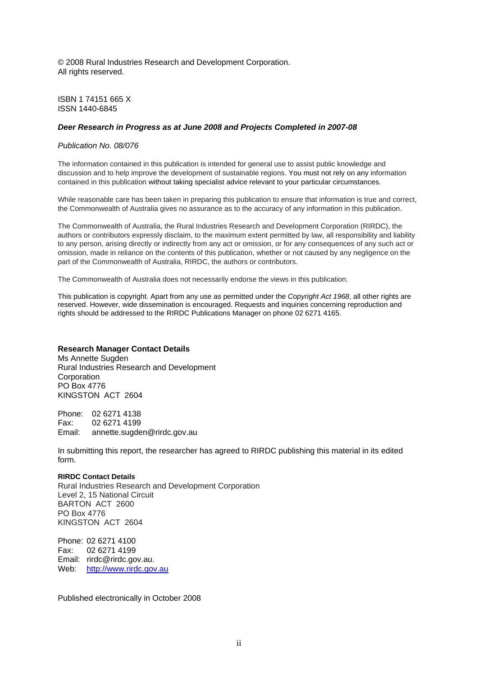© 2008 Rural Industries Research and Development Corporation. All rights reserved.

ISBN 1 74151 665 X ISSN 1440-6845

### *Deer Research in Progress as at June 2008 and Projects Completed in 2007-08*

## *Publication No. 08/076*

The information contained in this publication is intended for general use to assist public knowledge and discussion and to help improve the development of sustainable regions. You must not rely on any information contained in this publication without taking specialist advice relevant to your particular circumstances.

While reasonable care has been taken in preparing this publication to ensure that information is true and correct, the Commonwealth of Australia gives no assurance as to the accuracy of any information in this publication.

The Commonwealth of Australia, the Rural Industries Research and Development Corporation (RIRDC), the authors or contributors expressly disclaim, to the maximum extent permitted by law, all responsibility and liability to any person, arising directly or indirectly from any act or omission, or for any consequences of any such act or omission, made in reliance on the contents of this publication, whether or not caused by any negligence on the part of the Commonwealth of Australia, RIRDC, the authors or contributors.

The Commonwealth of Australia does not necessarily endorse the views in this publication.

This publication is copyright. Apart from any use as permitted under the *Copyright Act 1968*, all other rights are reserved. However, wide dissemination is encouraged. Requests and inquiries concerning reproduction and rights should be addressed to the RIRDC Publications Manager on phone 02 6271 4165.

### **Research Manager Contact Details**

Ms Annette Sugden Rural Industries Research and Development **Corporation** PO Box 4776 KINGSTON ACT 2604

Phone: 02 6271 4138 Fax: 02 6271 4199 Email: annette.sugden@rirdc.gov.au

In submitting this report, the researcher has agreed to RIRDC publishing this material in its edited form.

#### **RIRDC Contact Details**

Rural Industries Research and Development Corporation Level 2, 15 National Circuit BARTON ACT 2600 PO Box 4776 KINGSTON ACT 2604

Phone: 02 6271 4100 Fax: 02 6271 4199 Email: rirdc@rirdc.gov.au. Web: [http://www.rirdc.gov.au](http://www.rirdc.gov.au/)

Published electronically in October 2008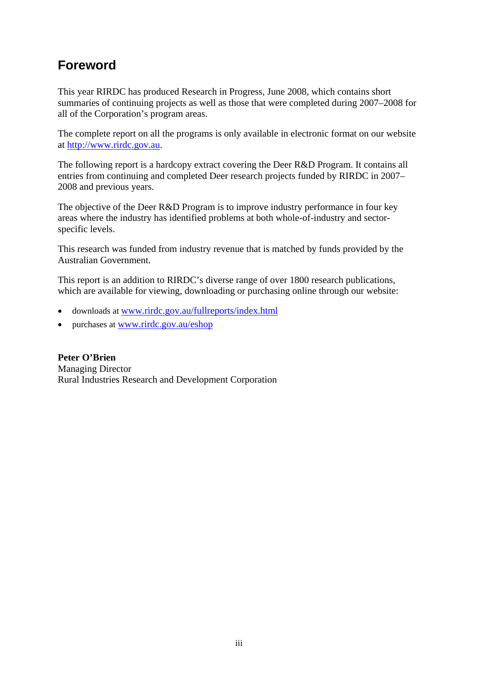# **Foreword**

This year RIRDC has produced Research in Progress, June 2008, which contains short summaries of continuing projects as well as those that were completed during 2007–2008 for all of the Corporation's program areas.

The complete report on all the programs is only available in electronic format on our website at [http://www.rirdc.gov.au](http://www.rirdc.gov.au/).

The following report is a hardcopy extract covering the Deer R&D Program. It contains all entries from continuing and completed Deer research projects funded by RIRDC in 2007– 2008 and previous years.

The objective of the Deer R&D Program is to improve industry performance in four key areas where the industry has identified problems at both whole-of-industry and sectorspecific levels.

This research was funded from industry revenue that is matched by funds provided by the Australian Government.

This report is an addition to RIRDC's diverse range of over 1800 research publications, which are available for viewing, downloading or purchasing online through our website:

- downloads at [www.rirdc.gov.au/fullreports/index.html](http://www.rirdc.gov.au/fullreports/index.html)
- purchases at [www.rirdc.gov.au/eshop](http://www.rirdc.gov.au/eshop)

**Peter O'Brien**  Managing Director Rural Industries Research and Development Corporation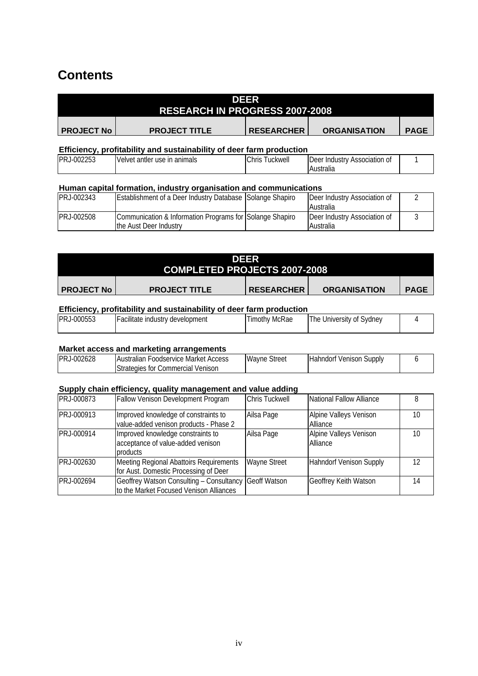# **Contents**

|                                                                      | <b>RESEARCH IN PROGRESS 2007-2008</b> | DEER              |                     |             |
|----------------------------------------------------------------------|---------------------------------------|-------------------|---------------------|-------------|
| <b>PROJECT No</b>                                                    | <b>PROJECT TITLE</b>                  | <b>RESEARCHER</b> | <b>ORGANISATION</b> | <b>PAGE</b> |
| Efficiency, profitability and sustainability of deer farm production |                                       |                   |                     |             |

| LM02252<br>PR.<br>UUZZJJ | antler use<br>anımals<br>Velvet<br>ın | Chris<br>uckwell | Deer<br>/ Association<br>Industry<br>⊦0t |  |
|--------------------------|---------------------------------------|------------------|------------------------------------------|--|
|                          |                                       |                  | Australia                                |  |

# **Human capital formation, industry organisation and communications**

| <b>PRJ-002343</b> | <b>Establishment of a Deer Industry Database Solange Shapiro</b> | Deer Industry Association of |  |
|-------------------|------------------------------------------------------------------|------------------------------|--|
|                   |                                                                  | Australia                    |  |
| IPRJ-002508       | Communication & Information Programs for Solange Shapiro         | Deer Industry Association of |  |
|                   | the Aust Deer Industry                                           | Australia                    |  |

|                   | <b>COMPLETED PROJECTS 2007-2008</b> | DEER              |                     |             |
|-------------------|-------------------------------------|-------------------|---------------------|-------------|
| <b>PROJECT No</b> | <b>PROJECT TITLE</b>                | <b>RESEARCHER</b> | <b>ORGANISATION</b> | <b>PAGE</b> |

# **Efficiency, profitability and sustainability of deer farm production**

| PRJ-000553 | Facilitate industry development | Timothy McRae | : University of Sydney<br>I he |  |
|------------|---------------------------------|---------------|--------------------------------|--|
|            |                                 |               |                                |  |

### **Market access and marketing arrangements**

| PRJ-002628 | <b>IAustralian Foodservice Market</b><br>Access | Wayne<br>Street | Venison Supply<br>Hahndorf |  |
|------------|-------------------------------------------------|-----------------|----------------------------|--|
|            | Commercial Venison<br>strategies for l          |                 |                            |  |

## **Supply chain efficiency, quality management and value adding**

| PRJ-000873 | Fallow Venison Development Program                                                               | Chris Tuckwell      | National Fallow Alliance           |    |
|------------|--------------------------------------------------------------------------------------------------|---------------------|------------------------------------|----|
| PRJ-000913 | Improved knowledge of constraints to<br>value-added venison products - Phase 2                   | Ailsa Page          | Alpine Valleys Venison<br>Alliance | 10 |
| PRJ-000914 | Improved knowledge constraints to<br>acceptance of value-added venison<br>products               | Ailsa Page          | Alpine Valleys Venison<br>Alliance | 10 |
| PRJ-002630 | <b>Meeting Regional Abattoirs Requirements</b><br>for Aust. Domestic Processing of Deer          | <b>Wayne Street</b> | <b>Hahndorf Venison Supply</b>     | 12 |
| PRJ-002694 | Geoffrey Watson Consulting - Consultancy Geoff Watson<br>to the Market Focused Venison Alliances |                     | <b>Geoffrey Keith Watson</b>       | 14 |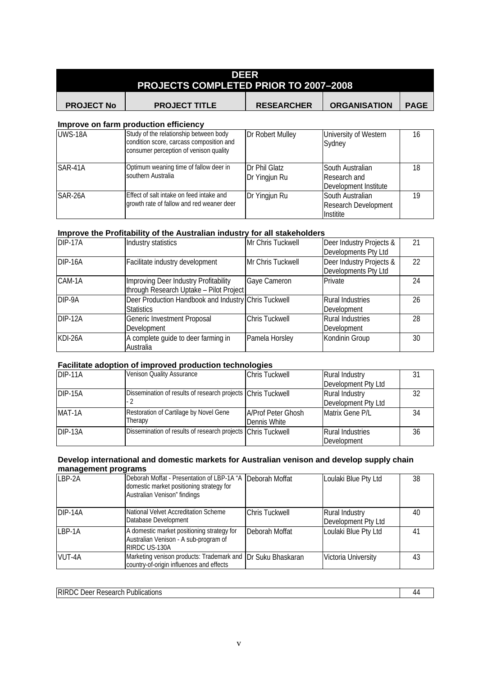|                   | <b>PROJECTS COMPLETED PRIOR TO 2007-2008</b>                                                                                 | DEER                           |                                                           |             |
|-------------------|------------------------------------------------------------------------------------------------------------------------------|--------------------------------|-----------------------------------------------------------|-------------|
| <b>PROJECT No</b> | <b>PROJECT TITLE</b>                                                                                                         | <b>RESEARCHER</b>              | <b>ORGANISATION</b>                                       | <b>PAGE</b> |
|                   | Improve on farm production efficiency                                                                                        |                                |                                                           |             |
| <b>UWS-18A</b>    | Study of the relationship between body<br>condition score, carcass composition and<br>consumer perception of venison quality | Dr Robert Mulley               | University of Western<br>Sydney                           | 16          |
| SAR-41A           | Optimum weaning time of fallow deer in<br>southern Australia                                                                 | Dr Phil Glatz<br>Dr Yingjun Ru | South Australian<br>Research and<br>Development Institute | 18          |

Dr Yingjun Ru South Australian

Research Development

[19](#page-24-0)

**Institite** 

# **Improve the Profitability of the Australian industry for all stakeholders**

[growth rate of fallow and red weaner deer](#page-24-0)

SAR-26A [Effect of salt intake on feed intake and](#page-24-0) 

| DIP-17A | Industry statistics                                                              | Mr Chris Tuckwell     | Deer Industry Projects &<br>Developments Pty Ltd | 21 |
|---------|----------------------------------------------------------------------------------|-----------------------|--------------------------------------------------|----|
| DIP-16A | Facilitate industry development                                                  | Mr Chris Tuckwell     | Deer Industry Projects &<br>Developments Pty Ltd | 22 |
| CAM-1A  | Improving Deer Industry Profitability<br>through Research Uptake - Pilot Project | Gaye Cameron          | Private                                          | 24 |
| DIP-9A  | Deer Production Handbook and Industry Chris Tuckwell<br><b>Statistics</b>        |                       | <b>Rural Industries</b><br>Development           | 26 |
| DIP-12A | Generic Investment Proposal<br>Development                                       | <b>Chris Tuckwell</b> | <b>Rural Industries</b><br>Development           | 28 |
| KDI-26A | A complete guide to deer farming in<br>Australia                                 | Pamela Horsley        | Kondinin Group                                   | 30 |

### **Facilitate adoption of improved production technologies**

| DIP-11A    | Venison Quality Assurance                                    | <b>Chris Tuckwell</b>     | <b>Rural Industry</b>   |    |
|------------|--------------------------------------------------------------|---------------------------|-------------------------|----|
|            |                                                              |                           | Development Pty Ltd     |    |
| $IDIP-15A$ | Dissemination of results of research projects Chris Tuckwell |                           | Rural Industry          | 32 |
|            |                                                              |                           | Development Pty Ltd     |    |
| MAT-1A     | Restoration of Cartilage by Novel Gene                       | <b>A/Prof Peter Ghosh</b> | Matrix Gene P/L         | 34 |
|            | Therapy                                                      | Dennis White              |                         |    |
| DIP-13A    | Dissemination of results of research projects Chris Tuckwell |                           | <b>Rural Industries</b> | 36 |
|            |                                                              |                           | Development             |    |

# **Develop international and domestic markets for Australian venison and develop supply chain management programs**

| LBP-2A     | Deborah Moffat - Presentation of LBP-1A "A Deborah Moffat<br>domestic market positioning strategy for<br>Australian Venison" findings |                | Loulaki Blue Pty Ltd                         | 38 |
|------------|---------------------------------------------------------------------------------------------------------------------------------------|----------------|----------------------------------------------|----|
| $IDIP-14A$ | National Velvet Accreditation Scheme<br>Database Development                                                                          | Chris Tuckwell | <b>Rural Industry</b><br>Development Pty Ltd | 40 |
| LBP-1A     | A domestic market positioning strategy for<br>Australian Venison - A sub-program of<br>RIRDC US-130A                                  | Deborah Moffat | Loulaki Blue Pty Ltd                         | 41 |
| VUT-4A     | Marketing venison products: Trademark and IDr Suku Bhaskaran<br>country-of-origin influences and effects                              |                | Victoria University                          | 43 |

[RIRDC Deer Research Publications](#page-49-0) [44](#page-49-0)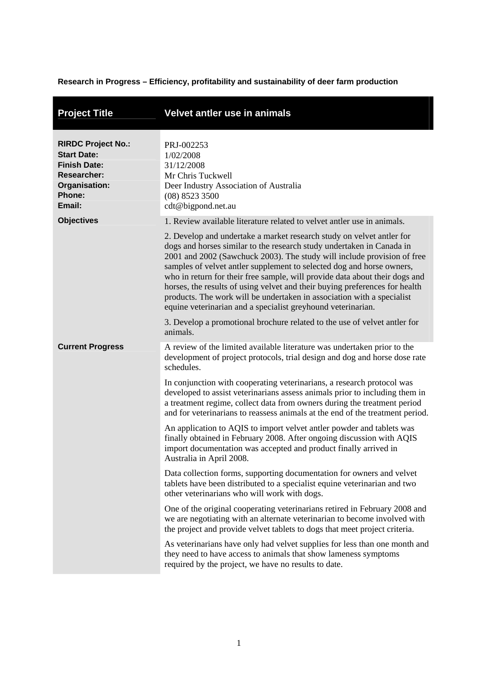**Research in Progress – Efficiency, profitability and sustainability of deer farm production** 

<span id="page-6-0"></span>

| <b>Project Title</b>                                                                                                              | Velvet antler use in animals                                                                                                                                                                                                                                                                                                                                                                                                                                                                                                                                                                               |
|-----------------------------------------------------------------------------------------------------------------------------------|------------------------------------------------------------------------------------------------------------------------------------------------------------------------------------------------------------------------------------------------------------------------------------------------------------------------------------------------------------------------------------------------------------------------------------------------------------------------------------------------------------------------------------------------------------------------------------------------------------|
| <b>RIRDC Project No.:</b><br><b>Start Date:</b><br><b>Finish Date:</b><br><b>Researcher:</b><br>Organisation:<br>Phone:<br>Email: | PRJ-002253<br>1/02/2008<br>31/12/2008<br>Mr Chris Tuckwell<br>Deer Industry Association of Australia<br>(08) 8523 3500<br>cdt@bigpond.net.au                                                                                                                                                                                                                                                                                                                                                                                                                                                               |
| <b>Objectives</b>                                                                                                                 | 1. Review available literature related to velvet antler use in animals.                                                                                                                                                                                                                                                                                                                                                                                                                                                                                                                                    |
|                                                                                                                                   | 2. Develop and undertake a market research study on velvet antler for<br>dogs and horses similar to the research study undertaken in Canada in<br>2001 and 2002 (Sawchuck 2003). The study will include provision of free<br>samples of velvet antler supplement to selected dog and horse owners,<br>who in return for their free sample, will provide data about their dogs and<br>horses, the results of using velvet and their buying preferences for health<br>products. The work will be undertaken in association with a specialist<br>equine veterinarian and a specialist greyhound veterinarian. |
|                                                                                                                                   | 3. Develop a promotional brochure related to the use of velvet antler for<br>animals.                                                                                                                                                                                                                                                                                                                                                                                                                                                                                                                      |
| <b>Current Progress</b>                                                                                                           | A review of the limited available literature was undertaken prior to the<br>development of project protocols, trial design and dog and horse dose rate<br>schedules.                                                                                                                                                                                                                                                                                                                                                                                                                                       |
|                                                                                                                                   | In conjunction with cooperating veterinarians, a research protocol was<br>developed to assist veterinarians assess animals prior to including them in<br>a treatment regime, collect data from owners during the treatment period<br>and for veterinarians to reassess animals at the end of the treatment period.                                                                                                                                                                                                                                                                                         |
|                                                                                                                                   | An application to AQIS to import velvet antler powder and tablets was<br>finally obtained in February 2008. After ongoing discussion with AQIS<br>import documentation was accepted and product finally arrived in<br>Australia in April 2008.                                                                                                                                                                                                                                                                                                                                                             |
|                                                                                                                                   | Data collection forms, supporting documentation for owners and velvet<br>tablets have been distributed to a specialist equine veterinarian and two<br>other veterinarians who will work with dogs.                                                                                                                                                                                                                                                                                                                                                                                                         |
|                                                                                                                                   | One of the original cooperating veterinarians retired in February 2008 and<br>we are negotiating with an alternate veterinarian to become involved with<br>the project and provide velvet tablets to dogs that meet project criteria.                                                                                                                                                                                                                                                                                                                                                                      |
|                                                                                                                                   | As veterinarians have only had velvet supplies for less than one month and<br>they need to have access to animals that show lameness symptoms<br>required by the project, we have no results to date.                                                                                                                                                                                                                                                                                                                                                                                                      |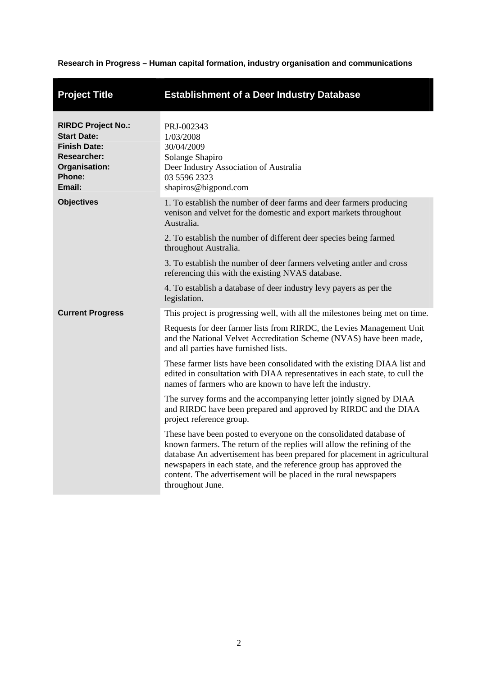# **Research in Progress – Human capital formation, industry organisation and communications**

<span id="page-7-0"></span>

| <b>Project Title</b>                                                                                                              | <b>Establishment of a Deer Industry Database</b>                                                                                                                                                                                                                                                                                                                                          |
|-----------------------------------------------------------------------------------------------------------------------------------|-------------------------------------------------------------------------------------------------------------------------------------------------------------------------------------------------------------------------------------------------------------------------------------------------------------------------------------------------------------------------------------------|
| <b>RIRDC Project No.:</b><br><b>Start Date:</b><br><b>Finish Date:</b><br><b>Researcher:</b><br>Organisation:<br>Phone:<br>Email: | PRJ-002343<br>1/03/2008<br>30/04/2009<br>Solange Shapiro<br>Deer Industry Association of Australia<br>03 5596 2323<br>shapiros@bigpond.com                                                                                                                                                                                                                                                |
| <b>Objectives</b>                                                                                                                 | 1. To establish the number of deer farms and deer farmers producing<br>venison and velvet for the domestic and export markets throughout<br>Australia.<br>2. To establish the number of different deer species being farmed<br>throughout Australia.                                                                                                                                      |
|                                                                                                                                   | 3. To establish the number of deer farmers velveting antler and cross<br>referencing this with the existing NVAS database.<br>4. To establish a database of deer industry levy payers as per the                                                                                                                                                                                          |
|                                                                                                                                   | legislation.                                                                                                                                                                                                                                                                                                                                                                              |
| <b>Current Progress</b>                                                                                                           | This project is progressing well, with all the milestones being met on time.                                                                                                                                                                                                                                                                                                              |
|                                                                                                                                   | Requests for deer farmer lists from RIRDC, the Levies Management Unit<br>and the National Velvet Accreditation Scheme (NVAS) have been made,<br>and all parties have furnished lists.                                                                                                                                                                                                     |
|                                                                                                                                   | These farmer lists have been consolidated with the existing DIAA list and<br>edited in consultation with DIAA representatives in each state, to cull the<br>names of farmers who are known to have left the industry.                                                                                                                                                                     |
|                                                                                                                                   | The survey forms and the accompanying letter jointly signed by DIAA<br>and RIRDC have been prepared and approved by RIRDC and the DIAA<br>project reference group.                                                                                                                                                                                                                        |
|                                                                                                                                   | These have been posted to everyone on the consolidated database of<br>known farmers. The return of the replies will allow the refining of the<br>database An advertisement has been prepared for placement in agricultural<br>newspapers in each state, and the reference group has approved the<br>content. The advertisement will be placed in the rural newspapers<br>throughout June. |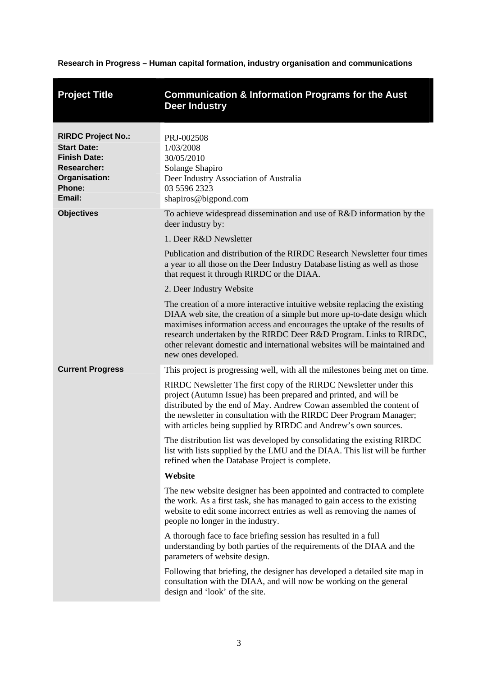**Research in Progress – Human capital formation, industry organisation and communications** 

<span id="page-8-0"></span>

| <b>Project Title</b>                                                                                                              | <b>Communication &amp; Information Programs for the Aust</b><br><b>Deer Industry</b>                                                                                                                                                                                                                                                                                                                          |
|-----------------------------------------------------------------------------------------------------------------------------------|---------------------------------------------------------------------------------------------------------------------------------------------------------------------------------------------------------------------------------------------------------------------------------------------------------------------------------------------------------------------------------------------------------------|
| <b>RIRDC Project No.:</b><br><b>Start Date:</b><br><b>Finish Date:</b><br><b>Researcher:</b><br>Organisation:<br>Phone:<br>Email: | PRJ-002508<br>1/03/2008<br>30/05/2010<br>Solange Shapiro<br>Deer Industry Association of Australia<br>03 5596 2323<br>shapiros@bigpond.com                                                                                                                                                                                                                                                                    |
| <b>Objectives</b>                                                                                                                 | To achieve widespread dissemination and use of R&D information by the<br>deer industry by:                                                                                                                                                                                                                                                                                                                    |
|                                                                                                                                   | 1. Deer R&D Newsletter                                                                                                                                                                                                                                                                                                                                                                                        |
|                                                                                                                                   | Publication and distribution of the RIRDC Research Newsletter four times<br>a year to all those on the Deer Industry Database listing as well as those<br>that request it through RIRDC or the DIAA.                                                                                                                                                                                                          |
|                                                                                                                                   | 2. Deer Industry Website                                                                                                                                                                                                                                                                                                                                                                                      |
|                                                                                                                                   | The creation of a more interactive intuitive website replacing the existing<br>DIAA web site, the creation of a simple but more up-to-date design which<br>maximises information access and encourages the uptake of the results of<br>research undertaken by the RIRDC Deer R&D Program. Links to RIRDC,<br>other relevant domestic and international websites will be maintained and<br>new ones developed. |
| <b>Current Progress</b>                                                                                                           | This project is progressing well, with all the milestones being met on time.                                                                                                                                                                                                                                                                                                                                  |
|                                                                                                                                   | RIRDC Newsletter The first copy of the RIRDC Newsletter under this<br>project (Autumn Issue) has been prepared and printed, and will be<br>distributed by the end of May. Andrew Cowan assembled the content of<br>the newsletter in consultation with the RIRDC Deer Program Manager;<br>with articles being supplied by RIRDC and Andrew's own sources.                                                     |
|                                                                                                                                   | The distribution list was developed by consolidating the existing RIRDC<br>list with lists supplied by the LMU and the DIAA. This list will be further<br>refined when the Database Project is complete.                                                                                                                                                                                                      |
|                                                                                                                                   | Website                                                                                                                                                                                                                                                                                                                                                                                                       |
|                                                                                                                                   | The new website designer has been appointed and contracted to complete<br>the work. As a first task, she has managed to gain access to the existing<br>website to edit some incorrect entries as well as removing the names of<br>people no longer in the industry.                                                                                                                                           |
|                                                                                                                                   | A thorough face to face briefing session has resulted in a full<br>understanding by both parties of the requirements of the DIAA and the<br>parameters of website design.                                                                                                                                                                                                                                     |
|                                                                                                                                   | Following that briefing, the designer has developed a detailed site map in<br>consultation with the DIAA, and will now be working on the general<br>design and 'look' of the site.                                                                                                                                                                                                                            |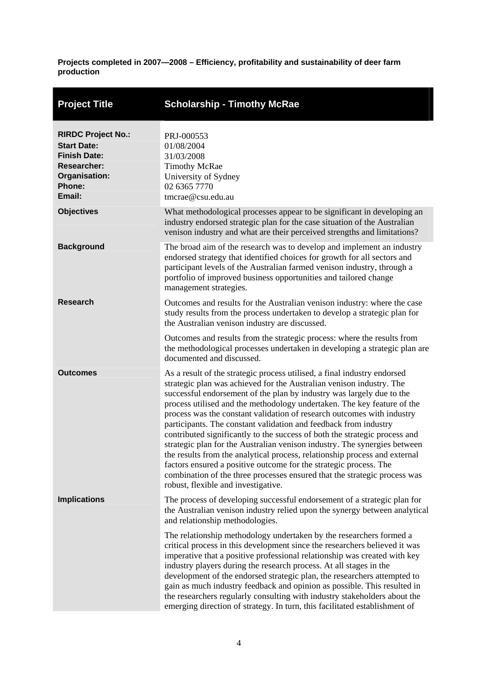**Projects completed in 2007—2008 – Efficiency, profitability and sustainability of deer farm production** 

<span id="page-9-0"></span>

| <b>Project Title</b>                                                                                                              | <b>Scholarship - Timothy McRae</b>                                                                                                                                                                                                                                                                                                                                                                                                                                                                                                                                                                                                                                                                                                                                                                                                                                                   |
|-----------------------------------------------------------------------------------------------------------------------------------|--------------------------------------------------------------------------------------------------------------------------------------------------------------------------------------------------------------------------------------------------------------------------------------------------------------------------------------------------------------------------------------------------------------------------------------------------------------------------------------------------------------------------------------------------------------------------------------------------------------------------------------------------------------------------------------------------------------------------------------------------------------------------------------------------------------------------------------------------------------------------------------|
| <b>RIRDC Project No.:</b><br><b>Start Date:</b><br><b>Finish Date:</b><br><b>Researcher:</b><br>Organisation:<br>Phone:<br>Email: | PRJ-000553<br>01/08/2004<br>31/03/2008<br><b>Timothy McRae</b><br>University of Sydney<br>02 6365 7770<br>tmcrae@csu.edu.au                                                                                                                                                                                                                                                                                                                                                                                                                                                                                                                                                                                                                                                                                                                                                          |
| <b>Objectives</b>                                                                                                                 | What methodological processes appear to be significant in developing an<br>industry endorsed strategic plan for the case situation of the Australian<br>venison industry and what are their perceived strengths and limitations?                                                                                                                                                                                                                                                                                                                                                                                                                                                                                                                                                                                                                                                     |
| <b>Background</b>                                                                                                                 | The broad aim of the research was to develop and implement an industry<br>endorsed strategy that identified choices for growth for all sectors and<br>participant levels of the Australian farmed venison industry, through a<br>portfolio of improved business opportunities and tailored change<br>management strategies.                                                                                                                                                                                                                                                                                                                                                                                                                                                                                                                                                          |
| <b>Research</b>                                                                                                                   | Outcomes and results for the Australian venison industry: where the case<br>study results from the process undertaken to develop a strategic plan for<br>the Australian venison industry are discussed.                                                                                                                                                                                                                                                                                                                                                                                                                                                                                                                                                                                                                                                                              |
|                                                                                                                                   | Outcomes and results from the strategic process: where the results from<br>the methodological processes undertaken in developing a strategic plan are<br>documented and discussed.                                                                                                                                                                                                                                                                                                                                                                                                                                                                                                                                                                                                                                                                                                   |
| <b>Outcomes</b>                                                                                                                   | As a result of the strategic process utilised, a final industry endorsed<br>strategic plan was achieved for the Australian venison industry. The<br>successful endorsement of the plan by industry was largely due to the<br>process utilised and the methodology undertaken. The key feature of the<br>process was the constant validation of research outcomes with industry<br>participants. The constant validation and feedback from industry<br>contributed significantly to the success of both the strategic process and<br>strategic plan for the Australian venison industry. The synergies between<br>the results from the analytical process, relationship process and external<br>factors ensured a positive outcome for the strategic process. The<br>combination of the three processes ensured that the strategic process was<br>robust, flexible and investigative. |
| <b>Implications</b>                                                                                                               | The process of developing successful endorsement of a strategic plan for<br>the Australian venison industry relied upon the synergy between analytical<br>and relationship methodologies.                                                                                                                                                                                                                                                                                                                                                                                                                                                                                                                                                                                                                                                                                            |
|                                                                                                                                   | The relationship methodology undertaken by the researchers formed a<br>critical process in this development since the researchers believed it was<br>imperative that a positive professional relationship was created with key<br>industry players during the research process. At all stages in the<br>development of the endorsed strategic plan, the researchers attempted to<br>gain as much industry feedback and opinion as possible. This resulted in<br>the researchers regularly consulting with industry stakeholders about the<br>emerging direction of strategy. In turn, this facilitated establishment of                                                                                                                                                                                                                                                              |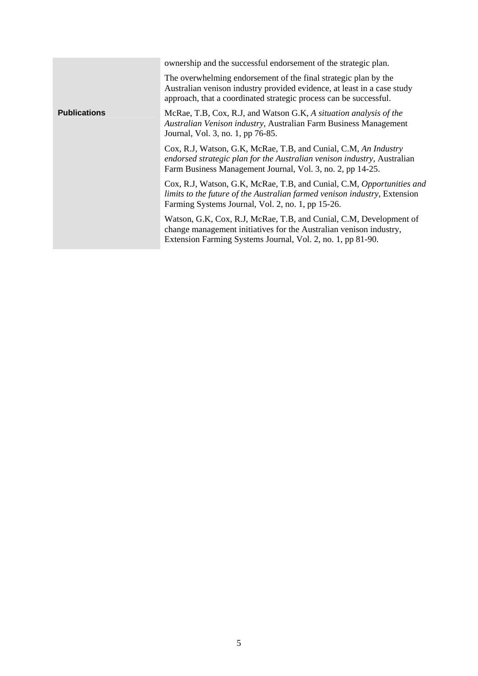|                     | ownership and the successful endorsement of the strategic plan.                                                                                                                                                 |
|---------------------|-----------------------------------------------------------------------------------------------------------------------------------------------------------------------------------------------------------------|
|                     | The overwhelming endorsement of the final strategic plan by the<br>Australian venison industry provided evidence, at least in a case study<br>approach, that a coordinated strategic process can be successful. |
| <b>Publications</b> | McRae, T.B, Cox, R.J, and Watson G.K, A situation analysis of the<br>Australian Venison industry, Australian Farm Business Management<br>Journal, Vol. 3, no. 1, pp 76-85.                                      |
|                     | Cox, R.J, Watson, G.K, McRae, T.B, and Cunial, C.M, An Industry<br>endorsed strategic plan for the Australian venison industry, Australian<br>Farm Business Management Journal, Vol. 3, no. 2, pp 14-25.        |
|                     | Cox, R.J, Watson, G.K, McRae, T.B, and Cunial, C.M, Opportunities and<br>limits to the future of the Australian farmed venison industry, Extension<br>Farming Systems Journal, Vol. 2, no. 1, pp 15-26.         |
|                     | Watson, G.K, Cox, R.J, McRae, T.B, and Cunial, C.M, Development of<br>change management initiatives for the Australian venison industry,<br>Extension Farming Systems Journal, Vol. 2, no. 1, pp 81-90.         |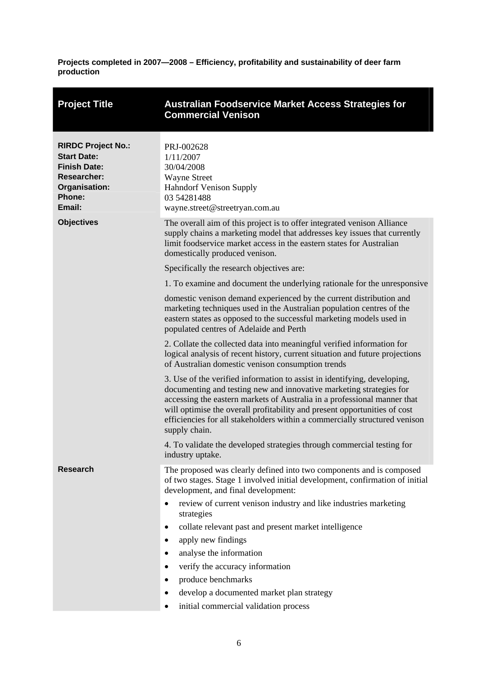**Projects completed in 2007—2008 – Efficiency, profitability and sustainability of deer farm production** 

<span id="page-11-0"></span>

| <b>Project Title</b>                                                                                                              | Australian Foodservice Market Access Strategies for<br><b>Commercial Venison</b>                                                                                                                                                                                                                                                                                                                        |
|-----------------------------------------------------------------------------------------------------------------------------------|---------------------------------------------------------------------------------------------------------------------------------------------------------------------------------------------------------------------------------------------------------------------------------------------------------------------------------------------------------------------------------------------------------|
| <b>RIRDC Project No.:</b><br><b>Start Date:</b><br><b>Finish Date:</b><br><b>Researcher:</b><br>Organisation:<br>Phone:<br>Email: | PRJ-002628<br>1/11/2007<br>30/04/2008<br><b>Wayne Street</b><br><b>Hahndorf Venison Supply</b><br>03 54281488<br>wayne.street@streetryan.com.au                                                                                                                                                                                                                                                         |
| <b>Objectives</b>                                                                                                                 | The overall aim of this project is to offer integrated venison Alliance<br>supply chains a marketing model that addresses key issues that currently<br>limit foodservice market access in the eastern states for Australian<br>domestically produced venison.                                                                                                                                           |
|                                                                                                                                   | Specifically the research objectives are:                                                                                                                                                                                                                                                                                                                                                               |
|                                                                                                                                   | 1. To examine and document the underlying rationale for the unresponsive                                                                                                                                                                                                                                                                                                                                |
|                                                                                                                                   | domestic venison demand experienced by the current distribution and<br>marketing techniques used in the Australian population centres of the<br>eastern states as opposed to the successful marketing models used in<br>populated centres of Adelaide and Perth                                                                                                                                         |
|                                                                                                                                   | 2. Collate the collected data into meaningful verified information for<br>logical analysis of recent history, current situation and future projections<br>of Australian domestic venison consumption trends                                                                                                                                                                                             |
|                                                                                                                                   | 3. Use of the verified information to assist in identifying, developing,<br>documenting and testing new and innovative marketing strategies for<br>accessing the eastern markets of Australia in a professional manner that<br>will optimise the overall profitability and present opportunities of cost<br>efficiencies for all stakeholders within a commercially structured venison<br>supply chain. |
|                                                                                                                                   | 4. To validate the developed strategies through commercial testing for<br>industry uptake.                                                                                                                                                                                                                                                                                                              |
| <b>Research</b>                                                                                                                   | The proposed was clearly defined into two components and is composed<br>of two stages. Stage 1 involved initial development, confirmation of initial<br>development, and final development:                                                                                                                                                                                                             |
|                                                                                                                                   | review of current venison industry and like industries marketing<br>strategies                                                                                                                                                                                                                                                                                                                          |
|                                                                                                                                   | collate relevant past and present market intelligence<br>٠                                                                                                                                                                                                                                                                                                                                              |
|                                                                                                                                   | apply new findings<br>٠                                                                                                                                                                                                                                                                                                                                                                                 |
|                                                                                                                                   | analyse the information<br>$\bullet$                                                                                                                                                                                                                                                                                                                                                                    |
|                                                                                                                                   | verify the accuracy information<br>$\bullet$                                                                                                                                                                                                                                                                                                                                                            |
|                                                                                                                                   | produce benchmarks<br>٠                                                                                                                                                                                                                                                                                                                                                                                 |
|                                                                                                                                   | develop a documented market plan strategy<br>$\bullet$                                                                                                                                                                                                                                                                                                                                                  |
|                                                                                                                                   | initial commercial validation process<br>٠                                                                                                                                                                                                                                                                                                                                                              |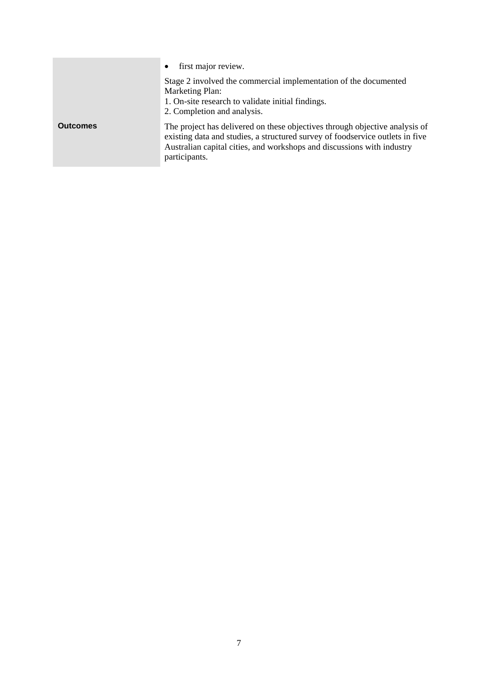|                 | first major review.<br>$\bullet$                                                                                                                                                                                                                        |
|-----------------|---------------------------------------------------------------------------------------------------------------------------------------------------------------------------------------------------------------------------------------------------------|
|                 | Stage 2 involved the commercial implementation of the documented<br><b>Marketing Plan:</b><br>1. On-site research to validate initial findings.<br>2. Completion and analysis.                                                                          |
| <b>Outcomes</b> | The project has delivered on these objectives through objective analysis of<br>existing data and studies, a structured survey of foodservice outlets in five<br>Australian capital cities, and workshops and discussions with industry<br>participants. |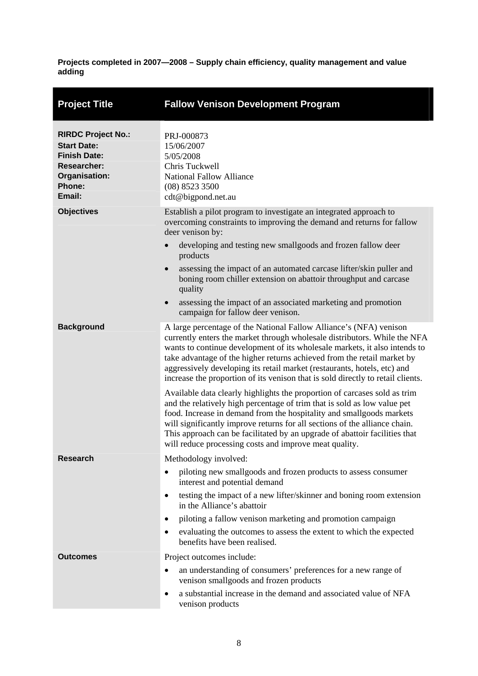<span id="page-13-0"></span>

| <b>Project Title</b>                                                                                                              | <b>Fallow Venison Development Program</b>                                                                                                                                                                                                                                                                                                                                                                                                                                                                                                                                                                                                                                                                                                                                                                                                                            |
|-----------------------------------------------------------------------------------------------------------------------------------|----------------------------------------------------------------------------------------------------------------------------------------------------------------------------------------------------------------------------------------------------------------------------------------------------------------------------------------------------------------------------------------------------------------------------------------------------------------------------------------------------------------------------------------------------------------------------------------------------------------------------------------------------------------------------------------------------------------------------------------------------------------------------------------------------------------------------------------------------------------------|
| <b>RIRDC Project No.:</b><br><b>Start Date:</b><br><b>Finish Date:</b><br><b>Researcher:</b><br>Organisation:<br>Phone:<br>Email: | PRJ-000873<br>15/06/2007<br>5/05/2008<br>Chris Tuckwell<br><b>National Fallow Alliance</b><br>(08) 8523 3500<br>cdt@bigpond.net.au                                                                                                                                                                                                                                                                                                                                                                                                                                                                                                                                                                                                                                                                                                                                   |
| <b>Objectives</b>                                                                                                                 | Establish a pilot program to investigate an integrated approach to<br>overcoming constraints to improving the demand and returns for fallow<br>deer venison by:<br>developing and testing new smallgoods and frozen fallow deer<br>$\bullet$<br>products<br>assessing the impact of an automated carcase lifter/skin puller and<br>$\bullet$<br>boning room chiller extension on abattoir throughput and carcase<br>quality<br>assessing the impact of an associated marketing and promotion<br>$\bullet$<br>campaign for fallow deer venison.                                                                                                                                                                                                                                                                                                                       |
| <b>Background</b>                                                                                                                 | A large percentage of the National Fallow Alliance's (NFA) venison<br>currently enters the market through wholesale distributors. While the NFA<br>wants to continue development of its wholesale markets, it also intends to<br>take advantage of the higher returns achieved from the retail market by<br>aggressively developing its retail market (restaurants, hotels, etc) and<br>increase the proportion of its venison that is sold directly to retail clients.<br>Available data clearly highlights the proportion of carcases sold as trim<br>and the relatively high percentage of trim that is sold as low value pet<br>food. Increase in demand from the hospitality and smallgoods markets<br>will significantly improve returns for all sections of the alliance chain.<br>This approach can be facilitated by an upgrade of abattoir facilities that |
| <b>Research</b>                                                                                                                   | will reduce processing costs and improve meat quality.<br>Methodology involved:<br>piloting new smallgoods and frozen products to assess consumer<br>٠<br>interest and potential demand<br>testing the impact of a new lifter/skinner and boning room extension<br>٠<br>in the Alliance's abattoir<br>piloting a fallow venison marketing and promotion campaign<br>$\bullet$<br>evaluating the outcomes to assess the extent to which the expected<br>٠                                                                                                                                                                                                                                                                                                                                                                                                             |
| <b>Outcomes</b>                                                                                                                   | benefits have been realised.<br>Project outcomes include:<br>an understanding of consumers' preferences for a new range of<br>٠<br>venison smallgoods and frozen products<br>a substantial increase in the demand and associated value of NFA<br>$\bullet$<br>venison products                                                                                                                                                                                                                                                                                                                                                                                                                                                                                                                                                                                       |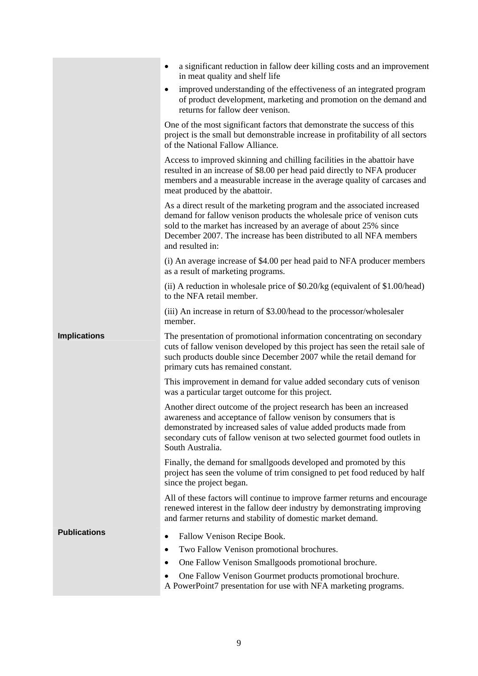|                     | a significant reduction in fallow deer killing costs and an improvement<br>$\bullet$<br>in meat quality and shelf life                                                                                                                                                                                             |
|---------------------|--------------------------------------------------------------------------------------------------------------------------------------------------------------------------------------------------------------------------------------------------------------------------------------------------------------------|
|                     | improved understanding of the effectiveness of an integrated program<br>$\bullet$<br>of product development, marketing and promotion on the demand and<br>returns for fallow deer venison.                                                                                                                         |
|                     | One of the most significant factors that demonstrate the success of this<br>project is the small but demonstrable increase in profitability of all sectors<br>of the National Fallow Alliance.                                                                                                                     |
|                     | Access to improved skinning and chilling facilities in the abattoir have<br>resulted in an increase of \$8.00 per head paid directly to NFA producer<br>members and a measurable increase in the average quality of carcases and<br>meat produced by the abattoir.                                                 |
|                     | As a direct result of the marketing program and the associated increased<br>demand for fallow venison products the wholesale price of venison cuts<br>sold to the market has increased by an average of about 25% since<br>December 2007. The increase has been distributed to all NFA members<br>and resulted in: |
|                     | (i) An average increase of \$4.00 per head paid to NFA producer members<br>as a result of marketing programs.                                                                                                                                                                                                      |
|                     | (ii) A reduction in wholesale price of \$0.20/kg (equivalent of \$1.00/head)<br>to the NFA retail member.                                                                                                                                                                                                          |
|                     | (iii) An increase in return of \$3.00/head to the processor/wholesaler<br>member.                                                                                                                                                                                                                                  |
| <b>Implications</b> | The presentation of promotional information concentrating on secondary<br>cuts of fallow venison developed by this project has seen the retail sale of<br>such products double since December 2007 while the retail demand for<br>primary cuts has remained constant.                                              |
|                     | This improvement in demand for value added secondary cuts of venison<br>was a particular target outcome for this project.                                                                                                                                                                                          |
|                     | Another direct outcome of the project research has been an increased<br>awareness and acceptance of fallow vents by consumers that is<br>demonstrated by increased sales of value added products made from<br>secondary cuts of fallow venison at two selected gourmet food outlets in<br>South Australia.         |
|                     | Finally, the demand for smallgoods developed and promoted by this<br>project has seen the volume of trim consigned to pet food reduced by half<br>since the project began.                                                                                                                                         |
|                     | All of these factors will continue to improve farmer returns and encourage<br>renewed interest in the fallow deer industry by demonstrating improving<br>and farmer returns and stability of domestic market demand.                                                                                               |
| <b>Publications</b> | Fallow Venison Recipe Book.<br>٠                                                                                                                                                                                                                                                                                   |
|                     | Two Fallow Venison promotional brochures.<br>٠                                                                                                                                                                                                                                                                     |
|                     | One Fallow Venison Smallgoods promotional brochure.<br>$\bullet$                                                                                                                                                                                                                                                   |
|                     | One Fallow Venison Gourmet products promotional brochure.<br>A PowerPoint7 presentation for use with NFA marketing programs.                                                                                                                                                                                       |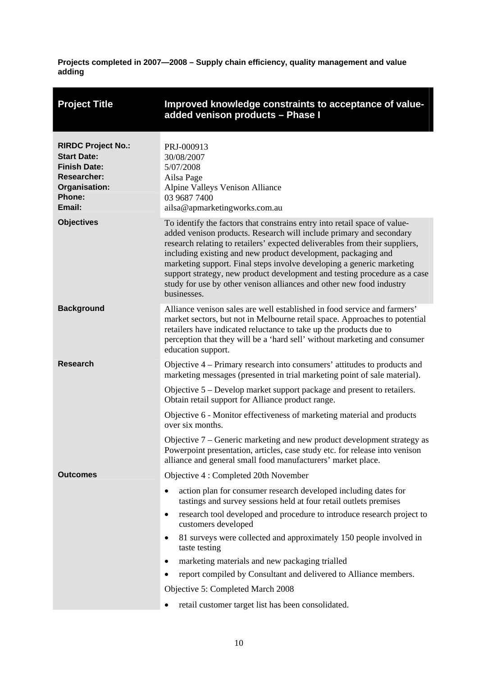<span id="page-15-0"></span>

| <b>Project Title</b>                                                                                                                     | Improved knowledge constraints to acceptance of value-<br>added venison products - Phase I                                                                                                                                                                                                                                                                                                                                                                                                                                                                                                                   |
|------------------------------------------------------------------------------------------------------------------------------------------|--------------------------------------------------------------------------------------------------------------------------------------------------------------------------------------------------------------------------------------------------------------------------------------------------------------------------------------------------------------------------------------------------------------------------------------------------------------------------------------------------------------------------------------------------------------------------------------------------------------|
| <b>RIRDC Project No.:</b><br><b>Start Date:</b><br><b>Finish Date:</b><br><b>Researcher:</b><br>Organisation:<br><b>Phone:</b><br>Email: | PRJ-000913<br>30/08/2007<br>5/07/2008<br>Ailsa Page<br>Alpine Valleys Venison Alliance<br>03 9687 7400<br>ailsa@apmarketingworks.com.au                                                                                                                                                                                                                                                                                                                                                                                                                                                                      |
| <b>Objectives</b>                                                                                                                        | To identify the factors that constrains entry into retail space of value-<br>added venison products. Research will include primary and secondary<br>research relating to retailers' expected deliverables from their suppliers,<br>including existing and new product development, packaging and<br>marketing support. Final steps involve developing a generic marketing<br>support strategy, new product development and testing procedure as a case<br>study for use by other venison alliances and other new food industry<br>businesses.                                                                |
| <b>Background</b>                                                                                                                        | Alliance venison sales are well established in food service and farmers'<br>market sectors, but not in Melbourne retail space. Approaches to potential<br>retailers have indicated reluctance to take up the products due to<br>perception that they will be a 'hard sell' without marketing and consumer<br>education support.                                                                                                                                                                                                                                                                              |
| <b>Research</b>                                                                                                                          | Objective 4 – Primary research into consumers' attitudes to products and<br>marketing messages (presented in trial marketing point of sale material).<br>Objective 5 – Develop market support package and present to retailers.<br>Obtain retail support for Alliance product range.<br>Objective 6 - Monitor effectiveness of marketing material and products<br>over six months.<br>Objective 7 – Generic marketing and new product development strategy as<br>Powerpoint presentation, articles, case study etc. for release into venison<br>alliance and general small food manufacturers' market place. |
| <b>Outcomes</b>                                                                                                                          | Objective 4 : Completed 20th November<br>action plan for consumer research developed including dates for<br>٠<br>tastings and survey sessions held at four retail outlets premises<br>research tool developed and procedure to introduce research project to<br>٠<br>customers developed<br>81 surveys were collected and approximately 150 people involved in<br>taste testing<br>marketing materials and new packaging trialled<br>٠<br>report compiled by Consultant and delivered to Alliance members.<br>Objective 5: Completed March 2008<br>retail customer target list has been consolidated.<br>٠   |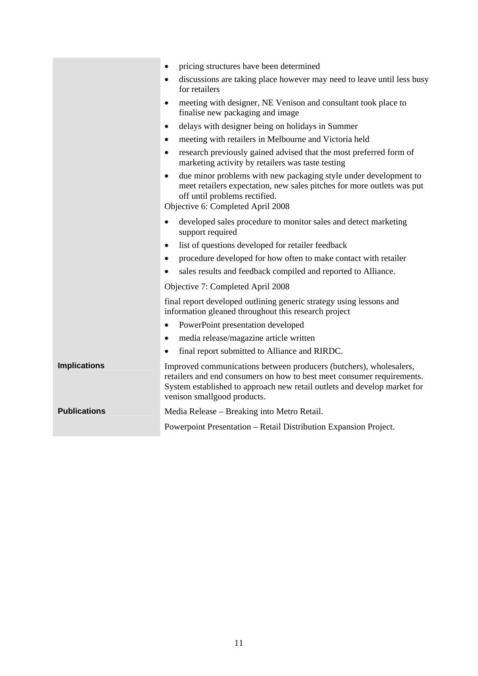|                     | pricing structures have been determined<br>٠                                                                                                                                                                                                            |
|---------------------|---------------------------------------------------------------------------------------------------------------------------------------------------------------------------------------------------------------------------------------------------------|
|                     | discussions are taking place however may need to leave until less busy<br>$\bullet$<br>for retailers                                                                                                                                                    |
|                     | meeting with designer, NE Venison and consultant took place to<br>$\bullet$<br>finalise new packaging and image                                                                                                                                         |
|                     | delays with designer being on holidays in Summer<br>$\bullet$                                                                                                                                                                                           |
|                     | meeting with retailers in Melbourne and Victoria held<br>٠                                                                                                                                                                                              |
|                     | research previously gained advised that the most preferred form of<br>$\bullet$<br>marketing activity by retailers was taste testing                                                                                                                    |
|                     | due minor problems with new packaging style under development to<br>$\bullet$<br>meet retailers expectation, new sales pitches for more outlets was put<br>off until problems rectified.<br>Objective 6: Completed April 2008                           |
|                     | developed sales procedure to monitor sales and detect marketing<br>٠<br>support required                                                                                                                                                                |
|                     | list of questions developed for retailer feedback<br>$\bullet$                                                                                                                                                                                          |
|                     | procedure developed for how often to make contact with retailer<br>$\bullet$                                                                                                                                                                            |
|                     | sales results and feedback compiled and reported to Alliance.                                                                                                                                                                                           |
|                     | Objective 7: Completed April 2008                                                                                                                                                                                                                       |
|                     | final report developed outlining generic strategy using lessons and<br>information gleaned throughout this research project                                                                                                                             |
|                     | PowerPoint presentation developed<br>$\bullet$                                                                                                                                                                                                          |
|                     | media release/magazine article written<br>$\bullet$                                                                                                                                                                                                     |
|                     | final report submitted to Alliance and RIRDC.<br>$\bullet$                                                                                                                                                                                              |
| <b>Implications</b> | Improved communications between producers (butchers), wholesalers,<br>retailers and end consumers on how to best meet consumer requirements.<br>System established to approach new retail outlets and develop market for<br>venison smallgood products. |
| <b>Publications</b> | Media Release – Breaking into Metro Retail.                                                                                                                                                                                                             |
|                     | Powerpoint Presentation - Retail Distribution Expansion Project.                                                                                                                                                                                        |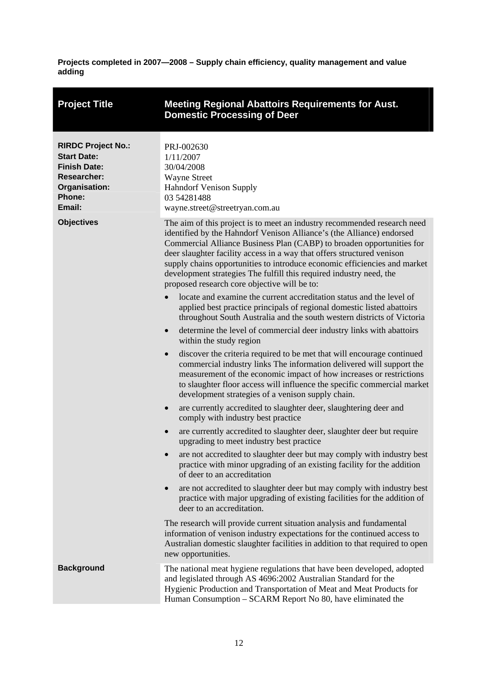<span id="page-17-0"></span>

| <b>Project Title</b>                                                                                                              | <b>Meeting Regional Abattoirs Requirements for Aust.</b><br><b>Domestic Processing of Deer</b>                                                                                                                                                                                                                                                                                                                                                                                                           |
|-----------------------------------------------------------------------------------------------------------------------------------|----------------------------------------------------------------------------------------------------------------------------------------------------------------------------------------------------------------------------------------------------------------------------------------------------------------------------------------------------------------------------------------------------------------------------------------------------------------------------------------------------------|
| <b>RIRDC Project No.:</b><br><b>Start Date:</b><br><b>Finish Date:</b><br><b>Researcher:</b><br>Organisation:<br>Phone:<br>Email: | PRJ-002630<br>1/11/2007<br>30/04/2008<br><b>Wayne Street</b><br><b>Hahndorf Venison Supply</b><br>03 54281488<br>wayne.street@streetryan.com.au                                                                                                                                                                                                                                                                                                                                                          |
| <b>Objectives</b>                                                                                                                 | The aim of this project is to meet an industry recommended research need<br>identified by the Hahndorf Venison Alliance's (the Alliance) endorsed<br>Commercial Alliance Business Plan (CABP) to broaden opportunities for<br>deer slaughter facility access in a way that offers structured venison<br>supply chains opportunities to introduce economic efficiencies and market<br>development strategies The fulfill this required industry need, the<br>proposed research core objective will be to: |
|                                                                                                                                   | locate and examine the current accreditation status and the level of<br>applied best practice principals of regional domestic listed abattoirs<br>throughout South Australia and the south western districts of Victoria                                                                                                                                                                                                                                                                                 |
|                                                                                                                                   | determine the level of commercial deer industry links with abattoirs<br>$\bullet$<br>within the study region                                                                                                                                                                                                                                                                                                                                                                                             |
|                                                                                                                                   | discover the criteria required to be met that will encourage continued<br>$\bullet$<br>commercial industry links The information delivered will support the<br>measurement of the economic impact of how increases or restrictions<br>to slaughter floor access will influence the specific commercial market<br>development strategies of a venison supply chain.                                                                                                                                       |
|                                                                                                                                   | are currently accredited to slaughter deer, slaughtering deer and<br>$\bullet$<br>comply with industry best practice                                                                                                                                                                                                                                                                                                                                                                                     |
|                                                                                                                                   | are currently accredited to slaughter deer, slaughter deer but require<br>$\bullet$<br>upgrading to meet industry best practice                                                                                                                                                                                                                                                                                                                                                                          |
|                                                                                                                                   | are not accredited to slaughter deer but may comply with industry best<br>practice with minor upgrading of an existing facility for the addition<br>of deer to an accreditation                                                                                                                                                                                                                                                                                                                          |
|                                                                                                                                   | are not accredited to slaughter deer but may comply with industry best<br>$\bullet$<br>practice with major upgrading of existing facilities for the addition of<br>deer to an accreditation.                                                                                                                                                                                                                                                                                                             |
|                                                                                                                                   | The research will provide current situation analysis and fundamental<br>information of venison industry expectations for the continued access to<br>Australian domestic slaughter facilities in addition to that required to open<br>new opportunities.                                                                                                                                                                                                                                                  |
| <b>Background</b>                                                                                                                 | The national meat hygiene regulations that have been developed, adopted<br>and legislated through AS 4696:2002 Australian Standard for the<br>Hygienic Production and Transportation of Meat and Meat Products for<br>Human Consumption – SCARM Report No 80, have eliminated the                                                                                                                                                                                                                        |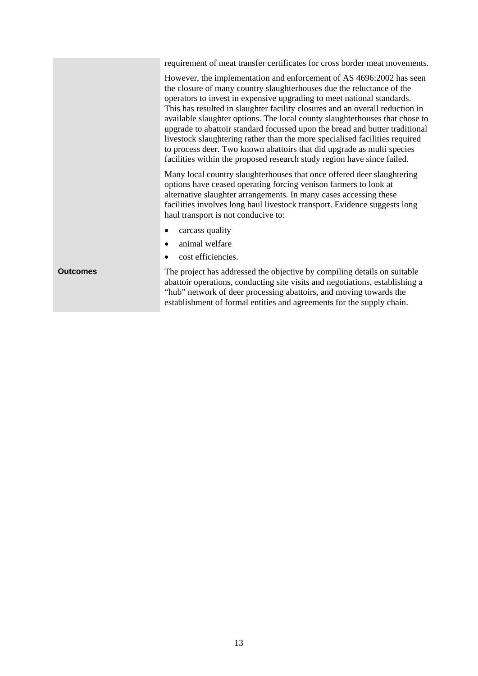|                 | requirement of meat transfer certificates for cross border meat movements.                                                                                                                                                                                                                                                                                                                                                                                                                                                                                                                                                                                                                                |
|-----------------|-----------------------------------------------------------------------------------------------------------------------------------------------------------------------------------------------------------------------------------------------------------------------------------------------------------------------------------------------------------------------------------------------------------------------------------------------------------------------------------------------------------------------------------------------------------------------------------------------------------------------------------------------------------------------------------------------------------|
|                 | However, the implementation and enforcement of AS 4696:2002 has seen<br>the closure of many country slaughterhouses due the reluctance of the<br>operators to invest in expensive upgrading to meet national standards.<br>This has resulted in slaughter facility closures and an overall reduction in<br>available slaughter options. The local county slaughterhouses that chose to<br>upgrade to abattoir standard focussed upon the bread and butter traditional<br>livestock slaughtering rather than the more specialised facilities required<br>to process deer. Two known abattoirs that did upgrade as multi species<br>facilities within the proposed research study region have since failed. |
|                 | Many local country slaughterhouses that once offered deer slaughtering<br>options have ceased operating forcing venison farmers to look at<br>alternative slaughter arrangements. In many cases accessing these<br>facilities involves long haul livestock transport. Evidence suggests long<br>haul transport is not conducive to:                                                                                                                                                                                                                                                                                                                                                                       |
|                 | carcass quality                                                                                                                                                                                                                                                                                                                                                                                                                                                                                                                                                                                                                                                                                           |
|                 | animal welfare<br>٠                                                                                                                                                                                                                                                                                                                                                                                                                                                                                                                                                                                                                                                                                       |
|                 | cost efficiencies.<br>٠                                                                                                                                                                                                                                                                                                                                                                                                                                                                                                                                                                                                                                                                                   |
| <b>Outcomes</b> | The project has addressed the objective by compiling details on suitable<br>abattoir operations, conducting site visits and negotiations, establishing a<br>"hub" network of deer processing abattoirs, and moving towards the<br>establishment of formal entities and agreements for the supply chain.                                                                                                                                                                                                                                                                                                                                                                                                   |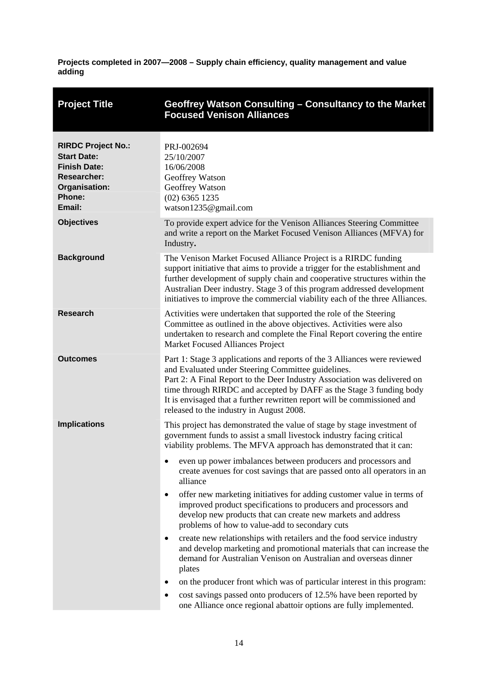<span id="page-19-0"></span>

| <b>Project Title</b>                                                                                                              | Geoffrey Watson Consulting - Consultancy to the Market<br><b>Focused Venison Alliances</b>                                                                                                                                                                                                                                                                                                                 |
|-----------------------------------------------------------------------------------------------------------------------------------|------------------------------------------------------------------------------------------------------------------------------------------------------------------------------------------------------------------------------------------------------------------------------------------------------------------------------------------------------------------------------------------------------------|
| <b>RIRDC Project No.:</b><br><b>Start Date:</b><br><b>Finish Date:</b><br><b>Researcher:</b><br>Organisation:<br>Phone:<br>Email: | PRJ-002694<br>25/10/2007<br>16/06/2008<br>Geoffrey Watson<br>Geoffrey Watson<br>$(02)$ 6365 1235<br>watson1235@gmail.com                                                                                                                                                                                                                                                                                   |
| <b>Objectives</b>                                                                                                                 | To provide expert advice for the Venison Alliances Steering Committee<br>and write a report on the Market Focused Venison Alliances (MFVA) for<br>Industry.                                                                                                                                                                                                                                                |
| <b>Background</b>                                                                                                                 | The Venison Market Focused Alliance Project is a RIRDC funding<br>support initiative that aims to provide a trigger for the establishment and<br>further development of supply chain and cooperative structures within the<br>Australian Deer industry. Stage 3 of this program addressed development<br>initiatives to improve the commercial viability each of the three Alliances.                      |
| <b>Research</b>                                                                                                                   | Activities were undertaken that supported the role of the Steering<br>Committee as outlined in the above objectives. Activities were also<br>undertaken to research and complete the Final Report covering the entire<br>Market Focused Alliances Project                                                                                                                                                  |
| <b>Outcomes</b>                                                                                                                   | Part 1: Stage 3 applications and reports of the 3 Alliances were reviewed<br>and Evaluated under Steering Committee guidelines.<br>Part 2: A Final Report to the Deer Industry Association was delivered on<br>time through RIRDC and accepted by DAFF as the Stage 3 funding body<br>It is envisaged that a further rewritten report will be commissioned and<br>released to the industry in August 2008. |
| <b>Implications</b>                                                                                                               | This project has demonstrated the value of stage by stage investment of<br>government funds to assist a small livestock industry facing critical<br>viability problems. The MFVA approach has demonstrated that it can:                                                                                                                                                                                    |
|                                                                                                                                   | even up power imbalances between producers and processors and<br>٠<br>create avenues for cost savings that are passed onto all operators in an<br>alliance                                                                                                                                                                                                                                                 |
|                                                                                                                                   | offer new marketing initiatives for adding customer value in terms of<br>٠<br>improved product specifications to producers and processors and<br>develop new products that can create new markets and address<br>problems of how to value-add to secondary cuts                                                                                                                                            |
|                                                                                                                                   | create new relationships with retailers and the food service industry<br>٠<br>and develop marketing and promotional materials that can increase the<br>demand for Australian Venison on Australian and overseas dinner<br>plates                                                                                                                                                                           |
|                                                                                                                                   | on the producer front which was of particular interest in this program:<br>٠                                                                                                                                                                                                                                                                                                                               |
|                                                                                                                                   | cost savings passed onto producers of 12.5% have been reported by<br>٠<br>one Alliance once regional abattoir options are fully implemented.                                                                                                                                                                                                                                                               |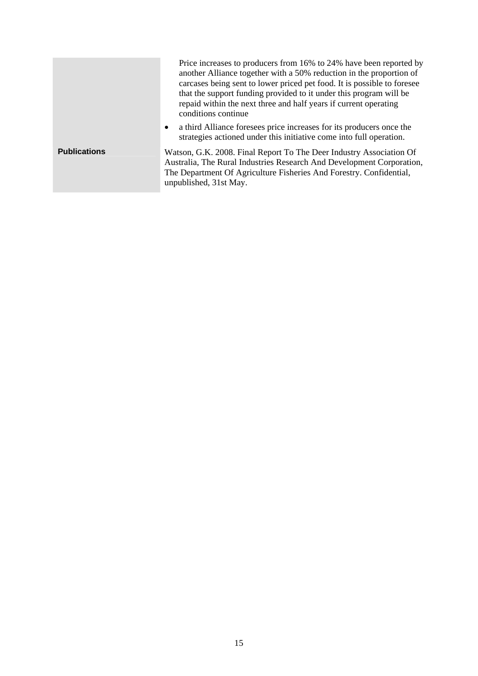|                     | Price increases to producers from 16% to 24% have been reported by<br>another Alliance together with a 50% reduction in the proportion of<br>carcases being sent to lower priced pet food. It is possible to foresee<br>that the support funding provided to it under this program will be<br>repaid within the next three and half years if current operating<br>conditions continue |
|---------------------|---------------------------------------------------------------------------------------------------------------------------------------------------------------------------------------------------------------------------------------------------------------------------------------------------------------------------------------------------------------------------------------|
|                     | a third Alliance foresees price increases for its producers once the<br>$\bullet$<br>strategies actioned under this initiative come into full operation.                                                                                                                                                                                                                              |
| <b>Publications</b> | Watson, G.K. 2008. Final Report To The Deer Industry Association Of<br>Australia, The Rural Industries Research And Development Corporation,<br>The Department Of Agriculture Fisheries And Forestry. Confidential,<br>unpublished, 31st May.                                                                                                                                         |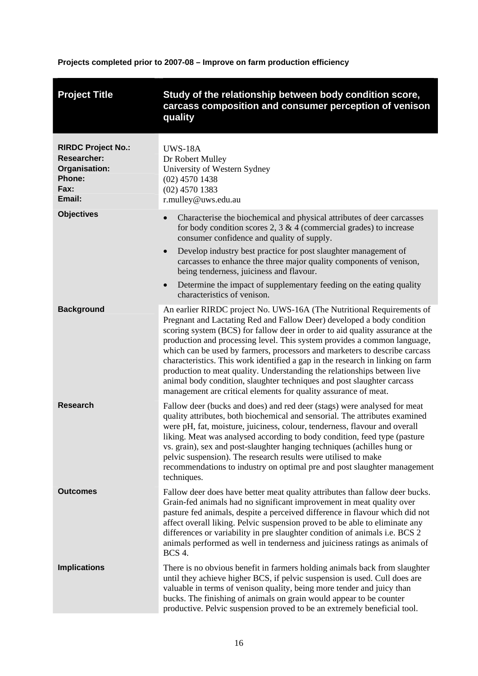**Projects completed prior to 2007-08 – Improve on farm production efficiency** 

<span id="page-21-1"></span><span id="page-21-0"></span>

| <b>Project Title</b>                                                                                | Study of the relationship between body condition score,<br>carcass composition and consumer perception of venison<br>quality                                                                                                                                                                                                                                                                                                                                                                                                                                                                                                                                                                          |
|-----------------------------------------------------------------------------------------------------|-------------------------------------------------------------------------------------------------------------------------------------------------------------------------------------------------------------------------------------------------------------------------------------------------------------------------------------------------------------------------------------------------------------------------------------------------------------------------------------------------------------------------------------------------------------------------------------------------------------------------------------------------------------------------------------------------------|
| <b>RIRDC Project No.:</b><br><b>Researcher:</b><br>Organisation:<br><b>Phone:</b><br>Fax:<br>Email: | <b>UWS-18A</b><br>Dr Robert Mulley<br>University of Western Sydney<br>$(02)$ 4570 1438<br>$(02)$ 4570 1383<br>r.mulley@uws.edu.au                                                                                                                                                                                                                                                                                                                                                                                                                                                                                                                                                                     |
| <b>Objectives</b>                                                                                   | Characterise the biochemical and physical attributes of deer carcasses<br>for body condition scores 2, 3 & 4 (commercial grades) to increase<br>consumer confidence and quality of supply.<br>Develop industry best practice for post slaughter management of<br>$\bullet$<br>carcasses to enhance the three major quality components of venison,<br>being tenderness, juiciness and flavour.<br>Determine the impact of supplementary feeding on the eating quality<br>$\bullet$<br>characteristics of venison.                                                                                                                                                                                      |
| <b>Background</b>                                                                                   | An earlier RIRDC project No. UWS-16A (The Nutritional Requirements of<br>Pregnant and Lactating Red and Fallow Deer) developed a body condition<br>scoring system (BCS) for fallow deer in order to aid quality assurance at the<br>production and processing level. This system provides a common language,<br>which can be used by farmers, processors and marketers to describe carcass<br>characteristics. This work identified a gap in the research in linking on farm<br>production to meat quality. Understanding the relationships between live<br>animal body condition, slaughter techniques and post slaughter carcass<br>management are critical elements for quality assurance of meat. |
| <b>Research</b>                                                                                     | Fallow deer (bucks and does) and red deer (stags) were analysed for meat<br>quality attributes, both biochemical and sensorial. The attributes examined<br>were pH, fat, moisture, juiciness, colour, tenderness, flavour and overall<br>liking. Meat was analysed according to body condition, feed type (pasture<br>vs. grain), sex and post-slaughter hanging techniques (achilles hung or<br>pelvic suspension). The research results were utilised to make<br>recommendations to industry on optimal pre and post slaughter management<br>techniques.                                                                                                                                            |
| <b>Outcomes</b>                                                                                     | Fallow deer does have better meat quality attributes than fallow deer bucks.<br>Grain-fed animals had no significant improvement in meat quality over<br>pasture fed animals, despite a perceived difference in flavour which did not<br>affect overall liking. Pelvic suspension proved to be able to eliminate any<br>differences or variability in pre slaughter condition of animals i.e. BCS 2<br>animals performed as well in tenderness and juiciness ratings as animals of<br><b>BCS 4.</b>                                                                                                                                                                                                   |
| <b>Implications</b>                                                                                 | There is no obvious benefit in farmers holding animals back from slaughter<br>until they achieve higher BCS, if pelvic suspension is used. Cull does are<br>valuable in terms of venison quality, being more tender and juicy than<br>bucks. The finishing of animals on grain would appear to be counter<br>productive. Pelvic suspension proved to be an extremely beneficial tool.                                                                                                                                                                                                                                                                                                                 |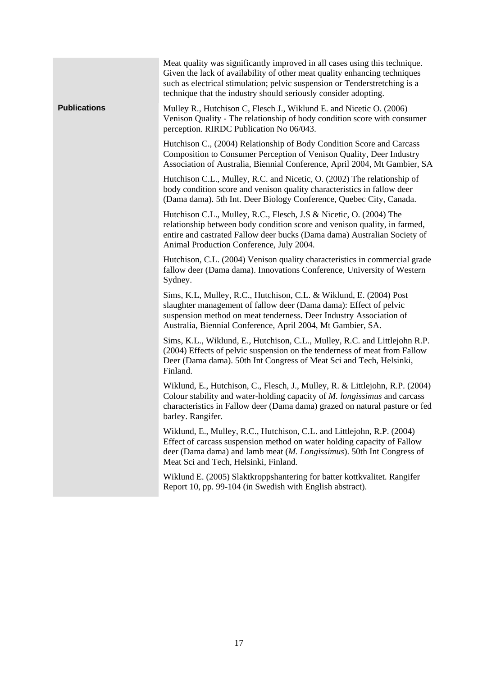|                     | Meat quality was significantly improved in all cases using this technique.<br>Given the lack of availability of other meat quality enhancing techniques<br>such as electrical stimulation; pelvic suspension or Tenderstretching is a<br>technique that the industry should seriously consider adopting. |
|---------------------|----------------------------------------------------------------------------------------------------------------------------------------------------------------------------------------------------------------------------------------------------------------------------------------------------------|
| <b>Publications</b> | Mulley R., Hutchison C, Flesch J., Wiklund E. and Nicetic O. (2006)<br>Venison Quality - The relationship of body condition score with consumer<br>perception. RIRDC Publication No 06/043.                                                                                                              |
|                     | Hutchison C., (2004) Relationship of Body Condition Score and Carcass<br>Composition to Consumer Perception of Venison Quality, Deer Industry<br>Association of Australia, Biennial Conference, April 2004, Mt Gambier, SA                                                                               |
|                     | Hutchison C.L., Mulley, R.C. and Nicetic, O. (2002) The relationship of<br>body condition score and venison quality characteristics in fallow deer<br>(Dama dama). 5th Int. Deer Biology Conference, Quebec City, Canada.                                                                                |
|                     | Hutchison C.L., Mulley, R.C., Flesch, J.S & Nicetic, O. (2004) The<br>relationship between body condition score and venison quality, in farmed,<br>entire and castrated Fallow deer bucks (Dama dama) Australian Society of<br>Animal Production Conference, July 2004.                                  |
|                     | Hutchison, C.L. (2004) Venison quality characteristics in commercial grade<br>fallow deer (Dama dama). Innovations Conference, University of Western<br>Sydney.                                                                                                                                          |
|                     | Sims, K.L, Mulley, R.C., Hutchison, C.L. & Wiklund, E. (2004) Post<br>slaughter management of fallow deer (Dama dama): Effect of pelvic<br>suspension method on meat tenderness. Deer Industry Association of<br>Australia, Biennial Conference, April 2004, Mt Gambier, SA.                             |
|                     | Sims, K.L., Wiklund, E., Hutchison, C.L., Mulley, R.C. and Littlejohn R.P.<br>(2004) Effects of pelvic suspension on the tenderness of meat from Fallow<br>Deer (Dama dama). 50th Int Congress of Meat Sci and Tech, Helsinki,<br>Finland.                                                               |
|                     | Wiklund, E., Hutchison, C., Flesch, J., Mulley, R. & Littlejohn, R.P. (2004)<br>Colour stability and water-holding capacity of <i>M. longissimus</i> and carcass<br>characteristics in Fallow deer (Dama dama) grazed on natural pasture or fed<br>barley. Rangifer.                                     |
|                     | Wiklund, E., Mulley, R.C., Hutchison, C.L. and Littlejohn, R.P. (2004)<br>Effect of carcass suspension method on water holding capacity of Fallow<br>deer (Dama dama) and lamb meat (M. Longissimus). 50th Int Congress of<br>Meat Sci and Tech, Helsinki, Finland.                                      |
|                     | Wiklund E. (2005) Slaktkroppshantering for batter kottkvalitet. Rangifer<br>Report 10, pp. 99-104 (in Swedish with English abstract).                                                                                                                                                                    |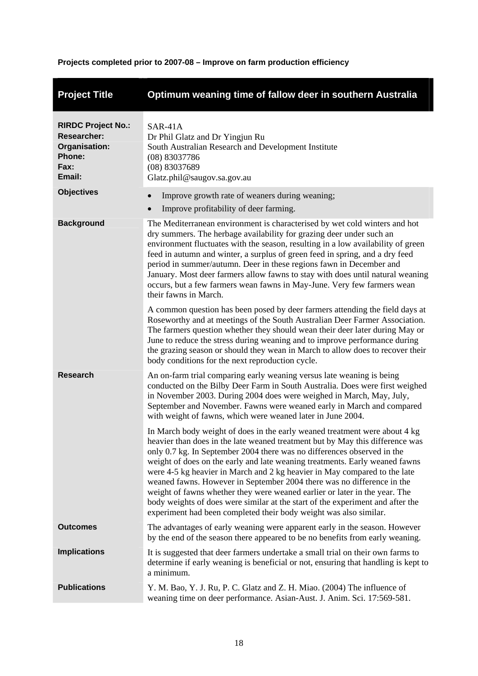**Projects completed prior to 2007-08 – Improve on farm production efficiency** 

<span id="page-23-0"></span>

| <b>Project Title</b>                                                                         | Optimum weaning time of fallow deer in southern Australia                                                                                                                                                                                                                                                                                                                                                                                                                                                                                                                                                                                                                                                         |
|----------------------------------------------------------------------------------------------|-------------------------------------------------------------------------------------------------------------------------------------------------------------------------------------------------------------------------------------------------------------------------------------------------------------------------------------------------------------------------------------------------------------------------------------------------------------------------------------------------------------------------------------------------------------------------------------------------------------------------------------------------------------------------------------------------------------------|
| <b>RIRDC Project No.:</b><br><b>Researcher:</b><br>Organisation:<br>Phone:<br>Fax:<br>Email: | SAR-41A<br>Dr Phil Glatz and Dr Yingjun Ru<br>South Australian Research and Development Institute<br>(08) 83037786<br>(08) 83037689<br>Glatz.phil@saugov.sa.gov.au                                                                                                                                                                                                                                                                                                                                                                                                                                                                                                                                                |
| <b>Objectives</b>                                                                            | Improve growth rate of weaners during weaning;<br>Improve profitability of deer farming.                                                                                                                                                                                                                                                                                                                                                                                                                                                                                                                                                                                                                          |
| <b>Background</b>                                                                            | The Mediterranean environment is characterised by wet cold winters and hot<br>dry summers. The herbage availability for grazing deer under such an<br>environment fluctuates with the season, resulting in a low availability of green<br>feed in autumn and winter, a surplus of green feed in spring, and a dry feed<br>period in summer/autumn. Deer in these regions fawn in December and<br>January. Most deer farmers allow fawns to stay with does until natural weaning<br>occurs, but a few farmers wean fawns in May-June. Very few farmers wean<br>their fawns in March.                                                                                                                               |
|                                                                                              | A common question has been posed by deer farmers attending the field days at<br>Roseworthy and at meetings of the South Australian Deer Farmer Association.<br>The farmers question whether they should wean their deer later during May or<br>June to reduce the stress during weaning and to improve performance during<br>the grazing season or should they wean in March to allow does to recover their<br>body conditions for the next reproduction cycle.                                                                                                                                                                                                                                                   |
| <b>Research</b>                                                                              | An on-farm trial comparing early weaning versus late weaning is being<br>conducted on the Bilby Deer Farm in South Australia. Does were first weighed<br>in November 2003. During 2004 does were weighed in March, May, July,<br>September and November. Fawns were weaned early in March and compared<br>with weight of fawns, which were weaned later in June 2004.                                                                                                                                                                                                                                                                                                                                             |
|                                                                                              | In March body weight of does in the early weaned treatment were about 4 kg<br>heavier than does in the late weaned treatment but by May this difference was<br>only 0.7 kg. In September 2004 there was no differences observed in the<br>weight of does on the early and late weaning treatments. Early weaned fawns<br>were 4-5 kg heavier in March and 2 kg heavier in May compared to the late<br>weaned fawns. However in September 2004 there was no difference in the<br>weight of fawns whether they were weaned earlier or later in the year. The<br>body weights of does were similar at the start of the experiment and after the<br>experiment had been completed their body weight was also similar. |
| <b>Outcomes</b>                                                                              | The advantages of early weaning were apparent early in the season. However<br>by the end of the season there appeared to be no benefits from early weaning.                                                                                                                                                                                                                                                                                                                                                                                                                                                                                                                                                       |
| <b>Implications</b>                                                                          | It is suggested that deer farmers undertake a small trial on their own farms to<br>determine if early weaning is beneficial or not, ensuring that handling is kept to<br>a minimum.                                                                                                                                                                                                                                                                                                                                                                                                                                                                                                                               |
| <b>Publications</b>                                                                          | Y. M. Bao, Y. J. Ru, P. C. Glatz and Z. H. Miao. (2004) The influence of<br>weaning time on deer performance. Asian-Aust. J. Anim. Sci. 17:569-581.                                                                                                                                                                                                                                                                                                                                                                                                                                                                                                                                                               |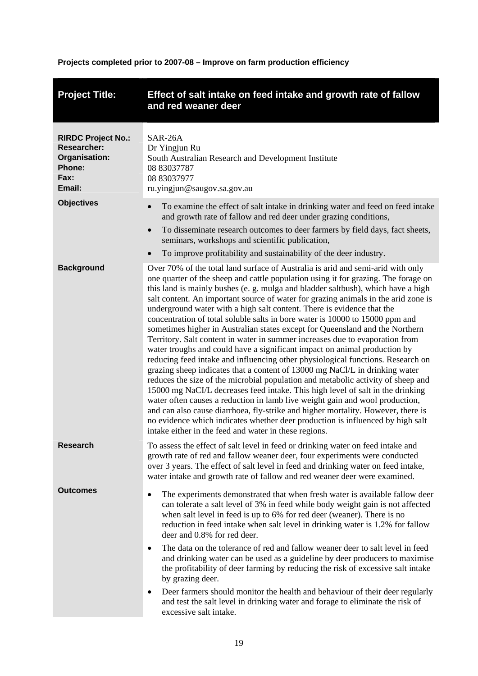**Projects completed prior to 2007-08 – Improve on farm production efficiency** 

<span id="page-24-0"></span>

| <b>Project Title:</b>                                                                        | Effect of salt intake on feed intake and growth rate of fallow<br>and red weaner deer                                                                                                                                                                                                                                                                                                                                                                                                                                                                                                                                                                                                                                                                                                                                                                                                                                                                                                                                                                                                                                                                                                                                                                                                                                                                                                                         |
|----------------------------------------------------------------------------------------------|---------------------------------------------------------------------------------------------------------------------------------------------------------------------------------------------------------------------------------------------------------------------------------------------------------------------------------------------------------------------------------------------------------------------------------------------------------------------------------------------------------------------------------------------------------------------------------------------------------------------------------------------------------------------------------------------------------------------------------------------------------------------------------------------------------------------------------------------------------------------------------------------------------------------------------------------------------------------------------------------------------------------------------------------------------------------------------------------------------------------------------------------------------------------------------------------------------------------------------------------------------------------------------------------------------------------------------------------------------------------------------------------------------------|
| <b>RIRDC Project No.:</b><br><b>Researcher:</b><br>Organisation:<br>Phone:<br>Fax:<br>Email: | SAR-26A<br>Dr Yingjun Ru<br>South Australian Research and Development Institute<br>08 83037787<br>08 83037977<br>ru.yingjun@saugov.sa.gov.au                                                                                                                                                                                                                                                                                                                                                                                                                                                                                                                                                                                                                                                                                                                                                                                                                                                                                                                                                                                                                                                                                                                                                                                                                                                                  |
| <b>Objectives</b>                                                                            | To examine the effect of salt intake in drinking water and feed on feed intake<br>and growth rate of fallow and red deer under grazing conditions,<br>To disseminate research outcomes to deer farmers by field days, fact sheets,<br>$\bullet$<br>seminars, workshops and scientific publication,<br>To improve profitability and sustainability of the deer industry.                                                                                                                                                                                                                                                                                                                                                                                                                                                                                                                                                                                                                                                                                                                                                                                                                                                                                                                                                                                                                                       |
| <b>Background</b>                                                                            | Over 70% of the total land surface of Australia is arid and semi-arid with only<br>one quarter of the sheep and cattle population using it for grazing. The forage on<br>this land is mainly bushes (e. g. mulga and bladder saltbush), which have a high<br>salt content. An important source of water for grazing animals in the arid zone is<br>underground water with a high salt content. There is evidence that the<br>concentration of total soluble salts in bore water is 10000 to 15000 ppm and<br>sometimes higher in Australian states except for Queensland and the Northern<br>Territory. Salt content in water in summer increases due to evaporation from<br>water troughs and could have a significant impact on animal production by<br>reducing feed intake and influencing other physiological functions. Research on<br>grazing sheep indicates that a content of 13000 mg NaCl/L in drinking water<br>reduces the size of the microbial population and metabolic activity of sheep and<br>15000 mg NaCI/L decreases feed intake. This high level of salt in the drinking<br>water often causes a reduction in lamb live weight gain and wool production,<br>and can also cause diarrhoea, fly-strike and higher mortality. However, there is<br>no evidence which indicates whether deer production is influenced by high salt<br>intake either in the feed and water in these regions. |
| <b>Research</b>                                                                              | To assess the effect of salt level in feed or drinking water on feed intake and<br>growth rate of red and fallow weaner deer, four experiments were conducted<br>over 3 years. The effect of salt level in feed and drinking water on feed intake,<br>water intake and growth rate of fallow and red weaner deer were examined.                                                                                                                                                                                                                                                                                                                                                                                                                                                                                                                                                                                                                                                                                                                                                                                                                                                                                                                                                                                                                                                                               |
| <b>Outcomes</b>                                                                              | The experiments demonstrated that when fresh water is available fallow deer<br>$\bullet$<br>can tolerate a salt level of 3% in feed while body weight gain is not affected<br>when salt level in feed is up to 6% for red deer (weaner). There is no<br>reduction in feed intake when salt level in drinking water is 1.2% for fallow<br>deer and 0.8% for red deer.<br>The data on the tolerance of red and fallow weaner deer to salt level in feed<br>$\bullet$<br>and drinking water can be used as a guideline by deer producers to maximise                                                                                                                                                                                                                                                                                                                                                                                                                                                                                                                                                                                                                                                                                                                                                                                                                                                             |
|                                                                                              | the profitability of deer farming by reducing the risk of excessive salt intake<br>by grazing deer.<br>Deer farmers should monitor the health and behaviour of their deer regularly<br>$\bullet$<br>and test the salt level in drinking water and forage to eliminate the risk of<br>excessive salt intake.                                                                                                                                                                                                                                                                                                                                                                                                                                                                                                                                                                                                                                                                                                                                                                                                                                                                                                                                                                                                                                                                                                   |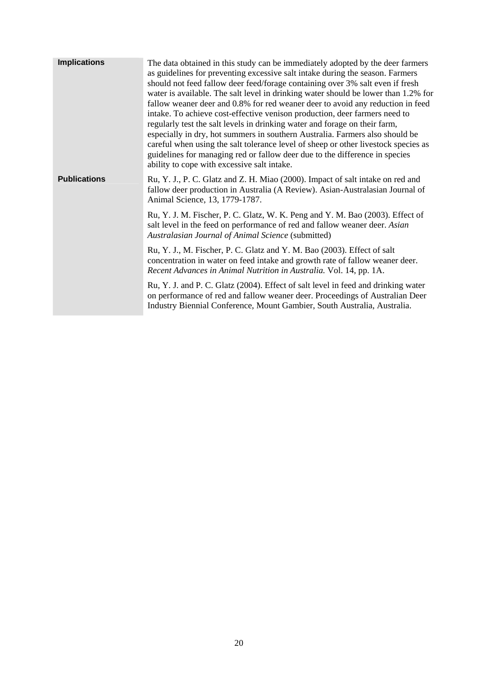| <b>Implications</b> | The data obtained in this study can be immediately adopted by the deer farmers<br>as guidelines for preventing excessive salt intake during the season. Farmers<br>should not feed fallow deer feed/forage containing over 3% salt even if fresh<br>water is available. The salt level in drinking water should be lower than 1.2% for<br>fallow weaner deer and 0.8% for red weaner deer to avoid any reduction in feed<br>intake. To achieve cost-effective venison production, deer farmers need to<br>regularly test the salt levels in drinking water and forage on their farm,<br>especially in dry, hot summers in southern Australia. Farmers also should be<br>careful when using the salt tolerance level of sheep or other livestock species as<br>guidelines for managing red or fallow deer due to the difference in species<br>ability to cope with excessive salt intake. |
|---------------------|------------------------------------------------------------------------------------------------------------------------------------------------------------------------------------------------------------------------------------------------------------------------------------------------------------------------------------------------------------------------------------------------------------------------------------------------------------------------------------------------------------------------------------------------------------------------------------------------------------------------------------------------------------------------------------------------------------------------------------------------------------------------------------------------------------------------------------------------------------------------------------------|
| <b>Publications</b> | Ru, Y. J., P. C. Glatz and Z. H. Miao (2000). Impact of salt intake on red and<br>fallow deer production in Australia (A Review). Asian-Australasian Journal of<br>Animal Science, 13, 1779-1787.                                                                                                                                                                                                                                                                                                                                                                                                                                                                                                                                                                                                                                                                                        |
|                     | Ru, Y. J. M. Fischer, P. C. Glatz, W. K. Peng and Y. M. Bao (2003). Effect of<br>salt level in the feed on performance of red and fallow weaner deer. Asian<br>Australasian Journal of Animal Science (submitted)                                                                                                                                                                                                                                                                                                                                                                                                                                                                                                                                                                                                                                                                        |
|                     | Ru, Y. J., M. Fischer, P. C. Glatz and Y. M. Bao (2003). Effect of salt<br>concentration in water on feed intake and growth rate of fallow weaner deer.<br>Recent Advances in Animal Nutrition in Australia. Vol. 14, pp. 1A.                                                                                                                                                                                                                                                                                                                                                                                                                                                                                                                                                                                                                                                            |
|                     | Ru, Y. J. and P. C. Glatz (2004). Effect of salt level in feed and drinking water<br>on performance of red and fallow weaner deer. Proceedings of Australian Deer<br>Industry Biennial Conference, Mount Gambier, South Australia, Australia.                                                                                                                                                                                                                                                                                                                                                                                                                                                                                                                                                                                                                                            |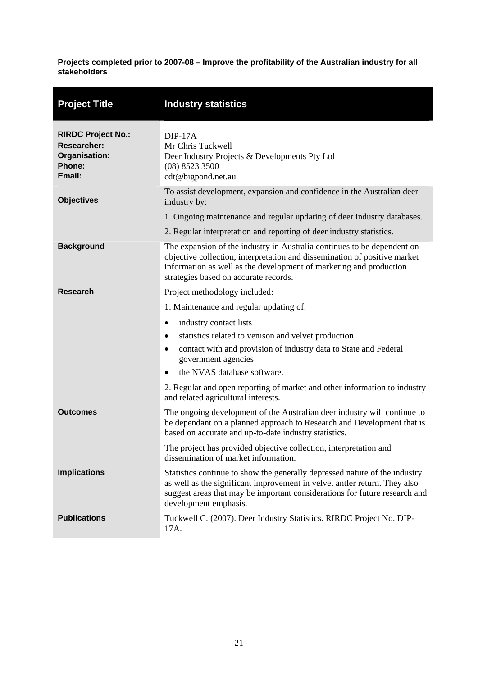<span id="page-26-0"></span>

| <b>Project Title</b>                                                                 | <b>Industry statistics</b>                                                                                                                                                                                                                                          |
|--------------------------------------------------------------------------------------|---------------------------------------------------------------------------------------------------------------------------------------------------------------------------------------------------------------------------------------------------------------------|
| <b>RIRDC Project No.:</b><br><b>Researcher:</b><br>Organisation:<br>Phone:<br>Email: | $DIP-17A$<br>Mr Chris Tuckwell<br>Deer Industry Projects & Developments Pty Ltd<br>$(08)$ 8523 3500<br>cdt@bigpond.net.au                                                                                                                                           |
| <b>Objectives</b>                                                                    | To assist development, expansion and confidence in the Australian deer<br>industry by:                                                                                                                                                                              |
|                                                                                      | 1. Ongoing maintenance and regular updating of deer industry databases.                                                                                                                                                                                             |
|                                                                                      | 2. Regular interpretation and reporting of deer industry statistics.                                                                                                                                                                                                |
| <b>Background</b>                                                                    | The expansion of the industry in Australia continues to be dependent on<br>objective collection, interpretation and dissemination of positive market<br>information as well as the development of marketing and production<br>strategies based on accurate records. |
| <b>Research</b>                                                                      | Project methodology included:                                                                                                                                                                                                                                       |
|                                                                                      | 1. Maintenance and regular updating of:                                                                                                                                                                                                                             |
|                                                                                      | industry contact lists<br>٠                                                                                                                                                                                                                                         |
|                                                                                      | statistics related to venison and velvet production<br>$\bullet$                                                                                                                                                                                                    |
|                                                                                      | contact with and provision of industry data to State and Federal<br>٠<br>government agencies                                                                                                                                                                        |
|                                                                                      | the NVAS database software.<br>$\bullet$                                                                                                                                                                                                                            |
|                                                                                      | 2. Regular and open reporting of market and other information to industry<br>and related agricultural interests.                                                                                                                                                    |
| <b>Outcomes</b>                                                                      | The ongoing development of the Australian deer industry will continue to<br>be dependant on a planned approach to Research and Development that is<br>based on accurate and up-to-date industry statistics.                                                         |
|                                                                                      | The project has provided objective collection, interpretation and<br>dissemination of market information.                                                                                                                                                           |
| <b>Implications</b>                                                                  | Statistics continue to show the generally depressed nature of the industry<br>as well as the significant improvement in velvet antler return. They also<br>suggest areas that may be important considerations for future research and<br>development emphasis.      |
| <b>Publications</b>                                                                  | Tuckwell C. (2007). Deer Industry Statistics. RIRDC Project No. DIP-<br>17A.                                                                                                                                                                                        |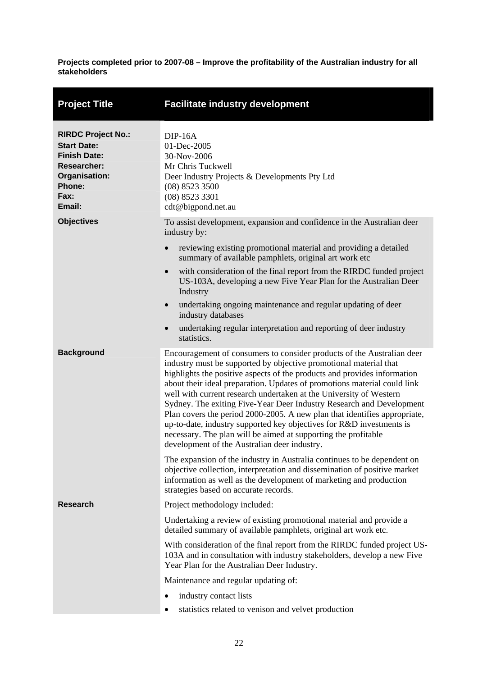<span id="page-27-0"></span>

| <b>Project Title</b>                                                                                                                      | <b>Facilitate industry development</b>                                                                                                                                                                                                                                                                                                                                                                                                                                                                                                                                                                                                                                                                                   |
|-------------------------------------------------------------------------------------------------------------------------------------------|--------------------------------------------------------------------------------------------------------------------------------------------------------------------------------------------------------------------------------------------------------------------------------------------------------------------------------------------------------------------------------------------------------------------------------------------------------------------------------------------------------------------------------------------------------------------------------------------------------------------------------------------------------------------------------------------------------------------------|
| <b>RIRDC Project No.:</b><br><b>Start Date:</b><br><b>Finish Date:</b><br><b>Researcher:</b><br>Organisation:<br>Phone:<br>Fax:<br>Email: | $DIP-16A$<br>01-Dec-2005<br>30-Nov-2006<br>Mr Chris Tuckwell<br>Deer Industry Projects & Developments Pty Ltd<br>(08) 8523 3500<br>$(08)$ 8523 3301<br>cdt@bigpond.net.au                                                                                                                                                                                                                                                                                                                                                                                                                                                                                                                                                |
| <b>Objectives</b>                                                                                                                         | To assist development, expansion and confidence in the Australian deer<br>industry by:                                                                                                                                                                                                                                                                                                                                                                                                                                                                                                                                                                                                                                   |
|                                                                                                                                           | reviewing existing promotional material and providing a detailed<br>$\bullet$<br>summary of available pamphlets, original art work etc                                                                                                                                                                                                                                                                                                                                                                                                                                                                                                                                                                                   |
|                                                                                                                                           | with consideration of the final report from the RIRDC funded project<br>$\bullet$<br>US-103A, developing a new Five Year Plan for the Australian Deer<br>Industry                                                                                                                                                                                                                                                                                                                                                                                                                                                                                                                                                        |
|                                                                                                                                           | undertaking ongoing maintenance and regular updating of deer<br>$\bullet$<br>industry databases                                                                                                                                                                                                                                                                                                                                                                                                                                                                                                                                                                                                                          |
|                                                                                                                                           | undertaking regular interpretation and reporting of deer industry<br>$\bullet$<br>statistics.                                                                                                                                                                                                                                                                                                                                                                                                                                                                                                                                                                                                                            |
| <b>Background</b>                                                                                                                         | Encouragement of consumers to consider products of the Australian deer<br>industry must be supported by objective promotional material that<br>highlights the positive aspects of the products and provides information<br>about their ideal preparation. Updates of promotions material could link<br>well with current research undertaken at the University of Western<br>Sydney. The exiting Five-Year Deer Industry Research and Development<br>Plan covers the period 2000-2005. A new plan that identifies appropriate,<br>up-to-date, industry supported key objectives for R&D investments is<br>necessary. The plan will be aimed at supporting the profitable<br>development of the Australian deer industry. |
|                                                                                                                                           | The expansion of the industry in Australia continues to be dependent on<br>objective collection, interpretation and dissemination of positive market<br>information as well as the development of marketing and production<br>strategies based on accurate records.                                                                                                                                                                                                                                                                                                                                                                                                                                                      |
| <b>Research</b>                                                                                                                           | Project methodology included:                                                                                                                                                                                                                                                                                                                                                                                                                                                                                                                                                                                                                                                                                            |
|                                                                                                                                           | Undertaking a review of existing promotional material and provide a<br>detailed summary of available pamphlets, original art work etc.                                                                                                                                                                                                                                                                                                                                                                                                                                                                                                                                                                                   |
|                                                                                                                                           | With consideration of the final report from the RIRDC funded project US-<br>103A and in consultation with industry stakeholders, develop a new Five<br>Year Plan for the Australian Deer Industry.                                                                                                                                                                                                                                                                                                                                                                                                                                                                                                                       |
|                                                                                                                                           | Maintenance and regular updating of:                                                                                                                                                                                                                                                                                                                                                                                                                                                                                                                                                                                                                                                                                     |
|                                                                                                                                           | industry contact lists<br>٠                                                                                                                                                                                                                                                                                                                                                                                                                                                                                                                                                                                                                                                                                              |
|                                                                                                                                           | statistics related to venison and velvet production<br>٠                                                                                                                                                                                                                                                                                                                                                                                                                                                                                                                                                                                                                                                                 |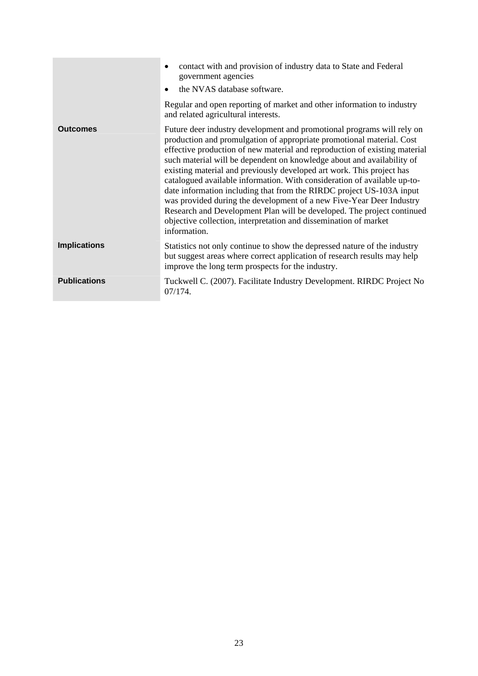|                     | contact with and provision of industry data to State and Federal<br>government agencies<br>the NVAS database software.<br>Regular and open reporting of market and other information to industry<br>and related agricultural interests.                                                                                                                                                                                                                                                                                                                                                                                                                                                                                                                                    |
|---------------------|----------------------------------------------------------------------------------------------------------------------------------------------------------------------------------------------------------------------------------------------------------------------------------------------------------------------------------------------------------------------------------------------------------------------------------------------------------------------------------------------------------------------------------------------------------------------------------------------------------------------------------------------------------------------------------------------------------------------------------------------------------------------------|
| <b>Outcomes</b>     | Future deer industry development and promotional programs will rely on<br>production and promulgation of appropriate promotional material. Cost<br>effective production of new material and reproduction of existing material<br>such material will be dependent on knowledge about and availability of<br>existing material and previously developed art work. This project has<br>catalogued available information. With consideration of available up-to-<br>date information including that from the RIRDC project US-103A input<br>was provided during the development of a new Five-Year Deer Industry<br>Research and Development Plan will be developed. The project continued<br>objective collection, interpretation and dissemination of market<br>information. |
| <b>Implications</b> | Statistics not only continue to show the depressed nature of the industry<br>but suggest areas where correct application of research results may help<br>improve the long term prospects for the industry.                                                                                                                                                                                                                                                                                                                                                                                                                                                                                                                                                                 |
| <b>Publications</b> | Tuckwell C. (2007). Facilitate Industry Development. RIRDC Project No<br>07/174.                                                                                                                                                                                                                                                                                                                                                                                                                                                                                                                                                                                                                                                                                           |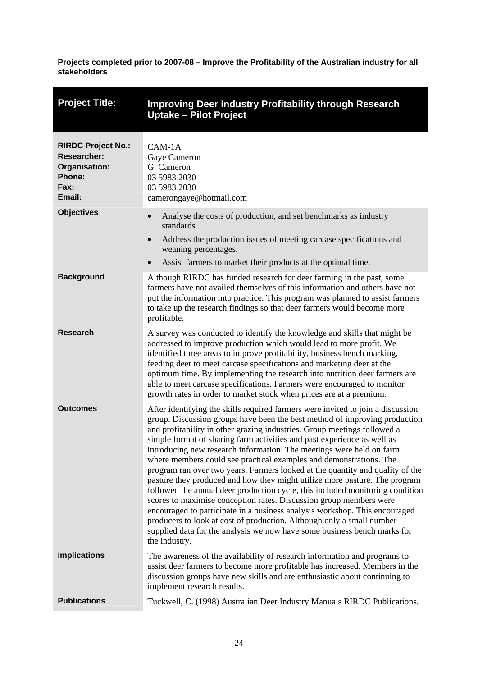<span id="page-29-0"></span>

| <b>Project Title:</b>                                                                               | <b>Improving Deer Industry Profitability through Research</b><br><b>Uptake - Pilot Project</b>                                                                                                                                                                                                                                                                                                                                                                                                                                                                                                                                                                                                                                                                                                                                                                                                                                                                                                                                               |
|-----------------------------------------------------------------------------------------------------|----------------------------------------------------------------------------------------------------------------------------------------------------------------------------------------------------------------------------------------------------------------------------------------------------------------------------------------------------------------------------------------------------------------------------------------------------------------------------------------------------------------------------------------------------------------------------------------------------------------------------------------------------------------------------------------------------------------------------------------------------------------------------------------------------------------------------------------------------------------------------------------------------------------------------------------------------------------------------------------------------------------------------------------------|
| <b>RIRDC Project No.:</b><br><b>Researcher:</b><br>Organisation:<br><b>Phone:</b><br>Fax:<br>Email: | CAM-1A<br>Gaye Cameron<br>G. Cameron<br>03 5983 2030<br>03 5983 2030<br>camerongaye@hotmail.com                                                                                                                                                                                                                                                                                                                                                                                                                                                                                                                                                                                                                                                                                                                                                                                                                                                                                                                                              |
| <b>Objectives</b>                                                                                   | Analyse the costs of production, and set benchmarks as industry<br>standards.<br>Address the production issues of meeting carcase specifications and<br>weaning percentages.<br>Assist farmers to market their products at the optimal time.                                                                                                                                                                                                                                                                                                                                                                                                                                                                                                                                                                                                                                                                                                                                                                                                 |
| <b>Background</b>                                                                                   | Although RIRDC has funded research for deer farming in the past, some<br>farmers have not availed themselves of this information and others have not<br>put the information into practice. This program was planned to assist farmers<br>to take up the research findings so that deer farmers would become more<br>profitable.                                                                                                                                                                                                                                                                                                                                                                                                                                                                                                                                                                                                                                                                                                              |
| <b>Research</b>                                                                                     | A survey was conducted to identify the knowledge and skills that might be<br>addressed to improve production which would lead to more profit. We<br>identified three areas to improve profitability, business bench marking,<br>feeding deer to meet carcase specifications and marketing deer at the<br>optimum time. By implementing the research into nutrition deer farmers are<br>able to meet carcase specifications. Farmers were encouraged to monitor<br>growth rates in order to market stock when prices are at a premium.                                                                                                                                                                                                                                                                                                                                                                                                                                                                                                        |
| <b>Outcomes</b>                                                                                     | After identifying the skills required farmers were invited to join a discussion<br>group. Discussion groups have been the best method of improving production<br>and profitability in other grazing industries. Group meetings followed a<br>simple format of sharing farm activities and past experience as well as<br>introducing new research information. The meetings were held on farm<br>where members could see practical examples and demonstrations. The<br>program ran over two years. Farmers looked at the quantity and quality of the<br>pasture they produced and how they might utilize more pasture. The program<br>followed the annual deer production cycle, this included monitoring condition<br>scores to maximise conception rates. Discussion group members were<br>encouraged to participate in a business analysis workshop. This encouraged<br>producers to look at cost of production. Although only a small number<br>supplied data for the analysis we now have some business bench marks for<br>the industry. |
| <b>Implications</b>                                                                                 | The awareness of the availability of research information and programs to<br>assist deer farmers to become more profitable has increased. Members in the<br>discussion groups have new skills and are enthusiastic about continuing to<br>implement research results.                                                                                                                                                                                                                                                                                                                                                                                                                                                                                                                                                                                                                                                                                                                                                                        |
| <b>Publications</b>                                                                                 | Tuckwell, C. (1998) Australian Deer Industry Manuals RIRDC Publications.                                                                                                                                                                                                                                                                                                                                                                                                                                                                                                                                                                                                                                                                                                                                                                                                                                                                                                                                                                     |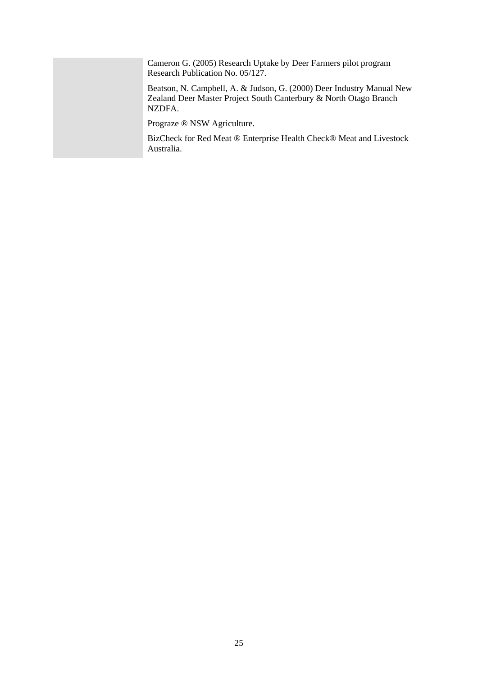Cameron G. (2005) Research Uptake by Deer Farmers pilot program Research Publication No. 05/127.

Beatson, N. Campbell, A. & Judson, G. (2000) Deer Industry Manual New Zealand Deer Master Project South Canterbury & North Otago Branch NZDFA.

Prograze ® NSW Agriculture.

BizCheck for Red Meat ® Enterprise Health Check® Meat and Livestock Australia.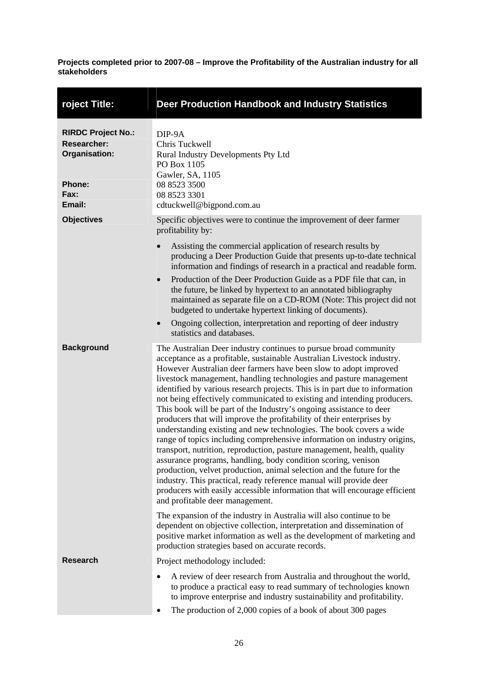<span id="page-31-0"></span>

| roject Title:                                                                                       | <b>Deer Production Handbook and Industry Statistics</b>                                                                                                                                                                                                                                                                                                                                                                                                                                                                                                                                                                                                                                                                                                                                                                                                                                                                                                                                                                                                                                                                                                        |
|-----------------------------------------------------------------------------------------------------|----------------------------------------------------------------------------------------------------------------------------------------------------------------------------------------------------------------------------------------------------------------------------------------------------------------------------------------------------------------------------------------------------------------------------------------------------------------------------------------------------------------------------------------------------------------------------------------------------------------------------------------------------------------------------------------------------------------------------------------------------------------------------------------------------------------------------------------------------------------------------------------------------------------------------------------------------------------------------------------------------------------------------------------------------------------------------------------------------------------------------------------------------------------|
| <b>RIRDC Project No.:</b><br><b>Researcher:</b><br>Organisation:<br><b>Phone:</b><br>Fax:<br>Email: | DIP-9A<br>Chris Tuckwell<br>Rural Industry Developments Pty Ltd<br>PO Box 1105<br>Gawler, SA, 1105<br>08 8523 3500<br>08 8523 3301<br>cdtuckwell@bigpond.com.au                                                                                                                                                                                                                                                                                                                                                                                                                                                                                                                                                                                                                                                                                                                                                                                                                                                                                                                                                                                                |
| <b>Objectives</b>                                                                                   | Specific objectives were to continue the improvement of deer farmer<br>profitability by:<br>Assisting the commercial application of research results by<br>producing a Deer Production Guide that presents up-to-date technical<br>information and findings of research in a practical and readable form.<br>Production of the Deer Production Guide as a PDF file that can, in<br>the future, be linked by hypertext to an annotated bibliography<br>maintained as separate file on a CD-ROM (Note: This project did not<br>budgeted to undertake hypertext linking of documents).<br>Ongoing collection, interpretation and reporting of deer industry<br>$\bullet$<br>statistics and databases.                                                                                                                                                                                                                                                                                                                                                                                                                                                             |
| <b>Background</b>                                                                                   | The Australian Deer industry continues to pursue broad community<br>acceptance as a profitable, sustainable Australian Livestock industry.<br>However Australian deer farmers have been slow to adopt improved<br>livestock management, handling technologies and pasture management<br>identified by various research projects. This is in part due to information<br>not being effectively communicated to existing and intending producers.<br>This book will be part of the Industry's ongoing assistance to deer<br>producers that will improve the profitability of their enterprises by<br>understanding existing and new technologies. The book covers a wide<br>range of topics including comprehensive information on industry origins,<br>transport, nutrition, reproduction, pasture management, health, quality<br>assurance programs, handling, body condition scoring, venison<br>production, velvet production, animal selection and the future for the<br>industry. This practical, ready reference manual will provide deer<br>producers with easily accessible information that will encourage efficient<br>and profitable deer management. |
|                                                                                                     | The expansion of the industry in Australia will also continue to be<br>dependent on objective collection, interpretation and dissemination of<br>positive market information as well as the development of marketing and<br>production strategies based on accurate records.                                                                                                                                                                                                                                                                                                                                                                                                                                                                                                                                                                                                                                                                                                                                                                                                                                                                                   |
| <b>Research</b>                                                                                     | Project methodology included:<br>A review of deer research from Australia and throughout the world,<br>to produce a practical easy to read summary of technologies known<br>to improve enterprise and industry sustainability and profitability.<br>The production of 2,000 copies of a book of about 300 pages                                                                                                                                                                                                                                                                                                                                                                                                                                                                                                                                                                                                                                                                                                                                                                                                                                                |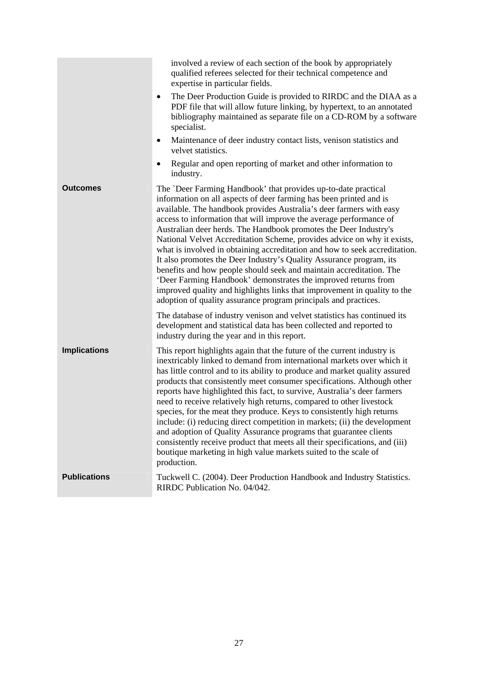|                     | involved a review of each section of the book by appropriately<br>qualified referees selected for their technical competence and<br>expertise in particular fields.<br>The Deer Production Guide is provided to RIRDC and the DIAA as a<br>٠<br>PDF file that will allow future linking, by hypertext, to an annotated<br>bibliography maintained as separate file on a CD-ROM by a software<br>specialist.<br>Maintenance of deer industry contact lists, venison statistics and<br>$\bullet$<br>velvet statistics.<br>Regular and open reporting of market and other information to<br>٠                                                                                                                                                                                                                                                                                    |
|---------------------|-------------------------------------------------------------------------------------------------------------------------------------------------------------------------------------------------------------------------------------------------------------------------------------------------------------------------------------------------------------------------------------------------------------------------------------------------------------------------------------------------------------------------------------------------------------------------------------------------------------------------------------------------------------------------------------------------------------------------------------------------------------------------------------------------------------------------------------------------------------------------------|
|                     | industry.                                                                                                                                                                                                                                                                                                                                                                                                                                                                                                                                                                                                                                                                                                                                                                                                                                                                     |
| Outcomes            | The `Deer Farming Handbook' that provides up-to-date practical<br>information on all aspects of deer farming has been printed and is<br>available. The handbook provides Australia's deer farmers with easy<br>access to information that will improve the average performance of<br>Australian deer herds. The Handbook promotes the Deer Industry's<br>National Velvet Accreditation Scheme, provides advice on why it exists,<br>what is involved in obtaining accreditation and how to seek accreditation.<br>It also promotes the Deer Industry's Quality Assurance program, its<br>benefits and how people should seek and maintain accreditation. The<br>'Deer Farming Handbook' demonstrates the improved returns from<br>improved quality and highlights links that improvement in quality to the<br>adoption of quality assurance program principals and practices. |
|                     | The database of industry venison and velvet statistics has continued its<br>development and statistical data has been collected and reported to<br>industry during the year and in this report.                                                                                                                                                                                                                                                                                                                                                                                                                                                                                                                                                                                                                                                                               |
| <b>Implications</b> | This report highlights again that the future of the current industry is<br>inextricably linked to demand from international markets over which it<br>has little control and to its ability to produce and market quality assured<br>products that consistently meet consumer specifications. Although other<br>reports have highlighted this fact, to survive, Australia's deer farmers<br>need to receive relatively high returns, compared to other livestock<br>species, for the meat they produce. Keys to consistently high returns<br>include: (i) reducing direct competition in markets; (ii) the development<br>and adoption of Quality Assurance programs that guarantee clients<br>consistently receive product that meets all their specifications, and (iii)<br>boutique marketing in high value markets suited to the scale of<br>production.                   |
| <b>Publications</b> | Tuckwell C. (2004). Deer Production Handbook and Industry Statistics.<br>RIRDC Publication No. 04/042.                                                                                                                                                                                                                                                                                                                                                                                                                                                                                                                                                                                                                                                                                                                                                                        |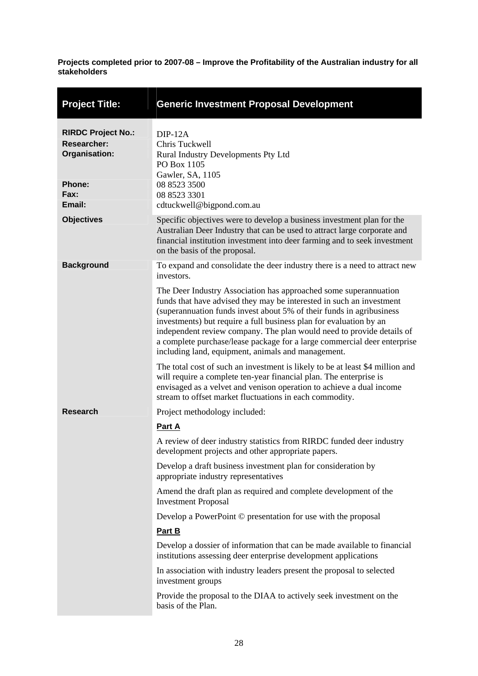<span id="page-33-0"></span>

| <b>Project Title:</b>                                                                               | <b>Generic Investment Proposal Development</b>                                                                                                                                                                                                                                                                                                                                                                                                                                                                                                                                                                                                                                                                                                                                                                                                                                          |
|-----------------------------------------------------------------------------------------------------|-----------------------------------------------------------------------------------------------------------------------------------------------------------------------------------------------------------------------------------------------------------------------------------------------------------------------------------------------------------------------------------------------------------------------------------------------------------------------------------------------------------------------------------------------------------------------------------------------------------------------------------------------------------------------------------------------------------------------------------------------------------------------------------------------------------------------------------------------------------------------------------------|
| <b>RIRDC Project No.:</b><br><b>Researcher:</b><br>Organisation:<br><b>Phone:</b><br>Fax:<br>Email: | $DIP-12A$<br>Chris Tuckwell<br>Rural Industry Developments Pty Ltd<br>PO Box 1105<br>Gawler, SA, 1105<br>08 8523 3500<br>08 8523 3301<br>cdtuckwell@bigpond.com.au                                                                                                                                                                                                                                                                                                                                                                                                                                                                                                                                                                                                                                                                                                                      |
| <b>Objectives</b>                                                                                   | Specific objectives were to develop a business investment plan for the<br>Australian Deer Industry that can be used to attract large corporate and<br>financial institution investment into deer farming and to seek investment<br>on the basis of the proposal.                                                                                                                                                                                                                                                                                                                                                                                                                                                                                                                                                                                                                        |
| <b>Background</b>                                                                                   | To expand and consolidate the deer industry there is a need to attract new<br>investors.<br>The Deer Industry Association has approached some superannuation<br>funds that have advised they may be interested in such an investment<br>(superannuation funds invest about 5% of their funds in agribusiness<br>investments) but require a full business plan for evaluation by an<br>independent review company. The plan would need to provide details of<br>a complete purchase/lease package for a large commercial deer enterprise<br>including land, equipment, animals and management.<br>The total cost of such an investment is likely to be at least \$4 million and<br>will require a complete ten-year financial plan. The enterprise is<br>envisaged as a velvet and venison operation to achieve a dual income<br>stream to offset market fluctuations in each commodity. |
| <b>Research</b>                                                                                     | Project methodology included:<br>Part A<br>A review of deer industry statistics from RIRDC funded deer industry<br>development projects and other appropriate papers.<br>Develop a draft business investment plan for consideration by<br>appropriate industry representatives<br>Amend the draft plan as required and complete development of the<br><b>Investment Proposal</b><br>Develop a PowerPoint © presentation for use with the proposal<br>Part B<br>Develop a dossier of information that can be made available to financial<br>institutions assessing deer enterprise development applications<br>In association with industry leaders present the proposal to selected<br>investment groups<br>Provide the proposal to the DIAA to actively seek investment on the<br>basis of the Plan.                                                                                   |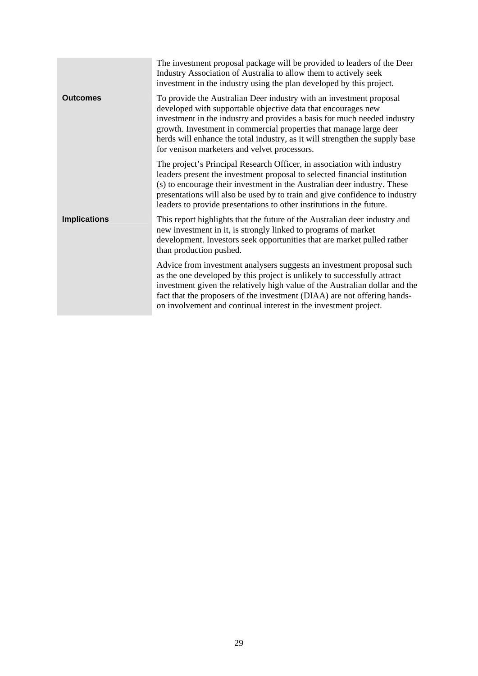|                     | The investment proposal package will be provided to leaders of the Deer<br>Industry Association of Australia to allow them to actively seek<br>investment in the industry using the plan developed by this project.                                                                                                                                                                                                    |
|---------------------|------------------------------------------------------------------------------------------------------------------------------------------------------------------------------------------------------------------------------------------------------------------------------------------------------------------------------------------------------------------------------------------------------------------------|
| <b>Outcomes</b>     | To provide the Australian Deer industry with an investment proposal<br>developed with supportable objective data that encourages new<br>investment in the industry and provides a basis for much needed industry<br>growth. Investment in commercial properties that manage large deer<br>herds will enhance the total industry, as it will strengthen the supply base<br>for venison marketers and velvet processors. |
|                     | The project's Principal Research Officer, in association with industry<br>leaders present the investment proposal to selected financial institution<br>(s) to encourage their investment in the Australian deer industry. These<br>presentations will also be used by to train and give confidence to industry<br>leaders to provide presentations to other institutions in the future.                                |
| <b>Implications</b> | This report highlights that the future of the Australian deer industry and<br>new investment in it, is strongly linked to programs of market<br>development. Investors seek opportunities that are market pulled rather<br>than production pushed.                                                                                                                                                                     |
|                     | Advice from investment analysers suggests an investment proposal such<br>as the one developed by this project is unlikely to successfully attract<br>investment given the relatively high value of the Australian dollar and the<br>fact that the proposers of the investment (DIAA) are not offering hands-<br>on involvement and continual interest in the investment project.                                       |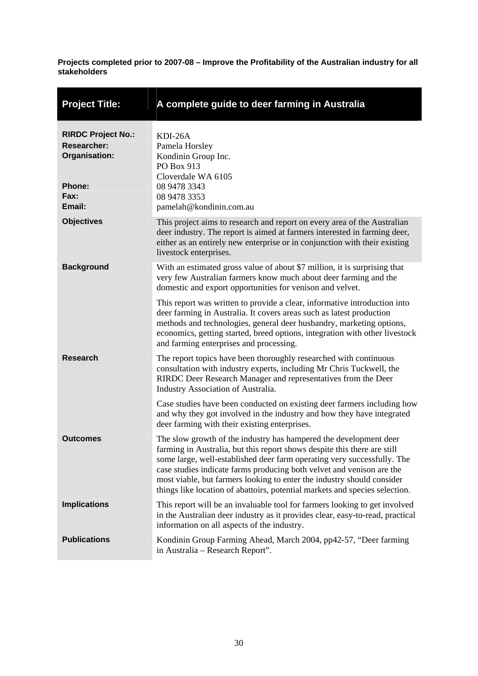<span id="page-35-0"></span>

| <b>Project Title:</b>                                                                               | A complete guide to deer farming in Australia                                                                                                                                                                                                                                                                                                                                                                                                              |
|-----------------------------------------------------------------------------------------------------|------------------------------------------------------------------------------------------------------------------------------------------------------------------------------------------------------------------------------------------------------------------------------------------------------------------------------------------------------------------------------------------------------------------------------------------------------------|
| <b>RIRDC Project No.:</b><br><b>Researcher:</b><br>Organisation:<br><b>Phone:</b><br>Fax:<br>Email: | KDI-26A<br>Pamela Horsley<br>Kondinin Group Inc.<br>PO Box 913<br>Cloverdale WA 6105<br>08 9478 3343<br>08 9478 3353<br>pamelah@kondinin.com.au                                                                                                                                                                                                                                                                                                            |
| <b>Objectives</b>                                                                                   | This project aims to research and report on every area of the Australian<br>deer industry. The report is aimed at farmers interested in farming deer,<br>either as an entirely new enterprise or in conjunction with their existing<br>livestock enterprises.                                                                                                                                                                                              |
| <b>Background</b>                                                                                   | With an estimated gross value of about \$7 million, it is surprising that<br>very few Australian farmers know much about deer farming and the<br>domestic and export opportunities for venison and velvet.                                                                                                                                                                                                                                                 |
|                                                                                                     | This report was written to provide a clear, informative introduction into<br>deer farming in Australia. It covers areas such as latest production<br>methods and technologies, general deer husbandry, marketing options,<br>economics, getting started, breed options, integration with other livestock<br>and farming enterprises and processing.                                                                                                        |
| <b>Research</b>                                                                                     | The report topics have been thoroughly researched with continuous<br>consultation with industry experts, including Mr Chris Tuckwell, the<br>RIRDC Deer Research Manager and representatives from the Deer<br>Industry Association of Australia.                                                                                                                                                                                                           |
|                                                                                                     | Case studies have been conducted on existing deer farmers including how<br>and why they got involved in the industry and how they have integrated<br>deer farming with their existing enterprises.                                                                                                                                                                                                                                                         |
| <b>Outcomes</b>                                                                                     | The slow growth of the industry has hampered the development deer<br>farming in Australia, but this report shows despite this there are still<br>some large, well-established deer farm operating very successfully. The<br>case studies indicate farms producing both velvet and venison are the<br>most viable, but farmers looking to enter the industry should consider<br>things like location of abattoirs, potential markets and species selection. |
| <b>Implications</b>                                                                                 | This report will be an invaluable tool for farmers looking to get involved<br>in the Australian deer industry as it provides clear, easy-to-read, practical<br>information on all aspects of the industry.                                                                                                                                                                                                                                                 |
| <b>Publications</b>                                                                                 | Kondinin Group Farming Ahead, March 2004, pp42-57, "Deer farming<br>in Australia – Research Report".                                                                                                                                                                                                                                                                                                                                                       |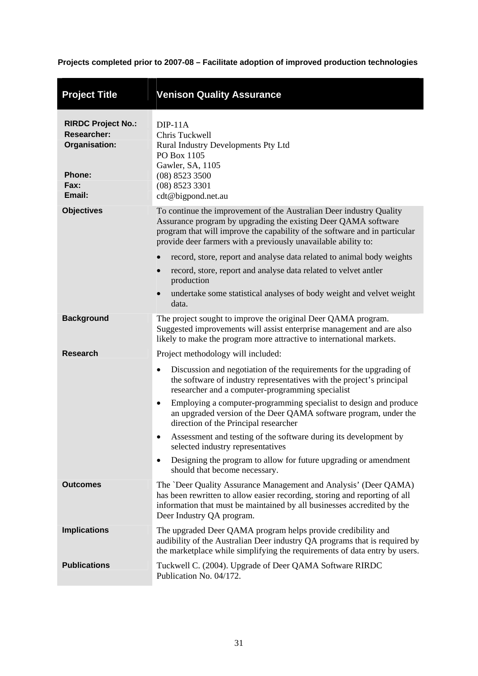<span id="page-36-0"></span>

| <b>Project Title</b>                                                                                | <b>Venison Quality Assurance</b>                                                                                                                                                                                                                                                                                                                                                                                                                                                                                                                                                                                                                                                   |
|-----------------------------------------------------------------------------------------------------|------------------------------------------------------------------------------------------------------------------------------------------------------------------------------------------------------------------------------------------------------------------------------------------------------------------------------------------------------------------------------------------------------------------------------------------------------------------------------------------------------------------------------------------------------------------------------------------------------------------------------------------------------------------------------------|
| <b>RIRDC Project No.:</b><br><b>Researcher:</b><br>Organisation:<br><b>Phone:</b><br>Fax:<br>Email: | $DIP-11A$<br>Chris Tuckwell<br>Rural Industry Developments Pty Ltd<br>PO Box 1105<br>Gawler, SA, 1105<br>$(08)$ 8523 3500<br>$(08)$ 8523 3301<br>cdt@bigpond.net.au                                                                                                                                                                                                                                                                                                                                                                                                                                                                                                                |
| <b>Objectives</b>                                                                                   | To continue the improvement of the Australian Deer industry Quality<br>Assurance program by upgrading the existing Deer QAMA software<br>program that will improve the capability of the software and in particular<br>provide deer farmers with a previously unavailable ability to:<br>record, store, report and analyse data related to animal body weights<br>record, store, report and analyse data related to velvet antler<br>production                                                                                                                                                                                                                                    |
|                                                                                                     | undertake some statistical analyses of body weight and velvet weight<br>$\bullet$<br>data.                                                                                                                                                                                                                                                                                                                                                                                                                                                                                                                                                                                         |
| <b>Background</b>                                                                                   | The project sought to improve the original Deer QAMA program.<br>Suggested improvements will assist enterprise management and are also<br>likely to make the program more attractive to international markets.                                                                                                                                                                                                                                                                                                                                                                                                                                                                     |
| <b>Research</b>                                                                                     | Project methodology will included:<br>Discussion and negotiation of the requirements for the upgrading of<br>$\bullet$<br>the software of industry representatives with the project's principal<br>researcher and a computer-programming specialist<br>Employing a computer-programming specialist to design and produce<br>$\bullet$<br>an upgraded version of the Deer QAMA software program, under the<br>direction of the Principal researcher<br>Assessment and testing of the software during its development by<br>٠<br>selected industry representatives<br>Designing the program to allow for future upgrading or amendment<br>$\bullet$<br>should that become necessary. |
| <b>Outcomes</b>                                                                                     | The 'Deer Quality Assurance Management and Analysis' (Deer QAMA)<br>has been rewritten to allow easier recording, storing and reporting of all<br>information that must be maintained by all businesses accredited by the<br>Deer Industry QA program.                                                                                                                                                                                                                                                                                                                                                                                                                             |
| <b>Implications</b>                                                                                 | The upgraded Deer QAMA program helps provide credibility and<br>audibility of the Australian Deer industry QA programs that is required by<br>the marketplace while simplifying the requirements of data entry by users.                                                                                                                                                                                                                                                                                                                                                                                                                                                           |
| <b>Publications</b>                                                                                 | Tuckwell C. (2004). Upgrade of Deer QAMA Software RIRDC<br>Publication No. 04/172.                                                                                                                                                                                                                                                                                                                                                                                                                                                                                                                                                                                                 |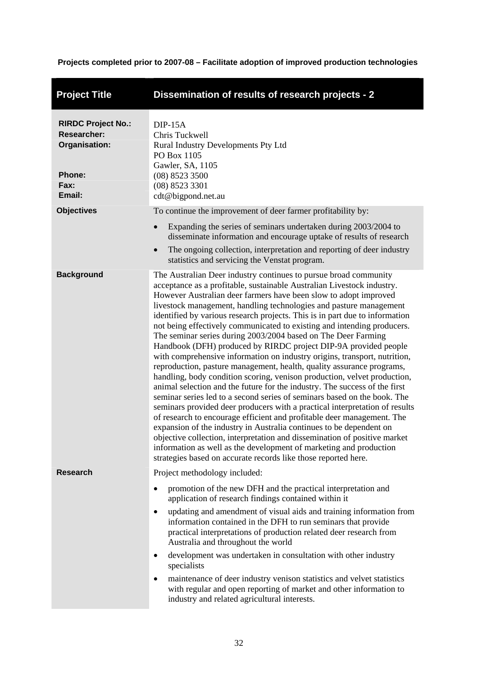<span id="page-37-0"></span>

| <b>Project Title</b>                                                                                | Dissemination of results of research projects - 2                                                                                                                                                                                                                                                                                                                                                                                                                                                                                                                                                                                                                                                                                                                                                                                                                                                                                                                                                                                                                                                                                                                                                                                                                                                                                                                                                                                   |  |
|-----------------------------------------------------------------------------------------------------|-------------------------------------------------------------------------------------------------------------------------------------------------------------------------------------------------------------------------------------------------------------------------------------------------------------------------------------------------------------------------------------------------------------------------------------------------------------------------------------------------------------------------------------------------------------------------------------------------------------------------------------------------------------------------------------------------------------------------------------------------------------------------------------------------------------------------------------------------------------------------------------------------------------------------------------------------------------------------------------------------------------------------------------------------------------------------------------------------------------------------------------------------------------------------------------------------------------------------------------------------------------------------------------------------------------------------------------------------------------------------------------------------------------------------------------|--|
| <b>RIRDC Project No.:</b><br><b>Researcher:</b><br>Organisation:<br><b>Phone:</b><br>Fax:<br>Email: | $DIP-15A$<br>Chris Tuckwell<br>Rural Industry Developments Pty Ltd<br>PO Box 1105<br>Gawler, SA, 1105<br>$(08)$ 8523 3500<br>(08) 8523 3301<br>cdt@bigpond.net.au                                                                                                                                                                                                                                                                                                                                                                                                                                                                                                                                                                                                                                                                                                                                                                                                                                                                                                                                                                                                                                                                                                                                                                                                                                                                   |  |
| <b>Objectives</b>                                                                                   | To continue the improvement of deer farmer profitability by:<br>Expanding the series of seminars undertaken during 2003/2004 to<br>disseminate information and encourage uptake of results of research<br>The ongoing collection, interpretation and reporting of deer industry<br>$\bullet$<br>statistics and servicing the Venstat program.                                                                                                                                                                                                                                                                                                                                                                                                                                                                                                                                                                                                                                                                                                                                                                                                                                                                                                                                                                                                                                                                                       |  |
| <b>Background</b>                                                                                   | The Australian Deer industry continues to pursue broad community<br>acceptance as a profitable, sustainable Australian Livestock industry.<br>However Australian deer farmers have been slow to adopt improved<br>livestock management, handling technologies and pasture management<br>identified by various research projects. This is in part due to information<br>not being effectively communicated to existing and intending producers.<br>The seminar series during 2003/2004 based on The Deer Farming<br>Handbook (DFH) produced by RIRDC project DIP-9A provided people<br>with comprehensive information on industry origins, transport, nutrition,<br>reproduction, pasture management, health, quality assurance programs,<br>handling, body condition scoring, venison production, velvet production,<br>animal selection and the future for the industry. The success of the first<br>seminar series led to a second series of seminars based on the book. The<br>seminars provided deer producers with a practical interpretation of results<br>of research to encourage efficient and profitable deer management. The<br>expansion of the industry in Australia continues to be dependent on<br>objective collection, interpretation and dissemination of positive market<br>information as well as the development of marketing and production<br>strategies based on accurate records like those reported here. |  |
| <b>Research</b>                                                                                     | Project methodology included:<br>promotion of the new DFH and the practical interpretation and<br>$\bullet$<br>application of research findings contained within it<br>updating and amendment of visual aids and training information from<br>$\bullet$<br>information contained in the DFH to run seminars that provide<br>practical interpretations of production related deer research from<br>Australia and throughout the world<br>development was undertaken in consultation with other industry<br>٠<br>specialists<br>maintenance of deer industry venison statistics and velvet statistics<br>٠<br>with regular and open reporting of market and other information to<br>industry and related agricultural interests.                                                                                                                                                                                                                                                                                                                                                                                                                                                                                                                                                                                                                                                                                                      |  |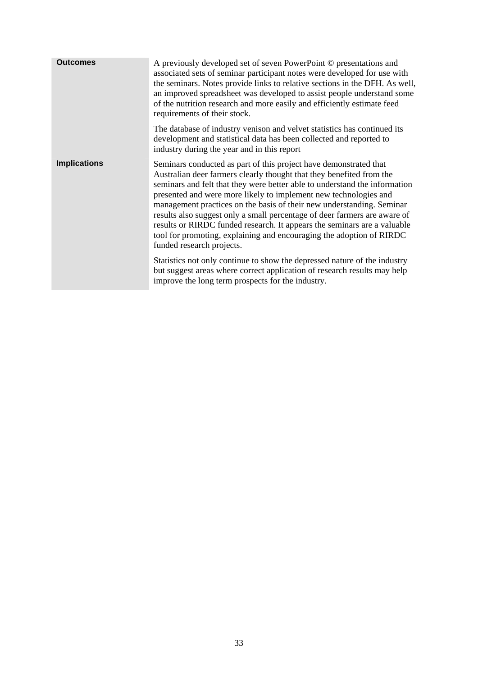| <b>Outcomes</b>     | A previously developed set of seven PowerPoint © presentations and<br>associated sets of seminar participant notes were developed for use with<br>the seminars. Notes provide links to relative sections in the DFH. As well,<br>an improved spreadsheet was developed to assist people understand some<br>of the nutrition research and more easily and efficiently estimate feed<br>requirements of their stock.                                                                                                                                                                                                                                                                                              |
|---------------------|-----------------------------------------------------------------------------------------------------------------------------------------------------------------------------------------------------------------------------------------------------------------------------------------------------------------------------------------------------------------------------------------------------------------------------------------------------------------------------------------------------------------------------------------------------------------------------------------------------------------------------------------------------------------------------------------------------------------|
|                     | The database of industry venison and velvet statistics has continued its<br>development and statistical data has been collected and reported to<br>industry during the year and in this report                                                                                                                                                                                                                                                                                                                                                                                                                                                                                                                  |
| <b>Implications</b> | Seminars conducted as part of this project have demonstrated that<br>Australian deer farmers clearly thought that they benefited from the<br>seminars and felt that they were better able to understand the information<br>presented and were more likely to implement new technologies and<br>management practices on the basis of their new understanding. Seminar<br>results also suggest only a small percentage of deer farmers are aware of<br>results or RIRDC funded research. It appears the seminars are a valuable<br>tool for promoting, explaining and encouraging the adoption of RIRDC<br>funded research projects.<br>Statistics not only continue to show the depressed nature of the industry |
|                     | but suggest areas where correct application of research results may help<br>improve the long term prospects for the industry.                                                                                                                                                                                                                                                                                                                                                                                                                                                                                                                                                                                   |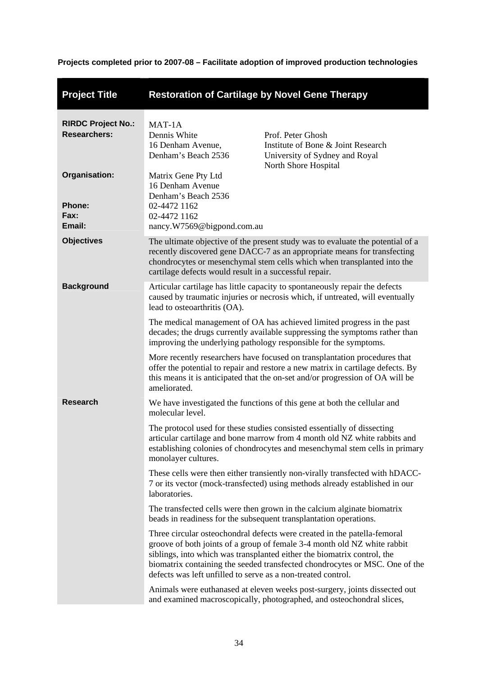<span id="page-39-0"></span>

| <b>Project Title</b>                             | <b>Restoration of Cartilage by Novel Gene Therapy</b>                                                                                                                                                                                                                                           |                                                                                                                                                                                                                                                                                                                |  |
|--------------------------------------------------|-------------------------------------------------------------------------------------------------------------------------------------------------------------------------------------------------------------------------------------------------------------------------------------------------|----------------------------------------------------------------------------------------------------------------------------------------------------------------------------------------------------------------------------------------------------------------------------------------------------------------|--|
| <b>RIRDC Project No.:</b><br><b>Researchers:</b> | MAT-1A<br>Dennis White<br>16 Denham Avenue,<br>Denham's Beach 2536                                                                                                                                                                                                                              | Prof. Peter Ghosh<br>Institute of Bone & Joint Research<br>University of Sydney and Royal<br>North Shore Hospital                                                                                                                                                                                              |  |
| Organisation:<br><b>Phone:</b><br>Fax:<br>Email: | Matrix Gene Pty Ltd<br>16 Denham Avenue<br>Denham's Beach 2536<br>02-4472 1162<br>02-4472 1162<br>nancy.W7569@bigpond.com.au                                                                                                                                                                    |                                                                                                                                                                                                                                                                                                                |  |
| <b>Objectives</b>                                | The ultimate objective of the present study was to evaluate the potential of a<br>recently discovered gene DACC-7 as an appropriate means for transfecting<br>chondrocytes or mesenchymal stem cells which when transplanted into the<br>cartilage defects would result in a successful repair. |                                                                                                                                                                                                                                                                                                                |  |
| <b>Background</b>                                | Articular cartilage has little capacity to spontaneously repair the defects<br>caused by traumatic injuries or necrosis which, if untreated, will eventually<br>lead to osteoarthritis (OA).                                                                                                    |                                                                                                                                                                                                                                                                                                                |  |
|                                                  | The medical management of OA has achieved limited progress in the past<br>decades; the drugs currently available suppressing the symptoms rather than<br>improving the underlying pathology responsible for the symptoms.                                                                       |                                                                                                                                                                                                                                                                                                                |  |
|                                                  | More recently researchers have focused on transplantation procedures that<br>offer the potential to repair and restore a new matrix in cartilage defects. By<br>this means it is anticipated that the on-set and/or progression of OA will be<br>ameliorated.                                   |                                                                                                                                                                                                                                                                                                                |  |
| <b>Research</b>                                  | molecular level.                                                                                                                                                                                                                                                                                | We have investigated the functions of this gene at both the cellular and                                                                                                                                                                                                                                       |  |
|                                                  | The protocol used for these studies consisted essentially of dissecting<br>articular cartilage and bone marrow from 4 month old NZ white rabbits and<br>establishing colonies of chondrocytes and mesenchymal stem cells in primary<br>monolayer cultures.                                      |                                                                                                                                                                                                                                                                                                                |  |
|                                                  | These cells were then either transiently non-virally transfected with hDACC-<br>7 or its vector (mock-transfected) using methods already established in our<br>laboratories.                                                                                                                    |                                                                                                                                                                                                                                                                                                                |  |
|                                                  |                                                                                                                                                                                                                                                                                                 | The transfected cells were then grown in the calcium alginate biomatrix<br>beads in readiness for the subsequent transplantation operations.                                                                                                                                                                   |  |
|                                                  | defects was left unfilled to serve as a non-treated control.                                                                                                                                                                                                                                    | Three circular osteochondral defects were created in the patella-femoral<br>groove of both joints of a group of female 3-4 month old NZ white rabbit<br>siblings, into which was transplanted either the biomatrix control, the<br>biomatrix containing the seeded transfected chondrocytes or MSC. One of the |  |
|                                                  |                                                                                                                                                                                                                                                                                                 | Animals were euthanased at eleven weeks post-surgery, joints dissected out<br>and examined macroscopically, photographed, and osteochondral slices,                                                                                                                                                            |  |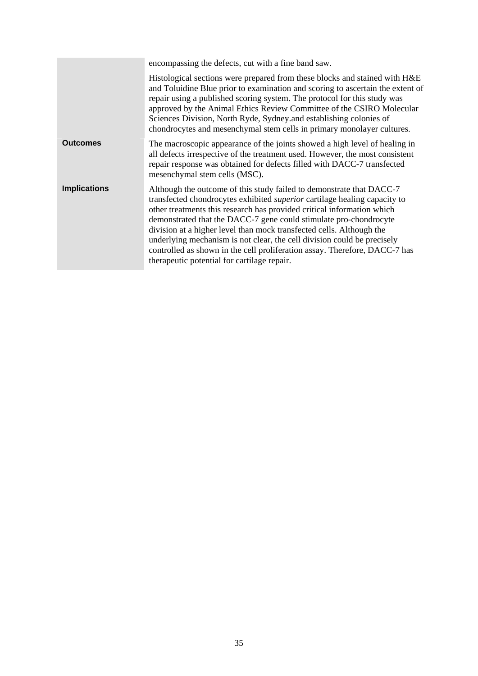|                     | encompassing the defects, cut with a fine band saw.                                                                                                                                                                                                                                                                                                                                                                                                                                                                                                                                     |  |
|---------------------|-----------------------------------------------------------------------------------------------------------------------------------------------------------------------------------------------------------------------------------------------------------------------------------------------------------------------------------------------------------------------------------------------------------------------------------------------------------------------------------------------------------------------------------------------------------------------------------------|--|
|                     | Histological sections were prepared from these blocks and stained with H&E<br>and Toluidine Blue prior to examination and scoring to ascertain the extent of<br>repair using a published scoring system. The protocol for this study was<br>approved by the Animal Ethics Review Committee of the CSIRO Molecular<br>Sciences Division, North Ryde, Sydney and establishing colonies of<br>chondrocytes and mesenchymal stem cells in primary monolayer cultures.                                                                                                                       |  |
| <b>Outcomes</b>     | The macroscopic appearance of the joints showed a high level of healing in<br>all defects irrespective of the treatment used. However, the most consistent<br>repair response was obtained for defects filled with DACC-7 transfected<br>mesenchymal stem cells (MSC).                                                                                                                                                                                                                                                                                                                  |  |
| <b>Implications</b> | Although the outcome of this study failed to demonstrate that DACC-7<br>transfected chondrocytes exhibited <i>superior</i> cartilage healing capacity to<br>other treatments this research has provided critical information which<br>demonstrated that the DACC-7 gene could stimulate pro-chondrocyte<br>division at a higher level than mock transfected cells. Although the<br>underlying mechanism is not clear, the cell division could be precisely<br>controlled as shown in the cell proliferation assay. Therefore, DACC-7 has<br>therapeutic potential for cartilage repair. |  |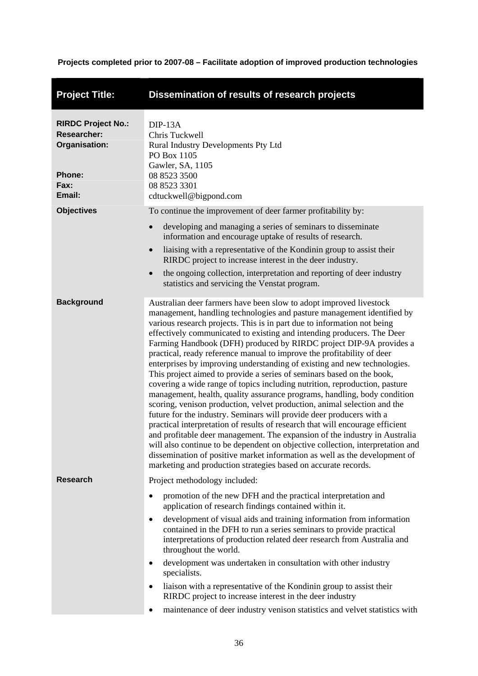<span id="page-41-0"></span>

| <b>Project Title:</b>                                                                               | Dissemination of results of research projects                                                                                                                                                                                                                                                                                                                                                                                                                                                                                                                                                                                                                                                                                                                                                                                                                                                                                                                                                                                                                                                                                                                                                                                                                                                                         |
|-----------------------------------------------------------------------------------------------------|-----------------------------------------------------------------------------------------------------------------------------------------------------------------------------------------------------------------------------------------------------------------------------------------------------------------------------------------------------------------------------------------------------------------------------------------------------------------------------------------------------------------------------------------------------------------------------------------------------------------------------------------------------------------------------------------------------------------------------------------------------------------------------------------------------------------------------------------------------------------------------------------------------------------------------------------------------------------------------------------------------------------------------------------------------------------------------------------------------------------------------------------------------------------------------------------------------------------------------------------------------------------------------------------------------------------------|
| <b>RIRDC Project No.:</b><br><b>Researcher:</b><br>Organisation:<br><b>Phone:</b><br>Fax:<br>Email: | $DIP-13A$<br>Chris Tuckwell<br>Rural Industry Developments Pty Ltd<br>PO Box 1105<br>Gawler, SA, 1105<br>08 8523 3500<br>08 8523 3301<br>cdtuckwell@bigpond.com                                                                                                                                                                                                                                                                                                                                                                                                                                                                                                                                                                                                                                                                                                                                                                                                                                                                                                                                                                                                                                                                                                                                                       |
| <b>Objectives</b>                                                                                   | To continue the improvement of deer farmer profitability by:<br>developing and managing a series of seminars to disseminate<br>information and encourage uptake of results of research.<br>liaising with a representative of the Kondinin group to assist their<br>RIRDC project to increase interest in the deer industry.<br>the ongoing collection, interpretation and reporting of deer industry<br>$\bullet$<br>statistics and servicing the Venstat program.                                                                                                                                                                                                                                                                                                                                                                                                                                                                                                                                                                                                                                                                                                                                                                                                                                                    |
| <b>Background</b>                                                                                   | Australian deer farmers have been slow to adopt improved livestock<br>management, handling technologies and pasture management identified by<br>various research projects. This is in part due to information not being<br>effectively communicated to existing and intending producers. The Deer<br>Farming Handbook (DFH) produced by RIRDC project DIP-9A provides a<br>practical, ready reference manual to improve the profitability of deer<br>enterprises by improving understanding of existing and new technologies.<br>This project aimed to provide a series of seminars based on the book,<br>covering a wide range of topics including nutrition, reproduction, pasture<br>management, health, quality assurance programs, handling, body condition<br>scoring, venison production, velvet production, animal selection and the<br>future for the industry. Seminars will provide deer producers with a<br>practical interpretation of results of research that will encourage efficient<br>and profitable deer management. The expansion of the industry in Australia<br>will also continue to be dependent on objective collection, interpretation and<br>dissemination of positive market information as well as the development of<br>marketing and production strategies based on accurate records. |
| <b>Research</b>                                                                                     | Project methodology included:<br>promotion of the new DFH and the practical interpretation and<br>application of research findings contained within it.<br>development of visual aids and training information from information<br>$\bullet$<br>contained in the DFH to run a series seminars to provide practical<br>interpretations of production related deer research from Australia and<br>throughout the world.<br>development was undertaken in consultation with other industry<br>٠<br>specialists.<br>liaison with a representative of the Kondinin group to assist their<br>$\bullet$<br>RIRDC project to increase interest in the deer industry<br>maintenance of deer industry venison statistics and velvet statistics with                                                                                                                                                                                                                                                                                                                                                                                                                                                                                                                                                                             |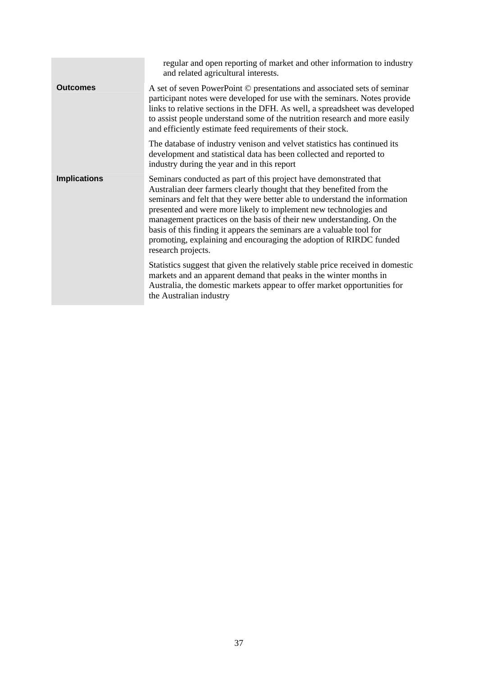|                     | regular and open reporting of market and other information to industry<br>and related agricultural interests.                                                                                                                                                                                                                                                                                                                                                                                                                            |
|---------------------|------------------------------------------------------------------------------------------------------------------------------------------------------------------------------------------------------------------------------------------------------------------------------------------------------------------------------------------------------------------------------------------------------------------------------------------------------------------------------------------------------------------------------------------|
| <b>Outcomes</b>     | A set of seven PowerPoint © presentations and associated sets of seminar<br>participant notes were developed for use with the seminars. Notes provide<br>links to relative sections in the DFH. As well, a spreadsheet was developed<br>to assist people understand some of the nutrition research and more easily<br>and efficiently estimate feed requirements of their stock.                                                                                                                                                         |
|                     | The database of industry venison and velvet statistics has continued its<br>development and statistical data has been collected and reported to<br>industry during the year and in this report                                                                                                                                                                                                                                                                                                                                           |
| <b>Implications</b> | Seminars conducted as part of this project have demonstrated that<br>Australian deer farmers clearly thought that they benefited from the<br>seminars and felt that they were better able to understand the information<br>presented and were more likely to implement new technologies and<br>management practices on the basis of their new understanding. On the<br>basis of this finding it appears the seminars are a valuable tool for<br>promoting, explaining and encouraging the adoption of RIRDC funded<br>research projects. |
|                     | Statistics suggest that given the relatively stable price received in domestic<br>markets and an apparent demand that peaks in the winter months in<br>Australia, the domestic markets appear to offer market opportunities for<br>the Australian industry                                                                                                                                                                                                                                                                               |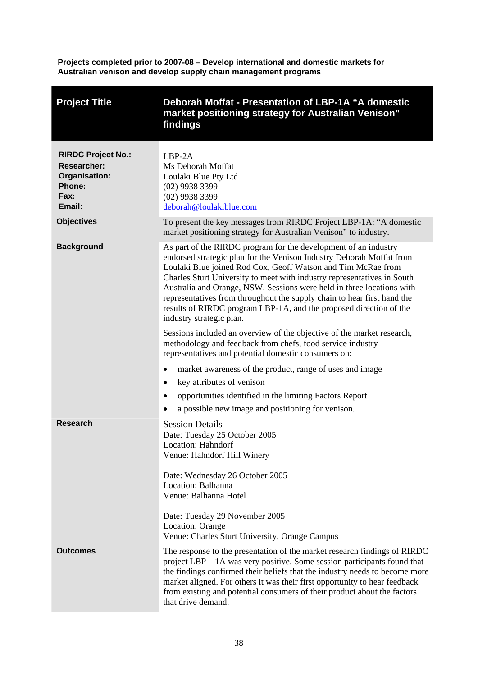**Projects completed prior to 2007-08 – Develop international and domestic markets for Australian venison and develop supply chain management programs** 

<span id="page-43-0"></span>

| <b>Project Title</b>                                                                                | Deborah Moffat - Presentation of LBP-1A "A domestic<br>market positioning strategy for Australian Venison"<br>findings                                                                                                                                                                                                                                                                                                                                                                                                                   |
|-----------------------------------------------------------------------------------------------------|------------------------------------------------------------------------------------------------------------------------------------------------------------------------------------------------------------------------------------------------------------------------------------------------------------------------------------------------------------------------------------------------------------------------------------------------------------------------------------------------------------------------------------------|
| <b>RIRDC Project No.:</b><br><b>Researcher:</b><br><b>Organisation:</b><br>Phone:<br>Fax:<br>Email: | $LBP-2A$<br>Ms Deborah Moffat<br>Loulaki Blue Pty Ltd<br>$(02)$ 9938 3399<br>$(02)$ 9938 3399<br>deborah@loulakiblue.com                                                                                                                                                                                                                                                                                                                                                                                                                 |
| <b>Objectives</b>                                                                                   | To present the key messages from RIRDC Project LBP-1A: "A domestic<br>market positioning strategy for Australian Venison" to industry.                                                                                                                                                                                                                                                                                                                                                                                                   |
| <b>Background</b>                                                                                   | As part of the RIRDC program for the development of an industry<br>endorsed strategic plan for the Venison Industry Deborah Moffat from<br>Loulaki Blue joined Rod Cox, Geoff Watson and Tim McRae from<br>Charles Sturt University to meet with industry representatives in South<br>Australia and Orange, NSW. Sessions were held in three locations with<br>representatives from throughout the supply chain to hear first hand the<br>results of RIRDC program LBP-1A, and the proposed direction of the<br>industry strategic plan. |
|                                                                                                     | Sessions included an overview of the objective of the market research,<br>methodology and feedback from chefs, food service industry<br>representatives and potential domestic consumers on:                                                                                                                                                                                                                                                                                                                                             |
|                                                                                                     | market awareness of the product, range of uses and image<br>$\bullet$                                                                                                                                                                                                                                                                                                                                                                                                                                                                    |
|                                                                                                     | key attributes of venison<br>$\bullet$                                                                                                                                                                                                                                                                                                                                                                                                                                                                                                   |
|                                                                                                     | opportunities identified in the limiting Factors Report<br>٠                                                                                                                                                                                                                                                                                                                                                                                                                                                                             |
|                                                                                                     | a possible new image and positioning for venison.                                                                                                                                                                                                                                                                                                                                                                                                                                                                                        |
| Research                                                                                            | <b>Session Details</b><br>Date: Tuesday 25 October 2005<br>Location: Hahndorf<br>Venue: Hahndorf Hill Winery                                                                                                                                                                                                                                                                                                                                                                                                                             |
|                                                                                                     | Date: Wednesday 26 October 2005<br>Location: Balhanna<br>Venue: Balhanna Hotel                                                                                                                                                                                                                                                                                                                                                                                                                                                           |
|                                                                                                     | Date: Tuesday 29 November 2005<br>Location: Orange<br>Venue: Charles Sturt University, Orange Campus                                                                                                                                                                                                                                                                                                                                                                                                                                     |
| <b>Outcomes</b>                                                                                     | The response to the presentation of the market research findings of RIRDC<br>project LBP – 1A was very positive. Some session participants found that<br>the findings confirmed their beliefs that the industry needs to become more<br>market aligned. For others it was their first opportunity to hear feedback<br>from existing and potential consumers of their product about the factors<br>that drive demand.                                                                                                                     |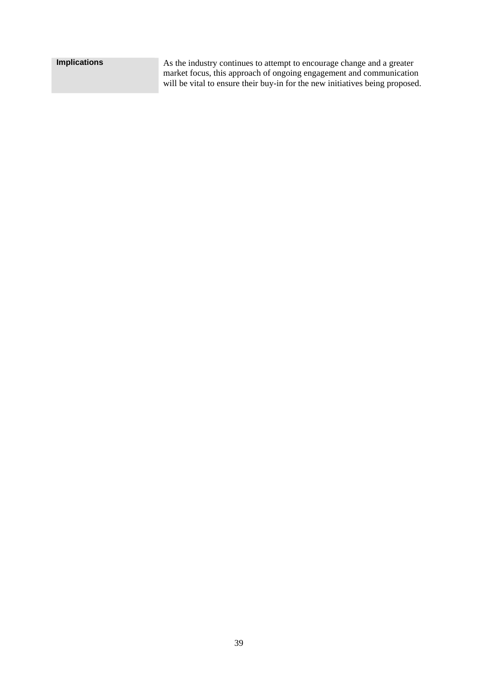| <b>Implications</b> | As the industry continues to attempt to encourage change and a greater       |
|---------------------|------------------------------------------------------------------------------|
|                     | market focus, this approach of ongoing engagement and communication          |
|                     | will be vital to ensure their buy-in for the new initiatives being proposed. |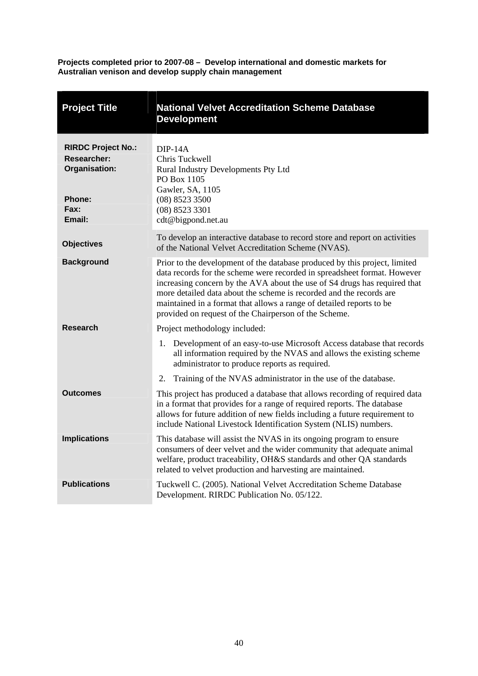**Projects completed prior to 2007-08 – Develop international and domestic markets for Australian venison and develop supply chain management** 

<span id="page-45-0"></span>

| <b>Project Title</b>                                             | <b>National Velvet Accreditation Scheme Database</b><br><b>Development</b>                                                                                                                                                                                                                                                                                                                                                                  |  |
|------------------------------------------------------------------|---------------------------------------------------------------------------------------------------------------------------------------------------------------------------------------------------------------------------------------------------------------------------------------------------------------------------------------------------------------------------------------------------------------------------------------------|--|
| <b>RIRDC Project No.:</b><br><b>Researcher:</b><br>Organisation: | $DIP-14A$<br>Chris Tuckwell<br>Rural Industry Developments Pty Ltd<br>PO Box 1105<br>Gawler, SA, 1105                                                                                                                                                                                                                                                                                                                                       |  |
| <b>Phone:</b><br>Fax:<br>Email:                                  | $(08)$ 8523 3500<br>$(08)$ 8523 3301<br>cdt@bigpond.net.au                                                                                                                                                                                                                                                                                                                                                                                  |  |
| <b>Objectives</b>                                                | To develop an interactive database to record store and report on activities<br>of the National Velvet Accreditation Scheme (NVAS).                                                                                                                                                                                                                                                                                                          |  |
| <b>Background</b>                                                | Prior to the development of the database produced by this project, limited<br>data records for the scheme were recorded in spreadsheet format. However<br>increasing concern by the AVA about the use of S4 drugs has required that<br>more detailed data about the scheme is recorded and the records are<br>maintained in a format that allows a range of detailed reports to be<br>provided on request of the Chairperson of the Scheme. |  |
| <b>Research</b>                                                  | Project methodology included:                                                                                                                                                                                                                                                                                                                                                                                                               |  |
|                                                                  | Development of an easy-to-use Microsoft Access database that records<br>1.<br>all information required by the NVAS and allows the existing scheme<br>administrator to produce reports as required.                                                                                                                                                                                                                                          |  |
|                                                                  | Training of the NVAS administrator in the use of the database.<br>2.                                                                                                                                                                                                                                                                                                                                                                        |  |
| <b>Outcomes</b>                                                  | This project has produced a database that allows recording of required data<br>in a format that provides for a range of required reports. The database<br>allows for future addition of new fields including a future requirement to<br>include National Livestock Identification System (NLIS) numbers.                                                                                                                                    |  |
| <b>Implications</b>                                              | This database will assist the NVAS in its ongoing program to ensure<br>consumers of deer velvet and the wider community that adequate animal<br>welfare, product traceability, OH&S standards and other QA standards<br>related to velvet production and harvesting are maintained.                                                                                                                                                         |  |
| <b>Publications</b>                                              | Tuckwell C. (2005). National Velvet Accreditation Scheme Database<br>Development. RIRDC Publication No. 05/122.                                                                                                                                                                                                                                                                                                                             |  |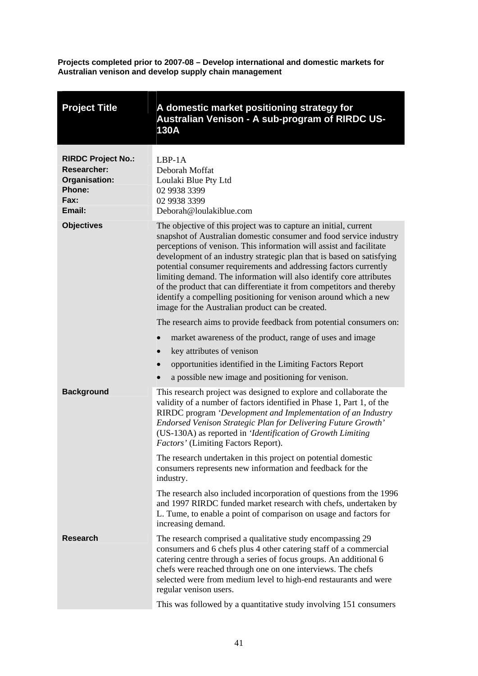**Projects completed prior to 2007-08 – Develop international and domestic markets for Australian venison and develop supply chain management** 

<span id="page-46-0"></span>

| <b>Project Title</b>                                                                                | A domestic market positioning strategy for<br>Australian Venison - A sub-program of RIRDC US-<br><b>130A</b>                                                                                                                                                                                                                                                                                                                                                                                                                                                                                                                                                                                             |
|-----------------------------------------------------------------------------------------------------|----------------------------------------------------------------------------------------------------------------------------------------------------------------------------------------------------------------------------------------------------------------------------------------------------------------------------------------------------------------------------------------------------------------------------------------------------------------------------------------------------------------------------------------------------------------------------------------------------------------------------------------------------------------------------------------------------------|
| <b>RIRDC Project No.:</b><br><b>Researcher:</b><br>Organisation:<br><b>Phone:</b><br>Fax:<br>Email: | $LBP-1A$<br>Deborah Moffat<br>Loulaki Blue Pty Ltd<br>02 9938 3399<br>02 9938 3399<br>Deborah@loulakiblue.com                                                                                                                                                                                                                                                                                                                                                                                                                                                                                                                                                                                            |
| <b>Objectives</b>                                                                                   | The objective of this project was to capture an initial, current<br>snapshot of Australian domestic consumer and food service industry<br>perceptions of venison. This information will assist and facilitate<br>development of an industry strategic plan that is based on satisfying<br>potential consumer requirements and addressing factors currently<br>limiting demand. The information will also identify core attributes<br>of the product that can differentiate it from competitors and thereby<br>identify a compelling positioning for venison around which a new<br>image for the Australian product can be created.<br>The research aims to provide feedback from potential consumers on: |
|                                                                                                     | market awareness of the product, range of uses and image<br>$\bullet$<br>key attributes of venison<br>opportunities identified in the Limiting Factors Report<br>$\bullet$<br>a possible new image and positioning for venison.                                                                                                                                                                                                                                                                                                                                                                                                                                                                          |
| <b>Background</b>                                                                                   | This research project was designed to explore and collaborate the<br>validity of a number of factors identified in Phase 1, Part 1, of the<br>RIRDC program 'Development and Implementation of an Industry<br>Endorsed Venison Strategic Plan for Delivering Future Growth'<br>(US-130A) as reported in 'Identification of Growth Limiting<br>Factors' (Limiting Factors Report).                                                                                                                                                                                                                                                                                                                        |
|                                                                                                     | The research undertaken in this project on potential domestic<br>consumers represents new information and feedback for the<br>industry.                                                                                                                                                                                                                                                                                                                                                                                                                                                                                                                                                                  |
|                                                                                                     | The research also included incorporation of questions from the 1996<br>and 1997 RIRDC funded market research with chefs, undertaken by<br>L. Tume, to enable a point of comparison on usage and factors for<br>increasing demand.                                                                                                                                                                                                                                                                                                                                                                                                                                                                        |
| <b>Research</b>                                                                                     | The research comprised a qualitative study encompassing 29<br>consumers and 6 chefs plus 4 other catering staff of a commercial<br>catering centre through a series of focus groups. An additional 6<br>chefs were reached through one on one interviews. The chefs<br>selected were from medium level to high-end restaurants and were<br>regular venison users.                                                                                                                                                                                                                                                                                                                                        |
|                                                                                                     | This was followed by a quantitative study involving 151 consumers                                                                                                                                                                                                                                                                                                                                                                                                                                                                                                                                                                                                                                        |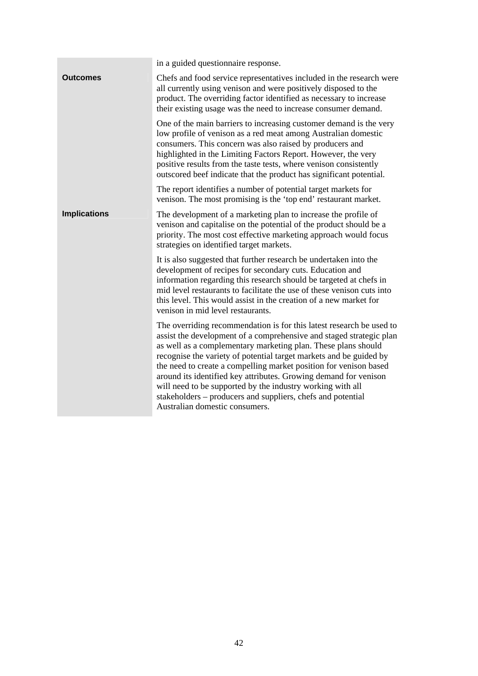|                     | in a guided questionnaire response.                                                                                                                                                                                                                                                                                                                                                                                                                                                                                                                                                        |
|---------------------|--------------------------------------------------------------------------------------------------------------------------------------------------------------------------------------------------------------------------------------------------------------------------------------------------------------------------------------------------------------------------------------------------------------------------------------------------------------------------------------------------------------------------------------------------------------------------------------------|
| Outcomes            | Chefs and food service representatives included in the research were<br>all currently using venison and were positively disposed to the<br>product. The overriding factor identified as necessary to increase<br>their existing usage was the need to increase consumer demand.                                                                                                                                                                                                                                                                                                            |
|                     | One of the main barriers to increasing customer demand is the very<br>low profile of venison as a red meat among Australian domestic<br>consumers. This concern was also raised by producers and<br>highlighted in the Limiting Factors Report. However, the very<br>positive results from the taste tests, where venison consistently<br>outscored beef indicate that the product has significant potential.                                                                                                                                                                              |
|                     | The report identifies a number of potential target markets for<br>venison. The most promising is the 'top end' restaurant market.                                                                                                                                                                                                                                                                                                                                                                                                                                                          |
| <b>Implications</b> | The development of a marketing plan to increase the profile of<br>venison and capitalise on the potential of the product should be a<br>priority. The most cost effective marketing approach would focus<br>strategies on identified target markets.                                                                                                                                                                                                                                                                                                                                       |
|                     | It is also suggested that further research be undertaken into the<br>development of recipes for secondary cuts. Education and<br>information regarding this research should be targeted at chefs in<br>mid level restaurants to facilitate the use of these venison cuts into<br>this level. This would assist in the creation of a new market for<br>venison in mid level restaurants.                                                                                                                                                                                                    |
|                     | The overriding recommendation is for this latest research be used to<br>assist the development of a comprehensive and staged strategic plan<br>as well as a complementary marketing plan. These plans should<br>recognise the variety of potential target markets and be guided by<br>the need to create a compelling market position for venison based<br>around its identified key attributes. Growing demand for venison<br>will need to be supported by the industry working with all<br>stakeholders - producers and suppliers, chefs and potential<br>Australian domestic consumers. |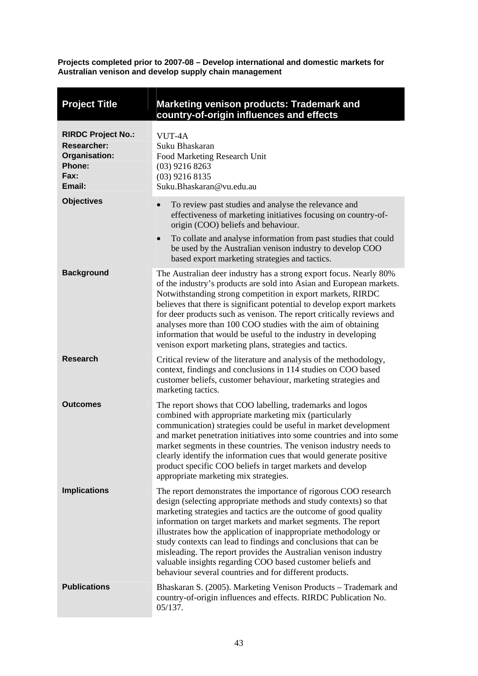**Projects completed prior to 2007-08 – Develop international and domestic markets for Australian venison and develop supply chain management** 

<span id="page-48-0"></span>

| <b>Project Title</b>                                                                                | <b>Marketing venison products: Trademark and</b><br>country-of-origin influences and effects                                                                                                                                                                                                                                                                                                                                                                                                                                                                                                                |
|-----------------------------------------------------------------------------------------------------|-------------------------------------------------------------------------------------------------------------------------------------------------------------------------------------------------------------------------------------------------------------------------------------------------------------------------------------------------------------------------------------------------------------------------------------------------------------------------------------------------------------------------------------------------------------------------------------------------------------|
| <b>RIRDC Project No.:</b><br><b>Researcher:</b><br>Organisation:<br><b>Phone:</b><br>Fax:<br>Email: | VUT-4A<br>Suku Bhaskaran<br>Food Marketing Research Unit<br>$(03)$ 9216 8263<br>$(03)$ 9216 8135<br>Suku.Bhaskaran@vu.edu.au                                                                                                                                                                                                                                                                                                                                                                                                                                                                                |
| <b>Objectives</b>                                                                                   | To review past studies and analyse the relevance and<br>$\bullet$<br>effectiveness of marketing initiatives focusing on country-of-<br>origin (COO) beliefs and behaviour.<br>To collate and analyse information from past studies that could<br>$\bullet$<br>be used by the Australian venison industry to develop COO<br>based export marketing strategies and tactics.                                                                                                                                                                                                                                   |
| <b>Background</b>                                                                                   | The Australian deer industry has a strong export focus. Nearly 80%<br>of the industry's products are sold into Asian and European markets.<br>Notwithstanding strong competition in export markets, RIRDC<br>believes that there is significant potential to develop export markets<br>for deer products such as venison. The report critically reviews and<br>analyses more than 100 COO studies with the aim of obtaining<br>information that would be useful to the industry in developing<br>venison export marketing plans, strategies and tactics.                                                    |
| <b>Research</b>                                                                                     | Critical review of the literature and analysis of the methodology,<br>context, findings and conclusions in 114 studies on COO based<br>customer beliefs, customer behaviour, marketing strategies and<br>marketing tactics.                                                                                                                                                                                                                                                                                                                                                                                 |
| <b>Outcomes</b>                                                                                     | The report shows that COO labelling, trademarks and logos<br>combined with appropriate marketing mix (particularly<br>communication) strategies could be useful in market development<br>and market penetration initiatives into some countries and into some<br>market segments in these countries. The venison industry needs to<br>clearly identify the information cues that would generate positive<br>product specific COO beliefs in target markets and develop<br>appropriate marketing mix strategies.                                                                                             |
| <b>Implications</b>                                                                                 | The report demonstrates the importance of rigorous COO research<br>design (selecting appropriate methods and study contexts) so that<br>marketing strategies and tactics are the outcome of good quality<br>information on target markets and market segments. The report<br>illustrates how the application of inappropriate methodology or<br>study contexts can lead to findings and conclusions that can be<br>misleading. The report provides the Australian venison industry<br>valuable insights regarding COO based customer beliefs and<br>behaviour several countries and for different products. |
| <b>Publications</b>                                                                                 | Bhaskaran S. (2005). Marketing Venison Products – Trademark and<br>country-of-origin influences and effects. RIRDC Publication No.<br>05/137.                                                                                                                                                                                                                                                                                                                                                                                                                                                               |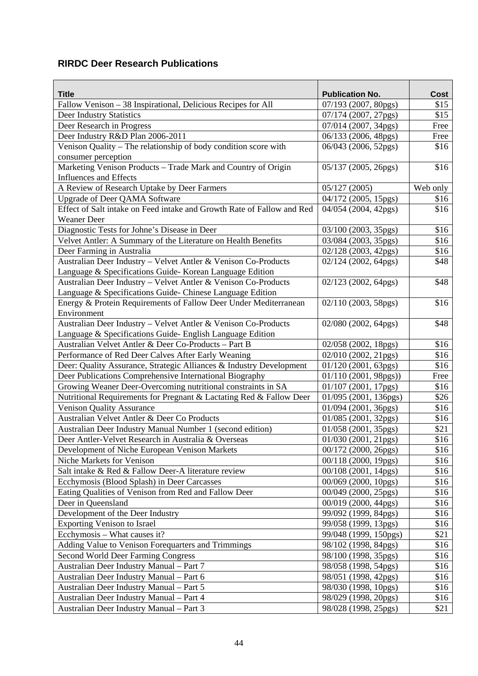# <span id="page-49-0"></span>**RIRDC Deer Research Publications**

| <b>Publication No.</b><br>Fallow Venison – 38 Inspirational, Delicious Recipes for All<br>07/193 (2007, 80pgs)<br>\$15<br>\$15<br>Deer Industry Statistics<br>07/174 (2007, 27pgs)<br>Deer Research in Progress<br>07/014 (2007, 34pgs)<br>Free<br>Deer Industry R&D Plan 2006-2011<br>06/133 (2006, 48pgs)<br>Free<br>Venison Quality - The relationship of body condition score with<br>06/043 (2006, 52pgs)<br>\$16<br>consumer perception<br>Marketing Venison Products - Trade Mark and Country of Origin<br>\$16<br>05/137 (2005, 26pgs)<br><b>Influences and Effects</b><br>A Review of Research Uptake by Deer Farmers<br>05/127(2005)<br>Web only<br><b>Upgrade of Deer QAMA Software</b><br>04/172 (2005, 15pgs)<br>\$16<br>Effect of Salt intake on Feed intake and Growth Rate of Fallow and Red<br>04/054 (2004, 42pgs)<br>\$16<br><b>Weaner Deer</b><br>Diagnostic Tests for Johne's Disease in Deer<br>\$16<br>03/100 (2003, 35pgs)<br>Velvet Antler: A Summary of the Literature on Health Benefits<br>\$16<br>03/084 (2003, 35pgs)<br>Deer Farming in Australia<br>02/128 (2003, 42pgs)<br>\$16<br>Australian Deer Industry - Velvet Antler & Venison Co-Products<br>02/124 (2002, 64pgs)<br>\$48<br>Language & Specifications Guide-Korean Language Edition<br>Australian Deer Industry - Velvet Antler & Venison Co-Products<br>02/123 (2002, 64pgs)<br>\$48<br>Language & Specifications Guide- Chinese Language Edition<br>Energy & Protein Requirements of Fallow Deer Under Mediterranean<br>02/110 (2003, 58pgs)<br>\$16<br>Environment<br>Australian Deer Industry - Velvet Antler & Venison Co-Products<br>02/080 (2002, 64pgs)<br>\$48<br>Language & Specifications Guide- English Language Edition<br>\$16<br>Australian Velvet Antler & Deer Co-Products - Part B<br>02/058 (2002, 18pgs)<br>\$16<br>Performance of Red Deer Calves After Early Weaning<br>02/010 (2002, 21pgs)<br>Deer: Quality Assurance, Strategic Alliances & Industry Development<br>\$16<br>$01/120$ (2001, 63pgs)<br>Deer Publications Comprehensive International Biography<br>01/110 (2001, 98pgs))<br>Free<br>Growing Weaner Deer-Overcoming nutritional constraints in SA<br>\$16<br>01/107 (2001, 17pgs)<br>\$26<br>Nutritional Requirements for Pregnant & Lactating Red & Fallow Deer<br>01/095 (2001, 136pgs)<br>\$16<br><b>Venison Quality Assurance</b><br>01/094 (2001, 36pgs)<br>\$16<br>Australian Velvet Antler & Deer Co Products<br>01/085 (2001, 32pgs)<br>\$21<br>Australian Deer Industry Manual Number 1 (second edition)<br>01/058 (2001, 35pgs)<br>\$16<br>01/030 (2001, 21pgs)<br>Deer Antler-Velvet Research in Australia & Overseas<br>\$16<br>Development of Niche European Venison Markets<br>00/172 (2000, 26pgs)<br>Niche Markets for Venison<br>\$16<br>00/118 (2000, 19pgs)<br>Salt intake & Red & Fallow Deer-A literature review<br>\$16<br>00/108 (2001, 14pgs)<br>Ecchymosis (Blood Splash) in Deer Carcasses<br>00/069 (2000, 10pgs)<br>\$16<br>Eating Qualities of Venison from Red and Fallow Deer<br>00/049 (2000, 25pgs)<br>\$16<br>Deer in Queensland<br>00/019 (2000, 44pgs)<br>\$16<br>Development of the Deer Industry<br>\$16<br>99/092 (1999, 84pgs)<br><b>Exporting Venison to Israel</b><br>\$16<br>99/058 (1999, 13pgs)<br>\$21<br>Ecchymosis – What causes it?<br>99/048 (1999, 150pgs)<br>Adding Value to Venison Forequarters and Trimmings<br>\$16<br>98/102 (1998, 84pgs)<br>Second World Deer Farming Congress<br>98/100 (1998, 35pgs)<br>\$16<br>\$16<br>Australian Deer Industry Manual - Part 7<br>98/058 (1998, 54pgs)<br>Australian Deer Industry Manual - Part 6<br>\$16<br>98/051 (1998, 42pgs)<br>\$16<br>Australian Deer Industry Manual - Part 5<br>98/030 (1998, 10pgs) | <b>Title</b> | <b>Cost</b> |
|-----------------------------------------------------------------------------------------------------------------------------------------------------------------------------------------------------------------------------------------------------------------------------------------------------------------------------------------------------------------------------------------------------------------------------------------------------------------------------------------------------------------------------------------------------------------------------------------------------------------------------------------------------------------------------------------------------------------------------------------------------------------------------------------------------------------------------------------------------------------------------------------------------------------------------------------------------------------------------------------------------------------------------------------------------------------------------------------------------------------------------------------------------------------------------------------------------------------------------------------------------------------------------------------------------------------------------------------------------------------------------------------------------------------------------------------------------------------------------------------------------------------------------------------------------------------------------------------------------------------------------------------------------------------------------------------------------------------------------------------------------------------------------------------------------------------------------------------------------------------------------------------------------------------------------------------------------------------------------------------------------------------------------------------------------------------------------------------------------------------------------------------------------------------------------------------------------------------------------------------------------------------------------------------------------------------------------------------------------------------------------------------------------------------------------------------------------------------------------------------------------------------------------------------------------------------------------------------------------------------------------------------------------------------------------------------------------------------------------------------------------------------------------------------------------------------------------------------------------------------------------------------------------------------------------------------------------------------------------------------------------------------------------------------------------------------------------------------------------------------------------------------------------------------------------------------------------------------------------------------------------------------------------------------------------------------------------------------------------------------------------------------------------------------------------------------------------------------------------------------------------------------------------------------------------------------------------------------------------------------------------------------------------------------------------------------------------------------------------------------------|--------------|-------------|
|                                                                                                                                                                                                                                                                                                                                                                                                                                                                                                                                                                                                                                                                                                                                                                                                                                                                                                                                                                                                                                                                                                                                                                                                                                                                                                                                                                                                                                                                                                                                                                                                                                                                                                                                                                                                                                                                                                                                                                                                                                                                                                                                                                                                                                                                                                                                                                                                                                                                                                                                                                                                                                                                                                                                                                                                                                                                                                                                                                                                                                                                                                                                                                                                                                                                                                                                                                                                                                                                                                                                                                                                                                                                                                                                               |              |             |
|                                                                                                                                                                                                                                                                                                                                                                                                                                                                                                                                                                                                                                                                                                                                                                                                                                                                                                                                                                                                                                                                                                                                                                                                                                                                                                                                                                                                                                                                                                                                                                                                                                                                                                                                                                                                                                                                                                                                                                                                                                                                                                                                                                                                                                                                                                                                                                                                                                                                                                                                                                                                                                                                                                                                                                                                                                                                                                                                                                                                                                                                                                                                                                                                                                                                                                                                                                                                                                                                                                                                                                                                                                                                                                                                               |              |             |
|                                                                                                                                                                                                                                                                                                                                                                                                                                                                                                                                                                                                                                                                                                                                                                                                                                                                                                                                                                                                                                                                                                                                                                                                                                                                                                                                                                                                                                                                                                                                                                                                                                                                                                                                                                                                                                                                                                                                                                                                                                                                                                                                                                                                                                                                                                                                                                                                                                                                                                                                                                                                                                                                                                                                                                                                                                                                                                                                                                                                                                                                                                                                                                                                                                                                                                                                                                                                                                                                                                                                                                                                                                                                                                                                               |              |             |
|                                                                                                                                                                                                                                                                                                                                                                                                                                                                                                                                                                                                                                                                                                                                                                                                                                                                                                                                                                                                                                                                                                                                                                                                                                                                                                                                                                                                                                                                                                                                                                                                                                                                                                                                                                                                                                                                                                                                                                                                                                                                                                                                                                                                                                                                                                                                                                                                                                                                                                                                                                                                                                                                                                                                                                                                                                                                                                                                                                                                                                                                                                                                                                                                                                                                                                                                                                                                                                                                                                                                                                                                                                                                                                                                               |              |             |
|                                                                                                                                                                                                                                                                                                                                                                                                                                                                                                                                                                                                                                                                                                                                                                                                                                                                                                                                                                                                                                                                                                                                                                                                                                                                                                                                                                                                                                                                                                                                                                                                                                                                                                                                                                                                                                                                                                                                                                                                                                                                                                                                                                                                                                                                                                                                                                                                                                                                                                                                                                                                                                                                                                                                                                                                                                                                                                                                                                                                                                                                                                                                                                                                                                                                                                                                                                                                                                                                                                                                                                                                                                                                                                                                               |              |             |
|                                                                                                                                                                                                                                                                                                                                                                                                                                                                                                                                                                                                                                                                                                                                                                                                                                                                                                                                                                                                                                                                                                                                                                                                                                                                                                                                                                                                                                                                                                                                                                                                                                                                                                                                                                                                                                                                                                                                                                                                                                                                                                                                                                                                                                                                                                                                                                                                                                                                                                                                                                                                                                                                                                                                                                                                                                                                                                                                                                                                                                                                                                                                                                                                                                                                                                                                                                                                                                                                                                                                                                                                                                                                                                                                               |              |             |
|                                                                                                                                                                                                                                                                                                                                                                                                                                                                                                                                                                                                                                                                                                                                                                                                                                                                                                                                                                                                                                                                                                                                                                                                                                                                                                                                                                                                                                                                                                                                                                                                                                                                                                                                                                                                                                                                                                                                                                                                                                                                                                                                                                                                                                                                                                                                                                                                                                                                                                                                                                                                                                                                                                                                                                                                                                                                                                                                                                                                                                                                                                                                                                                                                                                                                                                                                                                                                                                                                                                                                                                                                                                                                                                                               |              |             |
|                                                                                                                                                                                                                                                                                                                                                                                                                                                                                                                                                                                                                                                                                                                                                                                                                                                                                                                                                                                                                                                                                                                                                                                                                                                                                                                                                                                                                                                                                                                                                                                                                                                                                                                                                                                                                                                                                                                                                                                                                                                                                                                                                                                                                                                                                                                                                                                                                                                                                                                                                                                                                                                                                                                                                                                                                                                                                                                                                                                                                                                                                                                                                                                                                                                                                                                                                                                                                                                                                                                                                                                                                                                                                                                                               |              |             |
|                                                                                                                                                                                                                                                                                                                                                                                                                                                                                                                                                                                                                                                                                                                                                                                                                                                                                                                                                                                                                                                                                                                                                                                                                                                                                                                                                                                                                                                                                                                                                                                                                                                                                                                                                                                                                                                                                                                                                                                                                                                                                                                                                                                                                                                                                                                                                                                                                                                                                                                                                                                                                                                                                                                                                                                                                                                                                                                                                                                                                                                                                                                                                                                                                                                                                                                                                                                                                                                                                                                                                                                                                                                                                                                                               |              |             |
|                                                                                                                                                                                                                                                                                                                                                                                                                                                                                                                                                                                                                                                                                                                                                                                                                                                                                                                                                                                                                                                                                                                                                                                                                                                                                                                                                                                                                                                                                                                                                                                                                                                                                                                                                                                                                                                                                                                                                                                                                                                                                                                                                                                                                                                                                                                                                                                                                                                                                                                                                                                                                                                                                                                                                                                                                                                                                                                                                                                                                                                                                                                                                                                                                                                                                                                                                                                                                                                                                                                                                                                                                                                                                                                                               |              |             |
|                                                                                                                                                                                                                                                                                                                                                                                                                                                                                                                                                                                                                                                                                                                                                                                                                                                                                                                                                                                                                                                                                                                                                                                                                                                                                                                                                                                                                                                                                                                                                                                                                                                                                                                                                                                                                                                                                                                                                                                                                                                                                                                                                                                                                                                                                                                                                                                                                                                                                                                                                                                                                                                                                                                                                                                                                                                                                                                                                                                                                                                                                                                                                                                                                                                                                                                                                                                                                                                                                                                                                                                                                                                                                                                                               |              |             |
|                                                                                                                                                                                                                                                                                                                                                                                                                                                                                                                                                                                                                                                                                                                                                                                                                                                                                                                                                                                                                                                                                                                                                                                                                                                                                                                                                                                                                                                                                                                                                                                                                                                                                                                                                                                                                                                                                                                                                                                                                                                                                                                                                                                                                                                                                                                                                                                                                                                                                                                                                                                                                                                                                                                                                                                                                                                                                                                                                                                                                                                                                                                                                                                                                                                                                                                                                                                                                                                                                                                                                                                                                                                                                                                                               |              |             |
|                                                                                                                                                                                                                                                                                                                                                                                                                                                                                                                                                                                                                                                                                                                                                                                                                                                                                                                                                                                                                                                                                                                                                                                                                                                                                                                                                                                                                                                                                                                                                                                                                                                                                                                                                                                                                                                                                                                                                                                                                                                                                                                                                                                                                                                                                                                                                                                                                                                                                                                                                                                                                                                                                                                                                                                                                                                                                                                                                                                                                                                                                                                                                                                                                                                                                                                                                                                                                                                                                                                                                                                                                                                                                                                                               |              |             |
|                                                                                                                                                                                                                                                                                                                                                                                                                                                                                                                                                                                                                                                                                                                                                                                                                                                                                                                                                                                                                                                                                                                                                                                                                                                                                                                                                                                                                                                                                                                                                                                                                                                                                                                                                                                                                                                                                                                                                                                                                                                                                                                                                                                                                                                                                                                                                                                                                                                                                                                                                                                                                                                                                                                                                                                                                                                                                                                                                                                                                                                                                                                                                                                                                                                                                                                                                                                                                                                                                                                                                                                                                                                                                                                                               |              |             |
|                                                                                                                                                                                                                                                                                                                                                                                                                                                                                                                                                                                                                                                                                                                                                                                                                                                                                                                                                                                                                                                                                                                                                                                                                                                                                                                                                                                                                                                                                                                                                                                                                                                                                                                                                                                                                                                                                                                                                                                                                                                                                                                                                                                                                                                                                                                                                                                                                                                                                                                                                                                                                                                                                                                                                                                                                                                                                                                                                                                                                                                                                                                                                                                                                                                                                                                                                                                                                                                                                                                                                                                                                                                                                                                                               |              |             |
|                                                                                                                                                                                                                                                                                                                                                                                                                                                                                                                                                                                                                                                                                                                                                                                                                                                                                                                                                                                                                                                                                                                                                                                                                                                                                                                                                                                                                                                                                                                                                                                                                                                                                                                                                                                                                                                                                                                                                                                                                                                                                                                                                                                                                                                                                                                                                                                                                                                                                                                                                                                                                                                                                                                                                                                                                                                                                                                                                                                                                                                                                                                                                                                                                                                                                                                                                                                                                                                                                                                                                                                                                                                                                                                                               |              |             |
|                                                                                                                                                                                                                                                                                                                                                                                                                                                                                                                                                                                                                                                                                                                                                                                                                                                                                                                                                                                                                                                                                                                                                                                                                                                                                                                                                                                                                                                                                                                                                                                                                                                                                                                                                                                                                                                                                                                                                                                                                                                                                                                                                                                                                                                                                                                                                                                                                                                                                                                                                                                                                                                                                                                                                                                                                                                                                                                                                                                                                                                                                                                                                                                                                                                                                                                                                                                                                                                                                                                                                                                                                                                                                                                                               |              |             |
|                                                                                                                                                                                                                                                                                                                                                                                                                                                                                                                                                                                                                                                                                                                                                                                                                                                                                                                                                                                                                                                                                                                                                                                                                                                                                                                                                                                                                                                                                                                                                                                                                                                                                                                                                                                                                                                                                                                                                                                                                                                                                                                                                                                                                                                                                                                                                                                                                                                                                                                                                                                                                                                                                                                                                                                                                                                                                                                                                                                                                                                                                                                                                                                                                                                                                                                                                                                                                                                                                                                                                                                                                                                                                                                                               |              |             |
|                                                                                                                                                                                                                                                                                                                                                                                                                                                                                                                                                                                                                                                                                                                                                                                                                                                                                                                                                                                                                                                                                                                                                                                                                                                                                                                                                                                                                                                                                                                                                                                                                                                                                                                                                                                                                                                                                                                                                                                                                                                                                                                                                                                                                                                                                                                                                                                                                                                                                                                                                                                                                                                                                                                                                                                                                                                                                                                                                                                                                                                                                                                                                                                                                                                                                                                                                                                                                                                                                                                                                                                                                                                                                                                                               |              |             |
|                                                                                                                                                                                                                                                                                                                                                                                                                                                                                                                                                                                                                                                                                                                                                                                                                                                                                                                                                                                                                                                                                                                                                                                                                                                                                                                                                                                                                                                                                                                                                                                                                                                                                                                                                                                                                                                                                                                                                                                                                                                                                                                                                                                                                                                                                                                                                                                                                                                                                                                                                                                                                                                                                                                                                                                                                                                                                                                                                                                                                                                                                                                                                                                                                                                                                                                                                                                                                                                                                                                                                                                                                                                                                                                                               |              |             |
|                                                                                                                                                                                                                                                                                                                                                                                                                                                                                                                                                                                                                                                                                                                                                                                                                                                                                                                                                                                                                                                                                                                                                                                                                                                                                                                                                                                                                                                                                                                                                                                                                                                                                                                                                                                                                                                                                                                                                                                                                                                                                                                                                                                                                                                                                                                                                                                                                                                                                                                                                                                                                                                                                                                                                                                                                                                                                                                                                                                                                                                                                                                                                                                                                                                                                                                                                                                                                                                                                                                                                                                                                                                                                                                                               |              |             |
|                                                                                                                                                                                                                                                                                                                                                                                                                                                                                                                                                                                                                                                                                                                                                                                                                                                                                                                                                                                                                                                                                                                                                                                                                                                                                                                                                                                                                                                                                                                                                                                                                                                                                                                                                                                                                                                                                                                                                                                                                                                                                                                                                                                                                                                                                                                                                                                                                                                                                                                                                                                                                                                                                                                                                                                                                                                                                                                                                                                                                                                                                                                                                                                                                                                                                                                                                                                                                                                                                                                                                                                                                                                                                                                                               |              |             |
|                                                                                                                                                                                                                                                                                                                                                                                                                                                                                                                                                                                                                                                                                                                                                                                                                                                                                                                                                                                                                                                                                                                                                                                                                                                                                                                                                                                                                                                                                                                                                                                                                                                                                                                                                                                                                                                                                                                                                                                                                                                                                                                                                                                                                                                                                                                                                                                                                                                                                                                                                                                                                                                                                                                                                                                                                                                                                                                                                                                                                                                                                                                                                                                                                                                                                                                                                                                                                                                                                                                                                                                                                                                                                                                                               |              |             |
|                                                                                                                                                                                                                                                                                                                                                                                                                                                                                                                                                                                                                                                                                                                                                                                                                                                                                                                                                                                                                                                                                                                                                                                                                                                                                                                                                                                                                                                                                                                                                                                                                                                                                                                                                                                                                                                                                                                                                                                                                                                                                                                                                                                                                                                                                                                                                                                                                                                                                                                                                                                                                                                                                                                                                                                                                                                                                                                                                                                                                                                                                                                                                                                                                                                                                                                                                                                                                                                                                                                                                                                                                                                                                                                                               |              |             |
|                                                                                                                                                                                                                                                                                                                                                                                                                                                                                                                                                                                                                                                                                                                                                                                                                                                                                                                                                                                                                                                                                                                                                                                                                                                                                                                                                                                                                                                                                                                                                                                                                                                                                                                                                                                                                                                                                                                                                                                                                                                                                                                                                                                                                                                                                                                                                                                                                                                                                                                                                                                                                                                                                                                                                                                                                                                                                                                                                                                                                                                                                                                                                                                                                                                                                                                                                                                                                                                                                                                                                                                                                                                                                                                                               |              |             |
|                                                                                                                                                                                                                                                                                                                                                                                                                                                                                                                                                                                                                                                                                                                                                                                                                                                                                                                                                                                                                                                                                                                                                                                                                                                                                                                                                                                                                                                                                                                                                                                                                                                                                                                                                                                                                                                                                                                                                                                                                                                                                                                                                                                                                                                                                                                                                                                                                                                                                                                                                                                                                                                                                                                                                                                                                                                                                                                                                                                                                                                                                                                                                                                                                                                                                                                                                                                                                                                                                                                                                                                                                                                                                                                                               |              |             |
|                                                                                                                                                                                                                                                                                                                                                                                                                                                                                                                                                                                                                                                                                                                                                                                                                                                                                                                                                                                                                                                                                                                                                                                                                                                                                                                                                                                                                                                                                                                                                                                                                                                                                                                                                                                                                                                                                                                                                                                                                                                                                                                                                                                                                                                                                                                                                                                                                                                                                                                                                                                                                                                                                                                                                                                                                                                                                                                                                                                                                                                                                                                                                                                                                                                                                                                                                                                                                                                                                                                                                                                                                                                                                                                                               |              |             |
|                                                                                                                                                                                                                                                                                                                                                                                                                                                                                                                                                                                                                                                                                                                                                                                                                                                                                                                                                                                                                                                                                                                                                                                                                                                                                                                                                                                                                                                                                                                                                                                                                                                                                                                                                                                                                                                                                                                                                                                                                                                                                                                                                                                                                                                                                                                                                                                                                                                                                                                                                                                                                                                                                                                                                                                                                                                                                                                                                                                                                                                                                                                                                                                                                                                                                                                                                                                                                                                                                                                                                                                                                                                                                                                                               |              |             |
|                                                                                                                                                                                                                                                                                                                                                                                                                                                                                                                                                                                                                                                                                                                                                                                                                                                                                                                                                                                                                                                                                                                                                                                                                                                                                                                                                                                                                                                                                                                                                                                                                                                                                                                                                                                                                                                                                                                                                                                                                                                                                                                                                                                                                                                                                                                                                                                                                                                                                                                                                                                                                                                                                                                                                                                                                                                                                                                                                                                                                                                                                                                                                                                                                                                                                                                                                                                                                                                                                                                                                                                                                                                                                                                                               |              |             |
|                                                                                                                                                                                                                                                                                                                                                                                                                                                                                                                                                                                                                                                                                                                                                                                                                                                                                                                                                                                                                                                                                                                                                                                                                                                                                                                                                                                                                                                                                                                                                                                                                                                                                                                                                                                                                                                                                                                                                                                                                                                                                                                                                                                                                                                                                                                                                                                                                                                                                                                                                                                                                                                                                                                                                                                                                                                                                                                                                                                                                                                                                                                                                                                                                                                                                                                                                                                                                                                                                                                                                                                                                                                                                                                                               |              |             |
|                                                                                                                                                                                                                                                                                                                                                                                                                                                                                                                                                                                                                                                                                                                                                                                                                                                                                                                                                                                                                                                                                                                                                                                                                                                                                                                                                                                                                                                                                                                                                                                                                                                                                                                                                                                                                                                                                                                                                                                                                                                                                                                                                                                                                                                                                                                                                                                                                                                                                                                                                                                                                                                                                                                                                                                                                                                                                                                                                                                                                                                                                                                                                                                                                                                                                                                                                                                                                                                                                                                                                                                                                                                                                                                                               |              |             |
|                                                                                                                                                                                                                                                                                                                                                                                                                                                                                                                                                                                                                                                                                                                                                                                                                                                                                                                                                                                                                                                                                                                                                                                                                                                                                                                                                                                                                                                                                                                                                                                                                                                                                                                                                                                                                                                                                                                                                                                                                                                                                                                                                                                                                                                                                                                                                                                                                                                                                                                                                                                                                                                                                                                                                                                                                                                                                                                                                                                                                                                                                                                                                                                                                                                                                                                                                                                                                                                                                                                                                                                                                                                                                                                                               |              |             |
|                                                                                                                                                                                                                                                                                                                                                                                                                                                                                                                                                                                                                                                                                                                                                                                                                                                                                                                                                                                                                                                                                                                                                                                                                                                                                                                                                                                                                                                                                                                                                                                                                                                                                                                                                                                                                                                                                                                                                                                                                                                                                                                                                                                                                                                                                                                                                                                                                                                                                                                                                                                                                                                                                                                                                                                                                                                                                                                                                                                                                                                                                                                                                                                                                                                                                                                                                                                                                                                                                                                                                                                                                                                                                                                                               |              |             |
|                                                                                                                                                                                                                                                                                                                                                                                                                                                                                                                                                                                                                                                                                                                                                                                                                                                                                                                                                                                                                                                                                                                                                                                                                                                                                                                                                                                                                                                                                                                                                                                                                                                                                                                                                                                                                                                                                                                                                                                                                                                                                                                                                                                                                                                                                                                                                                                                                                                                                                                                                                                                                                                                                                                                                                                                                                                                                                                                                                                                                                                                                                                                                                                                                                                                                                                                                                                                                                                                                                                                                                                                                                                                                                                                               |              |             |
|                                                                                                                                                                                                                                                                                                                                                                                                                                                                                                                                                                                                                                                                                                                                                                                                                                                                                                                                                                                                                                                                                                                                                                                                                                                                                                                                                                                                                                                                                                                                                                                                                                                                                                                                                                                                                                                                                                                                                                                                                                                                                                                                                                                                                                                                                                                                                                                                                                                                                                                                                                                                                                                                                                                                                                                                                                                                                                                                                                                                                                                                                                                                                                                                                                                                                                                                                                                                                                                                                                                                                                                                                                                                                                                                               |              |             |
|                                                                                                                                                                                                                                                                                                                                                                                                                                                                                                                                                                                                                                                                                                                                                                                                                                                                                                                                                                                                                                                                                                                                                                                                                                                                                                                                                                                                                                                                                                                                                                                                                                                                                                                                                                                                                                                                                                                                                                                                                                                                                                                                                                                                                                                                                                                                                                                                                                                                                                                                                                                                                                                                                                                                                                                                                                                                                                                                                                                                                                                                                                                                                                                                                                                                                                                                                                                                                                                                                                                                                                                                                                                                                                                                               |              |             |
|                                                                                                                                                                                                                                                                                                                                                                                                                                                                                                                                                                                                                                                                                                                                                                                                                                                                                                                                                                                                                                                                                                                                                                                                                                                                                                                                                                                                                                                                                                                                                                                                                                                                                                                                                                                                                                                                                                                                                                                                                                                                                                                                                                                                                                                                                                                                                                                                                                                                                                                                                                                                                                                                                                                                                                                                                                                                                                                                                                                                                                                                                                                                                                                                                                                                                                                                                                                                                                                                                                                                                                                                                                                                                                                                               |              |             |
|                                                                                                                                                                                                                                                                                                                                                                                                                                                                                                                                                                                                                                                                                                                                                                                                                                                                                                                                                                                                                                                                                                                                                                                                                                                                                                                                                                                                                                                                                                                                                                                                                                                                                                                                                                                                                                                                                                                                                                                                                                                                                                                                                                                                                                                                                                                                                                                                                                                                                                                                                                                                                                                                                                                                                                                                                                                                                                                                                                                                                                                                                                                                                                                                                                                                                                                                                                                                                                                                                                                                                                                                                                                                                                                                               |              |             |
|                                                                                                                                                                                                                                                                                                                                                                                                                                                                                                                                                                                                                                                                                                                                                                                                                                                                                                                                                                                                                                                                                                                                                                                                                                                                                                                                                                                                                                                                                                                                                                                                                                                                                                                                                                                                                                                                                                                                                                                                                                                                                                                                                                                                                                                                                                                                                                                                                                                                                                                                                                                                                                                                                                                                                                                                                                                                                                                                                                                                                                                                                                                                                                                                                                                                                                                                                                                                                                                                                                                                                                                                                                                                                                                                               |              |             |
|                                                                                                                                                                                                                                                                                                                                                                                                                                                                                                                                                                                                                                                                                                                                                                                                                                                                                                                                                                                                                                                                                                                                                                                                                                                                                                                                                                                                                                                                                                                                                                                                                                                                                                                                                                                                                                                                                                                                                                                                                                                                                                                                                                                                                                                                                                                                                                                                                                                                                                                                                                                                                                                                                                                                                                                                                                                                                                                                                                                                                                                                                                                                                                                                                                                                                                                                                                                                                                                                                                                                                                                                                                                                                                                                               |              |             |
|                                                                                                                                                                                                                                                                                                                                                                                                                                                                                                                                                                                                                                                                                                                                                                                                                                                                                                                                                                                                                                                                                                                                                                                                                                                                                                                                                                                                                                                                                                                                                                                                                                                                                                                                                                                                                                                                                                                                                                                                                                                                                                                                                                                                                                                                                                                                                                                                                                                                                                                                                                                                                                                                                                                                                                                                                                                                                                                                                                                                                                                                                                                                                                                                                                                                                                                                                                                                                                                                                                                                                                                                                                                                                                                                               |              |             |
|                                                                                                                                                                                                                                                                                                                                                                                                                                                                                                                                                                                                                                                                                                                                                                                                                                                                                                                                                                                                                                                                                                                                                                                                                                                                                                                                                                                                                                                                                                                                                                                                                                                                                                                                                                                                                                                                                                                                                                                                                                                                                                                                                                                                                                                                                                                                                                                                                                                                                                                                                                                                                                                                                                                                                                                                                                                                                                                                                                                                                                                                                                                                                                                                                                                                                                                                                                                                                                                                                                                                                                                                                                                                                                                                               |              |             |
|                                                                                                                                                                                                                                                                                                                                                                                                                                                                                                                                                                                                                                                                                                                                                                                                                                                                                                                                                                                                                                                                                                                                                                                                                                                                                                                                                                                                                                                                                                                                                                                                                                                                                                                                                                                                                                                                                                                                                                                                                                                                                                                                                                                                                                                                                                                                                                                                                                                                                                                                                                                                                                                                                                                                                                                                                                                                                                                                                                                                                                                                                                                                                                                                                                                                                                                                                                                                                                                                                                                                                                                                                                                                                                                                               |              |             |
|                                                                                                                                                                                                                                                                                                                                                                                                                                                                                                                                                                                                                                                                                                                                                                                                                                                                                                                                                                                                                                                                                                                                                                                                                                                                                                                                                                                                                                                                                                                                                                                                                                                                                                                                                                                                                                                                                                                                                                                                                                                                                                                                                                                                                                                                                                                                                                                                                                                                                                                                                                                                                                                                                                                                                                                                                                                                                                                                                                                                                                                                                                                                                                                                                                                                                                                                                                                                                                                                                                                                                                                                                                                                                                                                               |              |             |
|                                                                                                                                                                                                                                                                                                                                                                                                                                                                                                                                                                                                                                                                                                                                                                                                                                                                                                                                                                                                                                                                                                                                                                                                                                                                                                                                                                                                                                                                                                                                                                                                                                                                                                                                                                                                                                                                                                                                                                                                                                                                                                                                                                                                                                                                                                                                                                                                                                                                                                                                                                                                                                                                                                                                                                                                                                                                                                                                                                                                                                                                                                                                                                                                                                                                                                                                                                                                                                                                                                                                                                                                                                                                                                                                               |              |             |
|                                                                                                                                                                                                                                                                                                                                                                                                                                                                                                                                                                                                                                                                                                                                                                                                                                                                                                                                                                                                                                                                                                                                                                                                                                                                                                                                                                                                                                                                                                                                                                                                                                                                                                                                                                                                                                                                                                                                                                                                                                                                                                                                                                                                                                                                                                                                                                                                                                                                                                                                                                                                                                                                                                                                                                                                                                                                                                                                                                                                                                                                                                                                                                                                                                                                                                                                                                                                                                                                                                                                                                                                                                                                                                                                               |              |             |
|                                                                                                                                                                                                                                                                                                                                                                                                                                                                                                                                                                                                                                                                                                                                                                                                                                                                                                                                                                                                                                                                                                                                                                                                                                                                                                                                                                                                                                                                                                                                                                                                                                                                                                                                                                                                                                                                                                                                                                                                                                                                                                                                                                                                                                                                                                                                                                                                                                                                                                                                                                                                                                                                                                                                                                                                                                                                                                                                                                                                                                                                                                                                                                                                                                                                                                                                                                                                                                                                                                                                                                                                                                                                                                                                               |              |             |
| Australian Deer Industry Manual - Part 4<br>98/029 (1998, 20pgs)<br>\$16                                                                                                                                                                                                                                                                                                                                                                                                                                                                                                                                                                                                                                                                                                                                                                                                                                                                                                                                                                                                                                                                                                                                                                                                                                                                                                                                                                                                                                                                                                                                                                                                                                                                                                                                                                                                                                                                                                                                                                                                                                                                                                                                                                                                                                                                                                                                                                                                                                                                                                                                                                                                                                                                                                                                                                                                                                                                                                                                                                                                                                                                                                                                                                                                                                                                                                                                                                                                                                                                                                                                                                                                                                                                      |              |             |
| Australian Deer Industry Manual - Part 3<br>\$21<br>98/028 (1998, 25pgs)                                                                                                                                                                                                                                                                                                                                                                                                                                                                                                                                                                                                                                                                                                                                                                                                                                                                                                                                                                                                                                                                                                                                                                                                                                                                                                                                                                                                                                                                                                                                                                                                                                                                                                                                                                                                                                                                                                                                                                                                                                                                                                                                                                                                                                                                                                                                                                                                                                                                                                                                                                                                                                                                                                                                                                                                                                                                                                                                                                                                                                                                                                                                                                                                                                                                                                                                                                                                                                                                                                                                                                                                                                                                      |              |             |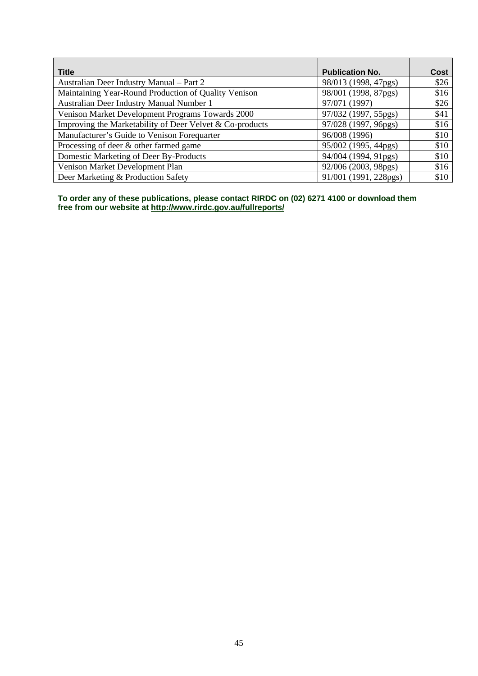| <b>Title</b>                                             | <b>Publication No.</b> | Cost |
|----------------------------------------------------------|------------------------|------|
| Australian Deer Industry Manual – Part 2                 | 98/013 (1998, 47pgs)   | \$26 |
| Maintaining Year-Round Production of Quality Venison     | 98/001 (1998, 87pgs)   | \$16 |
| Australian Deer Industry Manual Number 1                 | 97/071 (1997)          | \$26 |
| Venison Market Development Programs Towards 2000         | 97/032 (1997, 55pgs)   | \$41 |
| Improving the Marketability of Deer Velvet & Co-products | 97/028 (1997, 96pgs)   | \$16 |
| Manufacturer's Guide to Venison Forequarter              | 96/008 (1996)          | \$10 |
| Processing of deer & other farmed game                   | 95/002 (1995, 44pgs)   | \$10 |
| Domestic Marketing of Deer By-Products                   | 94/004 (1994, 91pgs)   | \$10 |
| Venison Market Development Plan                          | 92/006 (2003, 98pgs)   | \$16 |
| Deer Marketing & Production Safety                       | 91/001 (1991, 228pgs)  | \$10 |

**To order any of these publications, please contact RIRDC on (02) 6271 4100 or download them free from our website at<http://www.rirdc.gov.au/fullreports/>**